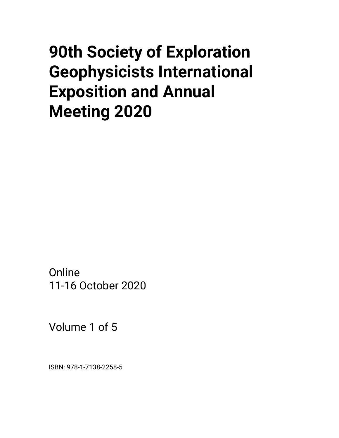# **90th Society of Exploration Geophysicists International Exposition and Annual Meeting 2020**

**Online** 11-16 October 2020

Volume 1 of 5

ISBN: 978-1-7138-2258-5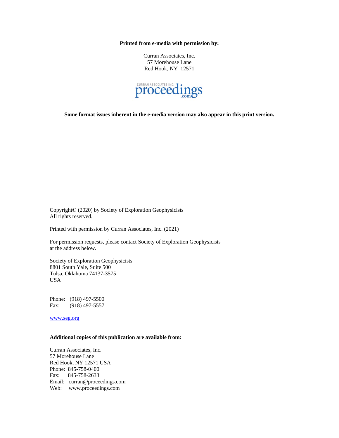**Printed from e-media with permission by:**

Curran Associates, Inc. 57 Morehouse Lane Red Hook, NY 12571



**Some format issues inherent in the e-media version may also appear in this print version.**

Copyright© (2020) by Society of Exploration Geophysicists All rights reserved.

Printed with permission by Curran Associates, Inc. (2021)

For permission requests, please contact Society of Exploration Geophysicists at the address below.

Society of Exploration Geophysicists 8801 South Yale, Suite 500 Tulsa, Oklahoma 74137-3575 USA

Phone: (918) 497-5500 Fax: (918) 497-5557

[www.seg.org](http://www.seg.org/)

#### **Additional copies of this publication are available from:**

Curran Associates, Inc. 57 Morehouse Lane Red Hook, NY 12571 USA Phone: 845-758-0400 Fax: 845-758-2633 Email: curran@proceedings.com Web: www.proceedings.com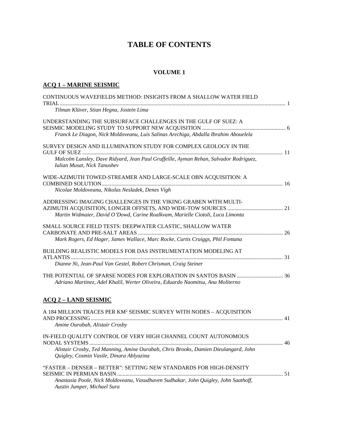# **TABLE OF CONTENTS**

### **VOLUME 1**

### **ACQ 1 – MARINE SEISMIC**

| CONTINUOUS WAVEFIELDS METHOD: INSIGHTS FROM A SHALLOW WATER FIELD                                                                                                                                 |  |
|---------------------------------------------------------------------------------------------------------------------------------------------------------------------------------------------------|--|
| Tilman Klüver, Stian Hegna, Jostein Lima                                                                                                                                                          |  |
| UNDERSTANDING THE SUBSURFACE CHALLENGES IN THE GULF OF SUEZ: A<br>Franck Le Diagon, Nick Moldoveanu, Luis Salinas Arechiga, Abdalla Ibrahim Abouelela                                             |  |
| SURVEY DESIGN AND ILLUMINATION STUDY FOR COMPLEX GEOLOGY IN THE<br>Malcolm Lansley, Dave Ridyard, Jean Paul Gruffeille, Ayman Rehan, Salvador Rodriguez,<br>Iulian Musat, Nick Tanushev           |  |
| WIDE-AZIMUTH TOWED-STREAMER AND LARGE-SCALE OBN ACQUISITION: A<br>Nicolae Moldoveanu, Nikolas Nesladek, Denes Vigh                                                                                |  |
| ADDRESSING IMAGING CHALLENGES IN THE VIKING GRABEN WITH MULTI-<br>Martin Widmaier, David O'Dowd, Carine Roalkvam, Marielle Ciotoli, Luca Limonta                                                  |  |
| SMALL SOURCE FIELD TESTS: DEEPWATER CLASTIC, SHALLOW WATER<br>Mark Rogers, Ed Hager, James Wallace, Marc Rocke, Curtis Craiggs, Phil Fontana                                                      |  |
| BUILDING REALISTIC MODELS FOR DAS INSTRUMENTATION MODELING AT<br>Dianne Ni, Jean-Paul Van Gestel, Robert Chrisman, Craig Steiner                                                                  |  |
| <b>THE POTENTIAL OF SPARSE NODES FOR EXPLORATION IN SANTOS BASIN  36</b><br>Adriano Martinez, Adel Khalil, Werter Oliveira, Eduardo Naomitsu, Ana Moliterno                                       |  |
| <b>ACQ 2 - LAND SEISMIC</b>                                                                                                                                                                       |  |
| A 184 MILLION TRACES PER KM <sup>2</sup> SEISMIC SURVEY WITH NODES - ACQUISITION<br>Amine Ourabah, Alistair Crosby                                                                                |  |
| IN-FIELD QUALITY CONTROL OF VERY HIGH CHANNEL COUNT AUTONOMOUS<br>Alistair Crosby, Ted Manning, Amine Ourabah, Chris Brooks, Damien Dieulangard, John<br>Quigley, Cosmin Vasile, Dinara Ablyazina |  |
| "FASTER - DENSER - BETTER": SETTING NEW STANDARDS FOR HIGH-DENSITY<br>Anastasia Poole, Nick Moldoveanu, Vasudhaven Sudhakar, John Quigley, John Saathoff,<br>Austin Jumper, Michael Sura          |  |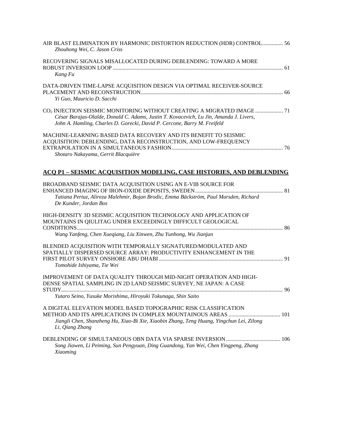| AIR BLAST ELIMINATION BY HARMONIC DISTORTION REDUCTION (HDR) CONTROL 56<br>Zhouhong Wei, C. Jason Criss                                                                                                                                                  |  |
|----------------------------------------------------------------------------------------------------------------------------------------------------------------------------------------------------------------------------------------------------------|--|
| RECOVERING SIGNALS MISALLOCATED DURING DEBLENDING: TOWARD A MORE<br>Kang Fu                                                                                                                                                                              |  |
| DATA-DRIVEN TIME-LAPSE ACQUISITION DESIGN VIA OPTIMAL RECEIVER-SOURCE<br>Yi Guo, Mauricio D. Sacchi                                                                                                                                                      |  |
| CO <sub>2</sub> INJECTION SEISMIC MONITORING WITHOUT CREATING A MIGRATED IMAGE  71<br>César Barajas-Olalde, Donald C. Adams, Justin T. Kovacevich, Lu Jin, Amanda J. Livers,<br>John A. Hamling, Charles D. Gorecki, David P. Cercone, Barry M. Freifeld |  |
| MACHINE-LEARNING BASED DATA RECOVERY AND ITS BENEFIT TO SEISMIC<br>ACQUISITION: DEBLENDING, DATA RECONSTRUCTION, AND LOW-FREQUENCY<br>Shotaro Nakayama, Gerrit Blacquière                                                                                |  |
| <b>ACQ P1 – SEISMIC ACQUISITION MODELING, CASE HISTORIES, AND DEBLENDING</b>                                                                                                                                                                             |  |
| BROADBAND SEISMIC DATA ACQUISITION USING AN E-VIB SOURCE FOR<br>Tatiana Pertuz, Alireza Malehmir, Bojan Brodic, Emma Bäckström, Paul Marsden, Richard<br>De Kunder, Jordan Bos                                                                           |  |
| HIGH-DENSITY 3D SEISMIC ACQUISITION TECHNOLOGY AND APPLICATION OF<br>MOUNTAINS IN QIULITAG UNDER EXCEEDINGLY DIFFICULT GEOLOGICAL<br>Wang Yanfeng, Chen Xueqiang, Liu Xinwen, Zhu Yunhong, Wu Jianjun                                                    |  |
| BLENDED ACQUISITION WITH TEMPORALLY SIGNATURED/MODULATED AND<br>SPATIALLY DISPERSED SOURCE ARRAY: PRODUCTIVITY ENHANCEMENT IN THE<br>Tomohide Ishiyama, Tie Wei                                                                                          |  |
| IMPROVEMENT OF DATA QUALITY THROUGH MID-NIGHT OPERATION AND HIGH-<br>DENSE SPATIAL SAMPLING IN 2D LAND SEISMIC SURVEY, NE JAPAN: A CASE<br>Yutaro Seino, Yusuke Morishima, Hiroyuki Tokunaga, Shin Saito                                                 |  |
| A DIGITAL ELEVATION MODEL BASED TOPOGRAPHIC RISK CLASSIFICATION<br>Jiangli Chen, Shanzheng Hu, Xiao-Bi Xie, Xiaobin Zhang, Teng Huang, Yingchun Lei, Zilong<br>Li, Qiang Zhang                                                                           |  |
| Song Jiawen, Li Peiming, Sun Pengyuan, Ding Guandong, Yan Wei, Chen Yingpeng, Zhang<br>Xiaoming                                                                                                                                                          |  |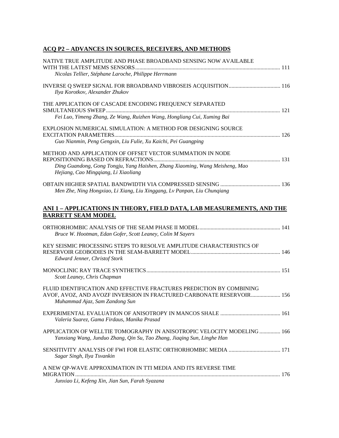### **ACQ P2 – ADVANCES IN SOURCES, RECEIVERS, AND METHODS**

| NATIVE TRUE AMPLITUDE AND PHASE BROADBAND SENSING NOW AVAILABLE                                                                                    |  |
|----------------------------------------------------------------------------------------------------------------------------------------------------|--|
| Nicolas Tellier, Stéphane Laroche, Philippe Herrmann                                                                                               |  |
| Ilya Korotkov, Alexander Zhukov                                                                                                                    |  |
| THE APPLICATION OF CASCADE ENCODING FREQUENCY SEPARATED                                                                                            |  |
| Fei Luo, Yimeng Zhang, Ze Wang, Ruizhen Wang, Hongliang Cui, Xuming Bai                                                                            |  |
| EXPLOSION NUMERICAL SIMULATION: A METHOD FOR DESIGNING SOURCE<br>Guo Nianmin, Peng Gengxin, Liu Fulie, Xu Kaichi, Pei Guangping                    |  |
|                                                                                                                                                    |  |
| METHOD AND APPLICATION OF OFFSET VECTOR SUMMATION IN NODE                                                                                          |  |
| Ding Guandong, Gong Tongju, Yang Haishen, Zhang Xiaoming, Wang Meisheng, Mao<br>Hejiang, Cao Mingqiang, Li Xiaoliang                               |  |
| Men Zhe, Ning Hongxiao, Li Xiang, Liu Xinggang, Lv Panpan, Liu Chunqiang                                                                           |  |
| <u>ANI 1 – APPLICATIONS IN THEORY, FIELD DATA, LAB MEASUREMENTS, AND THE</u><br><b>BARRETT SEAM MODEL</b>                                          |  |
|                                                                                                                                                    |  |
| Bruce W. Hootman, Edan Gofer, Scott Leaney, Colin M Sayers                                                                                         |  |
| KEY SEISMIC PROCESSING STEPS TO RESOLVE AMPLITUDE CHARACTERISTICS OF<br><b>Edward Jenner, Christof Stork</b>                                       |  |
|                                                                                                                                                    |  |
| Scott Leaney, Chris Chapman                                                                                                                        |  |
| FLUID IDENTIFICATION AND EFFECTIVE FRACTURES PREDICTION BY COMBINING                                                                               |  |
| AVOF, AVOZ, AND AVOZF INVERSION IN FRACTURED CARBONATE RESERVOIR 156<br>Muhammad Ajaz, Sam Zandong Sun                                             |  |
| Valeria Suarez, Gama Firdaus, Manika Prasad                                                                                                        |  |
| APPLICATION OF WELLTIE TOMOGRAPHY IN ANISOTROPIC VELOCITY MODELING  166<br>Yanxiang Wang, Junduo Zhang, Qin Su, Tao Zhang, Jiaqing Sun, Linghe Han |  |
| Sagar Singh, Ilya Tsvankin                                                                                                                         |  |
| A NEW QP-WAVE APPROXIMATION IN TTI MEDIA AND ITS REVERSE TIME                                                                                      |  |
| Junxiao Li, Kefeng Xin, Jian Sun, Farah Syazana                                                                                                    |  |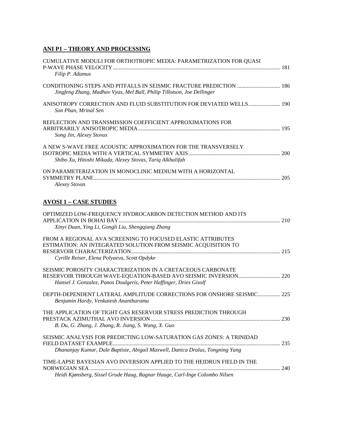# **ANI P1 – THEORY AND PROCESSING**

| CUMULATIVE MODULI FOR ORTHOTROPIC MEDIA: PARAMETRIZATION FOR QUASI                                                                                                            |  |
|-------------------------------------------------------------------------------------------------------------------------------------------------------------------------------|--|
| Filip P. Adamus                                                                                                                                                               |  |
| CONDITIONING STEPS AND PITFALLS IN SEISMIC FRACTURE PREDICTION  186<br>Jingfeng Zhang, Madhav Vyas, Mel Ball, Philip Tillotson, Joe Dellinger                                 |  |
| ANISOTROPY CORRECTION AND FLUID SUBSTITUTION FOR DEVIATED WELLS 190<br>Son Phan, Mrinal Sen                                                                                   |  |
| REFLECTION AND TRANSMISSION COEFFICIENT APPROXIMATIONS FOR<br>Song Jin, Alexey Stovas                                                                                         |  |
| A NEW S-WAVE FREE ACOUSTIC APPROXIMATION FOR THE TRANSVERSELY<br>Shibo Xu, Hitoshi Mikada, Alexey Stovas, Tariq Alkhalifah                                                    |  |
| ON PARAMETERIZATION IN MONOCLINIC MEDIUM WITH A HORIZONTAL<br><b>Alexey Stovas</b>                                                                                            |  |
| <b>AVOSI 1 - CASE STUDIES</b>                                                                                                                                                 |  |
| OPTIMIZED LOW-FREQUENCY HYDROCARBON DETECTION METHOD AND ITS<br>Xinyi Duan, Ying Li, Gongli Liu, Shengqiang Zhang                                                             |  |
| FROM A REGIONAL AVA SCREENING TO FOCUSED ELASTIC ATTRIBUTES<br>ESTIMATION: AN INTEGRATED SOLUTION FROM SEISMIC ACQUISITION TO<br>Cyrille Reiser, Elena Polyaeva, Scott Opdyke |  |
| SEISMIC POROSITY CHARACTERIZATION IN A CRETACEOUS CARBONATE<br>Hansel J. Gonzalez, Panos Doulgeris, Peter Haffinger, Dries Gisolf                                             |  |
| DEPTH-DEPENDENT LATERAL AMPLITUDE CORRECTIONS FOR ONSHORE SEISMIC 225<br>Benjamin Hardy, Venkatesh Anantharamu                                                                |  |
| THE APPLICATION OF TIGHT GAS RESERVOIR STRESS PREDICTION THROUGH<br>B. Du, G. Zhang, J. Zhang, R. Jiang, S. Wang, X. Guo                                                      |  |
| SEISMIC ANALYSIS FOR PREDICTING LOW-SATURATION GAS ZONES: A TRINIDAD<br>Dhananjay Kumar, Dale Baptiste, Abigail Maxwell, Danica Dralus, Tongning Yang                         |  |
| TIME-LAPSE BAYESIAN AVO INVERSION APPLIED TO THE HEIDRUN FIELD IN THE                                                                                                         |  |
| Heidi Kjønsberg, Sissel Grude Haug, Ragnar Hauge, Carl-Inge Colombo Nilsen                                                                                                    |  |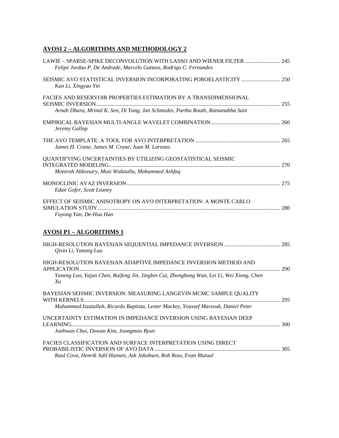### **AVOSI 2 – ALGORITHMS AND METHODOLOGY 2**

| Felipe Jordao P. De Andrade, Marcelo Gattass, Rodrigo C. Fernandes                                                                                   |  |
|------------------------------------------------------------------------------------------------------------------------------------------------------|--|
| Kun Li, Xingyao Yin                                                                                                                                  |  |
| FACIES AND RESERVOIR PROPERTIES ESTIMATION BY A TRANSDIMENSIONAL<br>Arnab Dhara, Mrinal K. Sen, Di Yang, Jan Schmedes, Partha Routh, Ratnanabha Sain |  |
| Jeremy Gallop                                                                                                                                        |  |
| James H. Crane, James M. Crane, Juan M. Lorenzo                                                                                                      |  |
| QUANTIFYING UNCERTAINTIES BY UTILIZING GEOSTATISTICAL SEISMIC<br>Monirah Aldossary, Muiz Widatalla, Mohammed Ashfaq                                  |  |
| Edan Gofer, Scott Leaney                                                                                                                             |  |
| EFFECT OF SEISMIC ANISOTROPY ON AVO INTERPRETATION: A MONTE CARLO<br>Fuyong Yan, De-Hua Han                                                          |  |
| <b>AVOSI P1 - ALGORITHMS 1</b>                                                                                                                       |  |
| Qixin Li, Yaneng Luo                                                                                                                                 |  |
| HIGH-RESOLUTION BAYESIAN ADAPTIVE IMPEDANCE INVERSION METHOD AND                                                                                     |  |

| Yaneng Luo, Yajun Chen, Ruifeng Jin, Jingbin Cui, Zhonghong Wan, Lei Li, Wei Xiong, Chen<br>Xu |     |
|------------------------------------------------------------------------------------------------|-----|
| BAYESIAN SEISMIC INVERSION: MEASURING LANGEVIN MCMC SAMPLE QUALITY                             | 295 |
| Muhammad Izzatullah, Ricardo Baptista, Lester Mackey, Youssef Marzouk, Daniel Peter            |     |
| UNCERTAINTY ESTIMATION IN IMPEDANCE INVERSION USING BAYESIAN DEEP                              |     |
| Junhwan Choi, Dowan Kim, Joongmoo Byun                                                         |     |
|                                                                                                |     |
| FACIES CLASSIFICATION AND SURFACE INTERPRETATION USING DIRECT                                  | 305 |

*Raul Cova, Henrik Juhl Hansen, Ask Jakobsen, Rob Ross, Evan Mutual*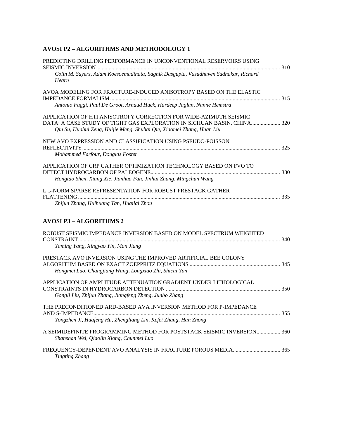### **AVOSI P2 – ALGORITHMS AND METHODOLOGY 1**

| PREDICTING DRILLING PERFORMANCE IN UNCONVENTIONAL RESERVOIRS USING                                                                                                                                                    |  |
|-----------------------------------------------------------------------------------------------------------------------------------------------------------------------------------------------------------------------|--|
| Colin M. Sayers, Adam Koesoemadinata, Sagnik Dasgupta, Vasudhaven Sudhakar, Richard<br>Hearn                                                                                                                          |  |
| AVOA MODELING FOR FRACTURE-INDUCED ANISOTROPY BASED ON THE ELASTIC                                                                                                                                                    |  |
| Antonio Fuggi, Paul De Groot, Arnaud Huck, Hardeep Jaglan, Nanne Hemstra                                                                                                                                              |  |
| APPLICATION OF HTI ANISOTROPY CORRECTION FOR WIDE-AZIMUTH SEISMIC<br>DATA: A CASE STUDY OF TIGHT GAS EXPLORATION IN SICHUAN BASIN, CHINA 320<br>Qin Su, Huahui Zeng, Huijie Meng, Shuhai Qie, Xiaomei Zhang, Huan Liu |  |
| NEW AVO EXPRESSION AND CLASSIFICATION USING PSEUDO-POISSON                                                                                                                                                            |  |
| Mohammed Farfour, Douglas Foster                                                                                                                                                                                      |  |
| APPLICATION OF CRP GATHER OPTIMIZATION TECHNOLOGY BASED ON FVO TO                                                                                                                                                     |  |
| Hongtao Shen, Xiang Xie, Jianhua Fan, Jinhui Zhang, Mingchun Wang                                                                                                                                                     |  |
| L1-2-NORM SPARSE REPRESENTATION FOR ROBUST PRESTACK GATHER                                                                                                                                                            |  |
| Zhijun Zhang, Huihuang Tan, Huailai Zhou                                                                                                                                                                              |  |
| <b>AVOSI P3 - ALGORITHMS 2</b>                                                                                                                                                                                        |  |
| ROBUST SEISMIC IMPEDANCE INVERSION BASED ON MODEL SPECTRUM WEIGHTED<br>Yaming Yang, Xingyao Yin, Man Jiang                                                                                                            |  |
| PRESTACK AVO INVERSION USING THE IMPROVED ARTIFICIAL BEE COLONY<br>Hongmei Luo, Changjiang Wang, Longxiao Zhi, Shicui Yan                                                                                             |  |
| APPLICATION OF AMPLITUDE ATTENUATION GRADIENT UNDER LITHOLOGICAL<br>Gongli Liu, Zhijun Zhang, Jiangfeng Zheng, Junbo Zhang                                                                                            |  |
| THE PRECONDITIONED ARD-BASED AVA INVERSION METHOD FOR P-IMPEDANCE                                                                                                                                                     |  |
| Yongzhen Ji, Huafeng Hu, Zhengliang Lin, Kefei Zhang, Han Zhong                                                                                                                                                       |  |
| A SEIMIDEFINITE PROGRAMMING METHOD FOR POSTSTACK SEISMIC INVERSION 360<br>Shanshan Wei, Qiaolin Xiong, Chunmei Luo                                                                                                    |  |
|                                                                                                                                                                                                                       |  |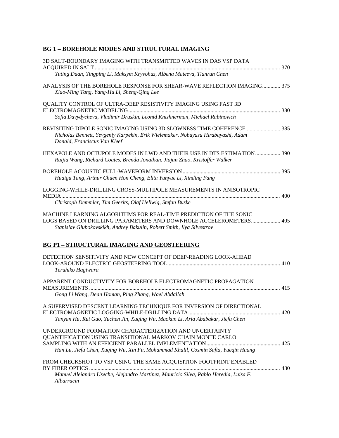# **BG 1 – BOREHOLE MODES AND STRUCTURAL IMAGING**

| 3D SALT-BOUNDARY IMAGING WITH TRANSMITTED WAVES IN DAS VSP DATA<br>Yuting Duan, Yingping Li, Maksym Kryvohuz, Albena Mateeva, Tianrun Chen                                                                       |  |
|------------------------------------------------------------------------------------------------------------------------------------------------------------------------------------------------------------------|--|
| ANALYSIS OF THE BOREHOLE RESPONSE FOR SHEAR-WAVE REFLECTION IMAGING 375<br>Xiao-Ming Tang, Yang-Hu Li, Sheng-Qing Lee                                                                                            |  |
| QUALITY CONTROL OF ULTRA-DEEP RESISTIVITY IMAGING USING FAST 3D                                                                                                                                                  |  |
| Sofia Davydycheva, Vladimir Druskin, Leonid Knizhnerman, Michael Rabinovich                                                                                                                                      |  |
| Nicholas Bennett, Yevgeniy Karpekin, Erik Wielemaker, Nobuyasu Hirabayashi, Adam<br>Donald, Franciscus Van Kleef                                                                                                 |  |
| HEXAPOLE AND OCTUPOLE MODES IN LWD AND THEIR USE IN DTS ESTIMATION 390<br>Ruijia Wang, Richard Coates, Brenda Jonathan, Jiajun Zhao, Kristoffer Walker                                                           |  |
|                                                                                                                                                                                                                  |  |
| Huaigu Tang, Arthur Chuen Hon Cheng, Elita Yunyue Li, Xinding Fang                                                                                                                                               |  |
| LOGGING-WHILE-DRILLING CROSS-MULTIPOLE MEASUREMENTS IN ANISOTROPIC                                                                                                                                               |  |
| Christoph Demmler, Tim Geerits, Olaf Hellwig, Stefan Buske                                                                                                                                                       |  |
| MACHINE LEARNING ALGORITHMS FOR REAL-TIME PREDICTION OF THE SONIC<br>LOGS BASED ON DRILLING PARAMETERS AND DOWNHOLE ACCELEROMETERS 405<br>Stanislav Glubokovskikh, Andrey Bakulin, Robert Smith, Ilya Silvestrov |  |
| <b>BG P1 - STRUCTURAL IMAGING AND GEOSTEERING</b>                                                                                                                                                                |  |
| DETECTION SENSITIVITY AND NEW CONCEPT OF DEEP-READING LOOK-AHEAD<br>Teruhiko Hagiwara                                                                                                                            |  |
| APPARENT CONDUCTIVITY FOR BOREHOLE ELECTROMAGNETIC PROPAGATION                                                                                                                                                   |  |
| Gong Li Wang, Dean Homan, Ping Zhang, Wael Abdallah                                                                                                                                                              |  |
| A SUPERVISED DESCENT LEARNING TECHNIQUE FOR INVERSION OF DIRECTIONAL<br>Yanyan Hu, Rui Guo, Yuchen Jin, Xuqing Wu, Maokun Li, Aria Abubakar, Jiefu Chen                                                          |  |
| UNDERGROUND FORMATION CHARACTERIZATION AND UNCERTAINTY                                                                                                                                                           |  |
| QUANTIFICATION USING TRANSITIONAL MARKOV CHAIN MONTE CARLO                                                                                                                                                       |  |
|                                                                                                                                                                                                                  |  |
| Han Lu, Jiefu Chen, Xuqing Wu, Xin Fu, Mohammad Khalil, Cosmin Safta, Yueqin Huang                                                                                                                               |  |
| FROM CHECKSHOT TO VSP USING THE SAME ACQUISITION FOOTPRINT ENABLED                                                                                                                                               |  |
| Manuel Alejandro Useche, Alejandro Martinez, Mauricio Silva, Pablo Heredia, Luisa F.<br>Albarracin                                                                                                               |  |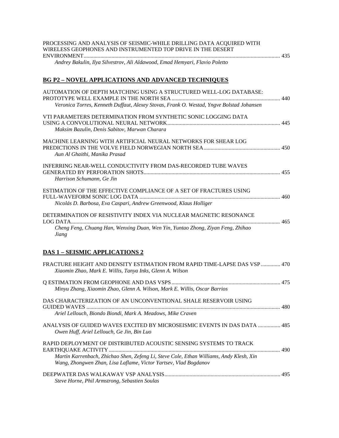| PROCESSING AND ANALYSIS OF SEISMIC-WHILE DRILLING DATA ACQUIRED WITH<br>WIRELESS GEOPHONES AND INSTRUMENTED TOP DRIVE IN THE DESERT                         |  |
|-------------------------------------------------------------------------------------------------------------------------------------------------------------|--|
| Andrey Bakulin, Ilya Silvestrov, Ali Aldawood, Emad Hemyari, Flavio Poletto                                                                                 |  |
| <b>BG P2 - NOVEL APPLICATIONS AND ADVANCED TECHNIQUES</b>                                                                                                   |  |
| AUTOMATION OF DEPTH MATCHING USING A STRUCTURED WELL-LOG DATABASE:                                                                                          |  |
| Veronica Torres, Kenneth Duffaut, Alexey Stovas, Frank O. Westad, Yngve Bolstad Johansen                                                                    |  |
| VTI PARAMETERS DETERMINATION FROM SYNTHETIC SONIC LOGGING DATA<br>Maksim Bazulin, Denis Sabitov, Marwan Charara                                             |  |
| MACHINE LEARNING WITH ARTIFICIAL NEURAL NETWORKS FOR SHEAR LOG<br>Aun Al Ghaithi, Manika Prasad                                                             |  |
| INFERRING NEAR-WELL CONDUCTIVITY FROM DAS-RECORDED TUBE WAVES<br>Harrison Schumann, Ge Jin                                                                  |  |
| ESTIMATION OF THE EFFECTIVE COMPLIANCE OF A SET OF FRACTURES USING<br>Nicolás D. Barbosa, Eva Caspari, Andrew Greenwood, Klaus Holliger                     |  |
| DETERMINATION OF RESISTIVITY INDEX VIA NUCLEAR MAGNETIC RESONANCE                                                                                           |  |
| Cheng Feng, Chuang Han, Wenxing Duan, Wen Yin, Yuntao Zhong, Ziyan Feng, Zhihao<br>Jiang                                                                    |  |
| <b>DAS 1 - SEISMIC APPLICATIONS 2</b>                                                                                                                       |  |
| FRACTURE HEIGHT AND DENSITY ESTIMATION FROM RAPID TIME-LAPSE DAS VSP  470<br>Xiaomin Zhao, Mark E. Willis, Tanya Inks, Glenn A. Wilson                      |  |
| Minyu Zhang, Xiaomin Zhao, Glenn A. Wilson, Mark E. Willis, Oscar Barrios                                                                                   |  |
| DAS CHARACTERIZATION OF AN UNCONVENTIONAL SHALE RESERVOIR USING<br>Ariel Lellouch, Biondo Biondi, Mark A. Meadows, Mike Craven                              |  |
| ANALYSIS OF GUIDED WAVES EXCITED BY MICROSEISMIC EVENTS IN DAS DATA  485<br>Owen Huff, Ariel Lellouch, Ge Jin, Bin Luo                                      |  |
| RAPID DEPLOYMENT OF DISTRIBUTED ACOUSTIC SENSING SYSTEMS TO TRACK                                                                                           |  |
| Martin Karrenbach, Zhichao Shen, Zefeng Li, Steve Cole, Ethan Williams, Andy Klesh, Xin<br>Wang, Zhongwen Zhan, Lisa Laflame, Victor Yartsev, Vlad Bogdanov |  |
| Steve Horne, Phil Armstrong, Sebastien Soulas                                                                                                               |  |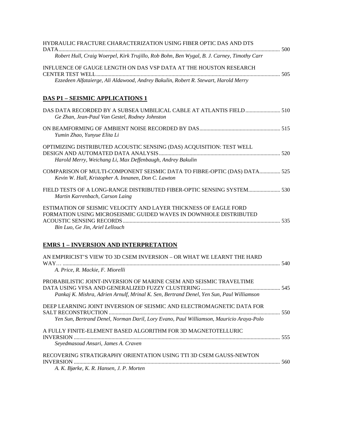| HYDRAULIC FRACTURE CHARACTERIZATION USING FIBER OPTIC DAS AND DTS                                                                                                        |  |
|--------------------------------------------------------------------------------------------------------------------------------------------------------------------------|--|
| DATA.<br>Robert Hull, Craig Woerpel, Kirk Trujillo, Rob Bohn, Ben Wygal, B. J. Carney, Timothy Carr                                                                      |  |
| INFLUENCE OF GAUGE LENGTH ON DAS VSP DATA AT THE HOUSTON RESEARCH                                                                                                        |  |
| Ezzedeen Alfataierge, Ali Aldawood, Andrey Bakulin, Robert R. Stewart, Harold Merry                                                                                      |  |
| <u>DAS P1 – SEISMIC APPLICATIONS 1</u>                                                                                                                                   |  |
| Ge Zhan, Jean-Paul Van Gestel, Rodney Johnston                                                                                                                           |  |
| Yumin Zhao, Yunyue Elita Li                                                                                                                                              |  |
| OPTIMIZING DISTRIBUTED ACOUSTIC SENSING (DAS) ACQUISITION: TEST WELL<br>Harold Merry, Weichang Li, Max Deffenbaugh, Andrey Bakulin                                       |  |
| COMPARISON OF MULTI-COMPONENT SEISMIC DATA TO FIBRE-OPTIC (DAS) DATA 525<br>Kevin W. Hall, Kristopher A. Innanen, Don C. Lawton                                          |  |
| FIELD TESTS OF A LONG-RANGE DISTRIBUTED FIBER-OPTIC SENSING SYSTEM 530<br>Martin Karrenbach, Carson Laing                                                                |  |
| ESTIMATION OF SEISMIC VELOCITY AND LAYER THICKNESS OF EAGLE FORD<br>FORMATION USING MICROSEISMIC GUIDED WAVES IN DOWNHOLE DISTRIBUTED<br>Bin Luo, Ge Jin, Ariel Lellouch |  |
| <b>EMRS 1 – INVERSION AND INTERPRETATION</b>                                                                                                                             |  |
| AN EMPIRICIST'S VIEW TO 3D CSEM INVERSION – OR WHAT WE LEARNT THE HARD<br>A. Price, R. Mackie, F. Miorelli                                                               |  |
| PROBABILISTIC JOINT-INVERSION OF MARINE CSEM AND SEISMIC TRAVELTIME<br>Pankaj K. Mishra, Adrien Arnulf, Mrinal K. Sen, Bertrand Denel, Yen Sun, Paul Williamson          |  |
| DEEP LEARNING JOINT INVERSION OF SEISMIC AND ELECTROMAGNETIC DATA FOR<br>Yen Sun, Bertrand Denel, Norman Daril, Lory Evano, Paul Williamson, Mauricio Araya-Polo         |  |
| A FULLY FINITE-ELEMENT BASED ALGORITHM FOR 3D MAGNETOTELLURIC                                                                                                            |  |
| Seyedmasoud Ansari, James A. Craven                                                                                                                                      |  |
| RECOVERING STRATIGRAPHY ORIENTATION USING TTI 3D CSEM GAUSS-NEWTON<br>A. K. Bjørke, K. R. Hansen, J. P. Morten                                                           |  |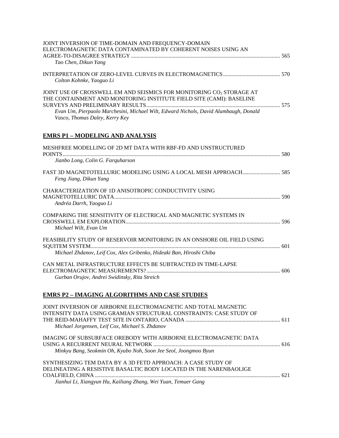| JOINT INVERSION OF TIME-DOMAIN AND FREQUENCY-DOMAIN<br>ELECTROMAGNETIC DATA CONTAMINATED BY COHERENT NOISES USING AN<br>Tao Chen, Dikun Yang                                                                                                                           |  |
|------------------------------------------------------------------------------------------------------------------------------------------------------------------------------------------------------------------------------------------------------------------------|--|
| Colton Kohnke, Yaoguo Li                                                                                                                                                                                                                                               |  |
| JOINT USE OF CROSSWELL EM AND SEISMICS FOR MONITORING CO2 STORAGE AT<br>THE CONTAINMENT AND MONITORING INSTITUTE FIELD SITE (CAMI): BASELINE<br>Evan Um, Pierpaolo Marchesini, Michael Wilt, Edward Nichols, David Alumbaugh, Donald<br>Vasco, Thomas Daley, Kerry Key |  |
| <b>EMRS P1 - MODELING AND ANALYSIS</b>                                                                                                                                                                                                                                 |  |
| MESHFREE MODELLING OF 2D MT DATA WITH RBF-FD AND UNSTRUCTURED<br>Jianbo Long, Colin G. Farquharson                                                                                                                                                                     |  |
| Feng Jiang, Dikun Yang                                                                                                                                                                                                                                                 |  |
| CHARACTERIZATION OF 1D ANISOTROPIC CONDUCTIVITY USING<br>Andréa Darrh, Yaoguo Li                                                                                                                                                                                       |  |
| COMPARING THE SENSITIVITY OF ELECTRICAL AND MAGNETIC SYSTEMS IN<br>Michael Wilt, Evan Um                                                                                                                                                                               |  |
| FEASIBILITY STUDY OF RESERVOIR MONITORING IN AN ONSHORE OIL FIELD USING<br>Michael Zhdanov, Leif Cox, Alex Gribenko, Hideaki Ban, Hiroshi Chiba                                                                                                                        |  |
| CAN METAL INFRASTRUCTURE EFFECTS BE SUBTRACTED IN TIME-LAPSE<br>Gurban Orujov, Andrei Swidinsky, Rita Streich                                                                                                                                                          |  |
| <b>EMRS P2 - IMAGING ALGORITHMS AND CASE STUDIES</b>                                                                                                                                                                                                                   |  |
| JOINT INVERSION OF AIRBORNE ELECTROMAGNETIC AND TOTAL MAGNETIC<br>INTENSITY DATA USING GRAMIAN STRUCTURAL CONSTRAINTS: CASE STUDY OF                                                                                                                                   |  |

*Michael Jorgensen, Leif Cox, Michael S. Zhdanov* IMAGING OF SUBSURFACE OREBODY WITH AIRBORNE ELECTROMAGNETIC DATA USING A RECURRENT NEURAL NETWORK ........................................................................................... 616 *Minkyu Bang, Seokmin Oh, Kyubo Noh, Soon Jee Seol, Joongmoo Byun*

| SYNTHESIZING TEM DATA BY A 3D FETD APPROACH: A CASE STUDY OF      |  |
|-------------------------------------------------------------------|--|
| DELINEATING A RESISTIVE BASALTIC BODY LOCATED IN THE NARENBAOLIGE |  |
|                                                                   |  |
| Jianhui Li, Xiangyun Hu, Kailiang Zhang, Wei Yuan, Temuer Gang    |  |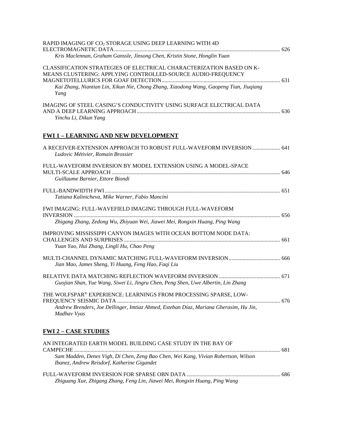| RAPID IMAGING OF CO <sub>2</sub> STORAGE USING DEEP LEARNING WITH 4D                                                                                                                                                                   |  |
|----------------------------------------------------------------------------------------------------------------------------------------------------------------------------------------------------------------------------------------|--|
| Kris Maclennan, Graham Ganssle, Jinsong Chen, Kristin Stone, Honglin Yuan                                                                                                                                                              |  |
| CLASSIFICATION STRATEGIES OF ELECTRICAL CHARACTERIZATION BASED ON K-<br>MEANS CLUSTERING: APPLYING CONTROLLED-SOURCE AUDIO-FREQUENCY<br>Kai Zhang, Niantian Lin, Xikun Nie, Chong Zhang, Xiaodong Wang, Gaopeng Tian, Jiuqiang<br>Yang |  |
| IMAGING OF STEEL CASING'S CONDUCTIVITY USING SURFACE ELECTRICAL DATA<br>Yinchu Li, Dikun Yang                                                                                                                                          |  |
| <b>FWI 1 - LEARNING AND NEW DEVELOPMENT</b>                                                                                                                                                                                            |  |
| A RECEIVER-EXTENSION APPROACH TO ROBUST FULL-WAVEFORM INVERSION  641<br>Ludovic Métivier, Romain Brossier                                                                                                                              |  |
| FULL-WAVEFORM INVERSION BY MODEL EXTENSION USING A MODEL-SPACE<br>Guillaume Barnier, Ettore Biondi                                                                                                                                     |  |
| Tatiana Kalinicheva, Mike Warner, Fabio Mancini                                                                                                                                                                                        |  |
| FWI IMAGING: FULL-WAVEFIELD IMAGING THROUGH FULL-WAVEFORM<br>Zhigang Zhang, Zedong Wu, Zhiyuan Wei, Jiawei Mei, Rongxin Huang, Ping Wang                                                                                               |  |
| IMPROVING MISSISSIPPI CANYON IMAGES WITH OCEAN BOTTOM NODE DATA:<br>Yuan Yao, Hui Zhang, Lingli Hu, Chao Peng                                                                                                                          |  |
| Jian Mao, James Sheng, Yi Huang, Feng Hao, Faqi Liu                                                                                                                                                                                    |  |
| Guojian Shan, Yue Wang, Siwei Li, Jingru Chen, Peng Shen, Uwe Albertin, Lin Zhang                                                                                                                                                      |  |
| THE WOLFSPAR® EXPERIENCE: LEARNINGS FROM PROCESSING SPARSE, LOW-<br>Andrew Brenders, Joe Dellinger, Imtiaz Ahmed, Esteban Díaz, Mariana Gherasim, Hu Jin,<br>Madhav Vyas                                                               |  |
| <b>FWI 2 - CASE STUDIES</b>                                                                                                                                                                                                            |  |
| AN INTEGRATED EARTH MODEL BUILDING CASE STUDY IN THE BAY OF                                                                                                                                                                            |  |

| Zhiguang Xue, Zhigang Zhang, Feng Lin, Jiawei Mei, Rongxin Huang, Ping Wang |  |
|-----------------------------------------------------------------------------|--|

*Sam Madden, Denes Vigh, Di Chen, Zeng Bao Chen, Wei Kang, Vivian Robertson, Wilson* 

*Ibanez, Andrew Reisdorf, Katherine Gigandet*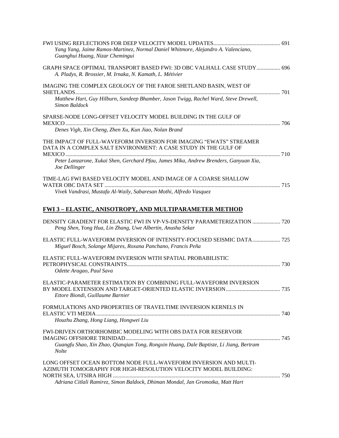| Yang Yang, Jaime Ramos-Martinez, Normal Daniel Whitmore, Alejandro A. Valenciano,<br>Guanghui Huang, Nizar Chemingui                                                                                                  |  |
|-----------------------------------------------------------------------------------------------------------------------------------------------------------------------------------------------------------------------|--|
| GRAPH SPACE OPTIMAL TRANSPORT BASED FWI: 3D OBC VALHALL CASE STUDY 696<br>A. Pladys, R. Brossier, M. Irnaka, N. Kamath, L. Métivier                                                                                   |  |
| IMAGING THE COMPLEX GEOLOGY OF THE FAROE SHETLAND BASIN, WEST OF<br>Matthew Hart, Guy Hilburn, Sandeep Bhamber, Jason Twigg, Rachel Ward, Steve Drewell,                                                              |  |
| Simon Baldock<br>SPARSE-NODE LONG-OFFSET VELOCITY MODEL BUILDING IN THE GULF OF                                                                                                                                       |  |
| Denes Vigh, Xin Cheng, Zhen Xu, Kun Jiao, Nolan Brand<br>THE IMPACT OF FULL-WAVEFORM INVERSION FOR IMAGING "EWATS" STREAMER<br>DATA IN A COMPLEX SALT ENVIRONMENT: A CASE STUDY IN THE GULF OF                        |  |
| Peter Lanzarone, Xukai Shen, Gerchard Pfau, James Mika, Andrew Brenders, Ganyuan Xia,<br>Joe Dellinger                                                                                                                |  |
| TIME-LAG FWI BASED VELOCITY MODEL AND IMAGE OF A COARSE SHALLOW<br>Vivek Vandrasi, Mustafa Al-Waily, Sabaresan Mothi, Alfredo Vasquez                                                                                 |  |
| <b>FWI 3 – ELASTIC, ANISOTROPY, AND MULTIPARAMETER METHOD</b>                                                                                                                                                         |  |
| DENSITY GRADIENT FOR ELASTIC FWI IN VP-VS-DENSITY PARAMETERIZATION  720<br>Peng Shen, Yong Hua, Lin Zhang, Uwe Albertin, Anusha Sekar                                                                                 |  |
| ELASTIC FULL-WAVEFORM INVERSION OF INTENSITY-FOCUSED SEISMIC DATA 725<br>Miguel Bosch, Solange Mijares, Roxana Panchano, Francis Peña                                                                                 |  |
| ELASTIC FULL-WAVEFORM INVERSION WITH SPATIAL PROBABILISTIC<br>Odette Aragao, Paul Sava                                                                                                                                |  |
| ELASTIC-PARAMETER ESTIMATION BY COMBINING FULL-WAVEFORM INVERSION<br>Ettore Biondi, Guillaume Barnier                                                                                                                 |  |
| FORMULATIONS AND PROPERTIES OF TRAVELTIME INVERSION KERNELS IN                                                                                                                                                        |  |
| Houzhu Zhang, Hong Liang, Hongwei Liu                                                                                                                                                                                 |  |
| <b>FWI-DRIVEN ORTHORHOMBIC MODELING WITH OBS DATA FOR RESERVOIR</b><br>Guangfu Shao, Xin Zhao, Qianqian Tong, Rongxin Huang, Dale Baptiste, Li Jiang, Bertram                                                         |  |
| <b>Nolte</b>                                                                                                                                                                                                          |  |
| LONG OFFSET OCEAN BOTTOM NODE FULL-WAVEFORM INVERSION AND MULTI-<br>AZIMUTH TOMOGRAPHY FOR HIGH-RESOLUTION VELOCITY MODEL BUILDING:<br>Adriana Citlali Ramirez, Simon Baldock, Dhiman Mondal, Jan Gromotka, Matt Hart |  |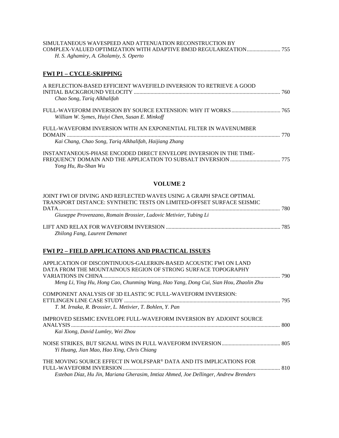### SIMULTANEOUS WAVESPEED AND ATTENUATION RECONSTRUCTION BY COMPLEX-VALUED OPTIMIZATION WITH ADAPTIVE BM3D REGULARIZATION........................ 755 *H. S. Aghamiry, A. Gholamiy, S. Operto*

### **FWI P1 – CYCLE-SKIPPING**

| A REFLECTION-BASED EFFICIENT WAVEFIELD INVERSION TO RETRIEVE A GOOD<br>Chao Song, Tariq Alkhalifah | 760  |
|----------------------------------------------------------------------------------------------------|------|
| William W. Symes, Huiyi Chen, Susan E. Minkoff                                                     |      |
| FULL-WAVEFORM INVERSION WITH AN EXPONENTIAL FILTER IN WAVENUMBER                                   | -770 |
| Kai Chang, Chao Song, Tariq Alkhalifah, Haijiang Zhang                                             |      |
| INSTANTANEOUS-PHASE ENCODED DIRECT ENVELOPE INVERSION IN THE TIME-<br>Yong Hu, Ru-Shan Wu          |      |

### **VOLUME 2**

| JOINT FWI OF DIVING AND REFLECTED WAVES USING A GRAPH SPACE OPTIMAL   |  |
|-----------------------------------------------------------------------|--|
| TRANSPORT DISTANCE: SYNTHETIC TESTS ON LIMITED-OFFSET SURFACE SEISMIC |  |
|                                                                       |  |
| Giuseppe Provenzano, Romain Brossier, Ludovic Metivier, Yubing Li     |  |
|                                                                       |  |
| Zhilong Fang, Laurent Demanet                                         |  |

### **FWI P2 – FIELD APPLICATIONS AND PRACTICAL ISSUES**

| APPLICATION OF DISCONTINUOUS-GALERKIN-BASED ACOUSTIC FWI ON LAND                     |  |
|--------------------------------------------------------------------------------------|--|
| DATA FROM THE MOUNTAINOUS REGION OF STRONG SURFACE TOPOGRAPHY                        |  |
|                                                                                      |  |
| Meng Li, Ying Hu, Hong Cao, Chunming Wang, Hao Yang, Dong Cui, Sian Hou, Zhaolin Zhu |  |
| COMPONENT ANALYSIS OF 3D ELASTIC 9C FULL-WAVEFORM INVERSION:                         |  |
|                                                                                      |  |
| T. M. Irnaka, R. Brossier, L. Metivier, T. Bohlen, Y. Pan                            |  |
| IMPROVED SEISMIC ENVELOPE FULL-WAVEFORM INVERSION BY ADJOINT SOURCE                  |  |
| <b>ANALYSIS</b>                                                                      |  |
| Kai Xiong, David Lumley, Wei Zhou                                                    |  |
|                                                                                      |  |
| Yi Huang, Jian Mao, Hao Xing, Chris Chiang                                           |  |
| THE MOVING SOURCE EFFECT IN WOLFSPAR® DATA AND ITS IMPLICATIONS FOR                  |  |
| FULL-WAVEFORM INVERSION                                                              |  |
| Esteban Díaz, Hu Jin, Mariana Gherasim, Imtiaz Ahmed, Joe Dellinger, Andrew Brenders |  |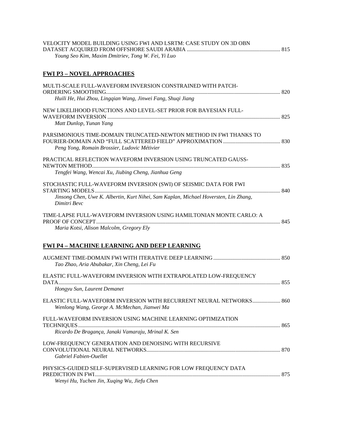| VELOCITY MODEL BUILDING USING FWI AND LSRTM: CASE STUDY ON 3D OBN |  |
|-------------------------------------------------------------------|--|
|                                                                   |  |
| Young Seo Kim, Maxim Dmitriev, Tong W. Fei, Yi Luo                |  |
|                                                                   |  |
| <b>FWI P3 – NOVEL APPROACHES</b>                                  |  |

| MULTI-SCALE FULL-WAVEFORM INVERSION CONSTRAINED WITH PATCH-                                                                                                              |  |
|--------------------------------------------------------------------------------------------------------------------------------------------------------------------------|--|
| Huili He, Hui Zhou, Lingqian Wang, Jinwei Fang, Shuqi Jiang                                                                                                              |  |
| NEW LIKELIHOOD FUNCTIONS AND LEVEL-SET PRIOR FOR BAYESIAN FULL-<br>Matt Dunlop, Yunan Yang                                                                               |  |
| PARSIMONIOUS TIME-DOMAIN TRUNCATED-NEWTON METHOD IN FWI THANKS TO<br>Peng Yong, Romain Brossier, Ludovic Métivier                                                        |  |
| PRACTICAL REFLECTION WAVEFORM INVERSION USING TRUNCATED GAUSS-<br>Tengfei Wang, Wencai Xu, Jiubing Cheng, Jianhua Geng                                                   |  |
| STOCHASTIC FULL-WAVEFORM INVERSION (SWI) OF SEISMIC DATA FOR FWI<br>Jinsong Chen, Uwe K. Albertin, Kurt Nihei, Sam Kaplan, Michael Hoversten, Lin Zhang,<br>Dimitri Bevc |  |
| TIME-LAPSE FULL-WAVEFORM INVERSION USING HAMILTONIAN MONTE CARLO: A<br>Maria Kotsi, Alison Malcolm, Gregory Ely                                                          |  |
| <b>FWI P4 - MACHINE LEARNING AND DEEP LEARNING</b>                                                                                                                       |  |
| Tao Zhao, Aria Abubakar, Xin Cheng, Lei Fu                                                                                                                               |  |
| ELASTIC FULL-WAVEFORM INVERSION WITH EXTRAPOLATED LOW-FREQUENCY<br>Hongyu Sun, Laurent Demanet                                                                           |  |
| ELASTIC FULL-WAVEFORM INVERSION WITH RECURRENT NEURAL NETWORKS 860<br>Wenlong Wang, George A. McMechan, Jianwei Ma                                                       |  |
| FULL-WAVEFORM INVERSION USING MACHINE LEARNING OPTIMIZATION<br>Ricardo De Bragança, Janaki Vamaraju, Mrinal K. Sen                                                       |  |
| LOW-FREQUENCY GENERATION AND DENOISING WITH RECURSIVE<br>Gabriel Fabien-Ouellet                                                                                          |  |
| PHYSICS-GUIDED SELF-SUPERVISED LEARNING FOR LOW FREQUENCY DATA                                                                                                           |  |

*Wenyi Hu, Yuchen Jin, Xuqing Wu, Jiefu Chen*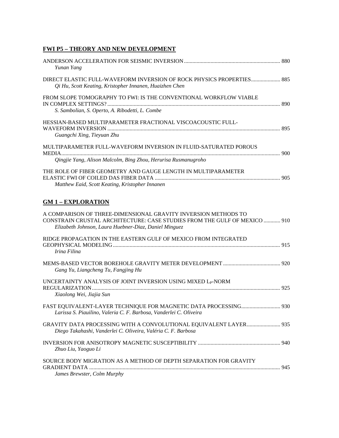### **FWI P5 – THEORY AND NEW DEVELOPMENT**

| Yunan Yang                                                                                                                                                                                           |  |
|------------------------------------------------------------------------------------------------------------------------------------------------------------------------------------------------------|--|
| DIRECT ELASTIC FULL-WAVEFORM INVERSION OF ROCK PHYSICS PROPERTIES 885<br>Qi Hu, Scott Keating, Kristopher Innanen, Huaizhen Chen                                                                     |  |
| FROM SLOPE TOMOGRAPHY TO FWI: IS THE CONVENTIONAL WORKFLOW VIABLE<br>S. Sambolian, S. Operto, A. Ribodetti, L. Combe                                                                                 |  |
| HESSIAN-BASED MULTIPARAMETER FRACTIONAL VISCOACOUSTIC FULL-<br>Guangchi Xing, Tieyuan Zhu                                                                                                            |  |
| MULTIPARAMETER FULL-WAVEFORM INVERSION IN FLUID-SATURATED POROUS<br>Qingjie Yang, Alison Malcolm, Bing Zhou, Herurisa Rusmanugroho                                                                   |  |
| THE ROLE OF FIBER GEOMETRY AND GAUGE LENGTH IN MULTIPARAMETER<br>Matthew Eaid, Scott Keating, Kristopher Innanen                                                                                     |  |
| <b>GM 1 - EXPLORATION</b>                                                                                                                                                                            |  |
| A COMPARISON OF THREE-DIMENSIONAL GRAVITY INVERSION METHODS TO<br>CONSTRAIN CRUSTAL ARCHITECTURE: CASE STUDIES FROM THE GULF OF MEXICO  910<br>Elizabeth Johnson, Laura Huebner-Diaz, Daniel Minguez |  |
| RIDGE PROPAGATION IN THE EASTERN GULF OF MEXICO FROM INTEGRATED<br>Irina Filina                                                                                                                      |  |
| Gang Yu, Liangcheng Tu, Fangjing Hu                                                                                                                                                                  |  |
| UNCERTAINTY ANALYSIS OF JOINT INVERSION USING MIXED L <sub>P</sub> -NORM<br>Xiaolong Wei, Jiajia Sun                                                                                                 |  |
| Larissa S. Piauilino, Valeria C. F. Barbosa, Vanderlei C. Oliveira                                                                                                                                   |  |
| GRAVITY DATA PROCESSING WITH A CONVOLUTIONAL EQUIVALENT LAYER 935<br>Diego Takahashi, Vanderlei C. Oliveira, Valéria C. F. Barbosa                                                                   |  |
| Zhuo Liu, Yaoguo Li                                                                                                                                                                                  |  |
| SOURCE BODY MIGRATION AS A METHOD OF DEPTH SEPARATION FOR GRAVITY<br>James Brewster, Colm Murphy                                                                                                     |  |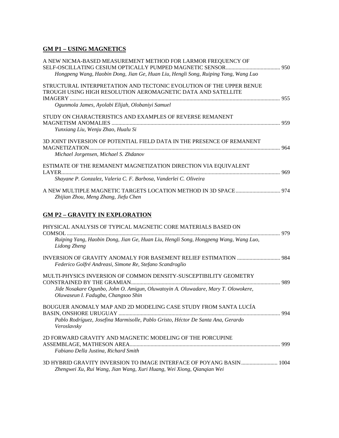### **GM P1 – USING MAGNETICS**

| A NEW NICMA-BASED MEASUREMENT METHOD FOR LARMOR FREQUENCY OF                                                                        |  |
|-------------------------------------------------------------------------------------------------------------------------------------|--|
| Hongpeng Wang, Haobin Dong, Jian Ge, Huan Liu, Hengli Song, Ruiping Yang, Wang Luo                                                  |  |
| STRUCTURAL INTERPRETATION AND TECTONIC EVOLUTION OF THE UPPER BENUE<br>TROUGH USING HIGH RESOLUTION AEROMAGNETIC DATA AND SATELLITE |  |
| Ogunmola James, Ayolabi Elijah, Olobaniyi Samuel                                                                                    |  |
| STUDY ON CHARACTERISTICS AND EXAMPLES OF REVERSE REMANENT                                                                           |  |
| Yunxiang Liu, Wenju Zhao, Hualu Si                                                                                                  |  |
| 3D JOINT INVERSION OF POTENTIAL FIELD DATA IN THE PRESENCE OF REMANENT                                                              |  |
| Michael Jorgensen, Michael S. Zhdanov                                                                                               |  |
| ESTIMATE OF THE REMANENT MAGNETIZATION DIRECTION VIA EQUIVALENT                                                                     |  |
| Shayane P. Gonzalez, Valeria C. F. Barbosa, Vanderlei C. Oliveira                                                                   |  |
| Zhijian Zhou, Meng Zhang, Jiefu Chen                                                                                                |  |
| <b>GM P2 - GRAVITY IN EXPLORATION</b>                                                                                               |  |
| PHYSICAL ANALYSIS OF TYPICAL MAGNETIC CORE MATERIALS BASED ON                                                                       |  |
| Ruiping Yang, Haobin Dong, Jian Ge, Huan Liu, Hengli Song, Hongpeng Wang, Wang Luo,<br>Lidong Zheng                                 |  |
| Federico Golfré Andreasi, Simone Re, Stefano Scandroglio                                                                            |  |
| MULTI-PHYSICS INVERSION OF COMMON DENSITY-SUSCEPTIBILITY GEOMETRY                                                                   |  |
| Jide Nosakare Ogunbo, John O. Amigun, Oluwatoyin A. Oluwadare, Mary T. Olowokere,<br>Oluwaseun I. Fadugba, Changsoo Shin            |  |
| BOUGUER ANOMALY MAP AND 2D MODELING CASE STUDY FROM SANTA LUCÍA                                                                     |  |
| Pablo Rodríguez, Josefina Marmisolle, Pablo Gristo, Héctor De Santa Ana, Gerardo<br>Veroslavsky                                     |  |
| 2D FORWARD GRAVITY AND MAGNETIC MODELING OF THE PORCUPINE                                                                           |  |
| Fabiano Della Justina, Richard Smith                                                                                                |  |
| 3D HYBRID GRAVITY INVERSION TO IMAGE INTERFACE OF POYANG BASIN  1004                                                                |  |

*Zhengwei Xu, Rui Wang, Jian Wang, Xuri Huang, Wei Xiong, Qianqian Wei*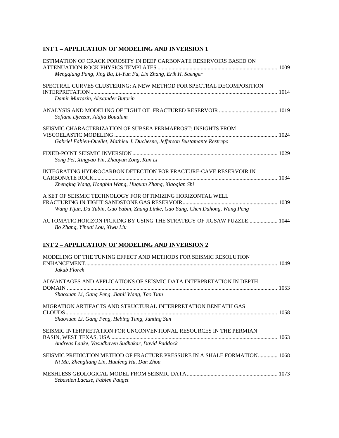# **INT 1 – APPLICATION OF MODELING AND INVERSION 1**

| ESTIMATION OF CRACK POROSITY IN DEEP CARBONATE RESERVOIRS BASED ON<br>Mengqiang Pang, Jing Ba, Li-Yun Fu, Lin Zhang, Erik H. Saenger         |  |
|----------------------------------------------------------------------------------------------------------------------------------------------|--|
| SPECTRAL CURVES CLUSTERING: A NEW METHOD FOR SPECTRAL DECOMPOSITION<br>Damir Murtazin, Alexander Butorin                                     |  |
| Sofiane Djezzar, Aldjia Boualam                                                                                                              |  |
| SEISMIC CHARACTERIZATION OF SUBSEA PERMAFROST: INSIGHTS FROM<br>Gabriel Fabien-Ouellet, Mathieu J. Duchesne, Jefferson Bustamante Restrepo   |  |
| Song Pei, Xingyao Yin, Zhaoyun Zong, Kun Li                                                                                                  |  |
| <b>INTEGRATING HYDROCARBON DETECTION FOR FRACTURE-CAVE RESERVOIR IN</b><br>Zhenqing Wang, Hongbin Wang, Huquan Zhang, Xiaoqian Shi           |  |
| A SET OF SEISMIC TECHNOLOGY FOR OPTIMIZING HORIZONTAL WELL<br>Wang Yijun, Du Yubin, Guo Yabin, Zhang Linke, Gao Yang, Chen Dahong, Wang Peng |  |
| AUTOMATIC HORIZON PICKING BY USING THE STRATEGY OF JIGSAW PUZZLE 1044<br>Bo Zhang, Yihuai Lou, Xiwu Liu                                      |  |
| <b>INT 2 - APPLICATION OF MODELING AND INVERSION 2</b>                                                                                       |  |
| MODELING OF THE TUNING EFFECT AND METHODS FOR SEISMIC RESOLUTION<br>Jakub Florek                                                             |  |
| ADVANTAGES AND APPLICATIONS OF SEISMIC DATA INTERPRETATION IN DEPTH<br>Shaoxuan Li, Gang Peng, Jianli Wang, Tao Tian                         |  |
| MIGRATION ARTIFACTS AND STRUCTURAL INTERPRETATION BENEATH GAS<br>Shaoxuan Li, Gang Peng, Hebing Tang, Junting Sun                            |  |
| SEISMIC INTERPRETATION FOR UNCONVENTIONAL RESOURCES IN THE PERMIAN<br>Andreas Laake, Vasudhaven Sudhakar, David Paddock                      |  |
| SEISMIC PREDICTION METHOD OF FRACTURE PRESSURE IN A SHALE FORMATION 1068<br>Ni Ma, Zhengliang Lin, Huafeng Hu, Dan Zhou                      |  |
| Sebastien Lacaze, Fabien Pauget                                                                                                              |  |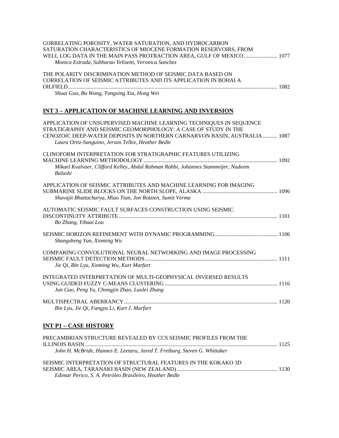| CORRELATING POROSITY, WATER SATURATION, AND HYDROCARBON<br>SATURATION CHARACTERISTICS OF MIOCENE FORMATION RESERVOIRS, FROM<br>WELL LOG DATA IN THE MAIN PASS PROTRACTION AREA, GULF OF MEXICO  1077<br>Monica Estrada, Subbarao Yelisetti, Veronica Sanchez            |
|-------------------------------------------------------------------------------------------------------------------------------------------------------------------------------------------------------------------------------------------------------------------------|
| THE POLARITY DISCRIMINATION METHOD OF SEISMIC DATA BASED ON<br>CORRELATION OF SEISMIC ATTRIBUTES AND ITS APPLICATION IN BOHAI A<br>Shuai Guo, Bo Wang, Tongxing Xia, Hong Wei                                                                                           |
| <b>INT 3 - APPLICATION OF MACHINE LEARNING AND INVERSION</b>                                                                                                                                                                                                            |
| APPLICATION OF UNSUPERVISED MACHINE LEARNING TECHNIQUES IN SEQUENCE<br>STRATIGRAPHY AND SEISMIC GEOMORPHOLOGY: A CASE OF STUDY IN THE<br>CENOZOIC DEEP-WATER DEPOSITS IN NORTHERN CARNARVON BASIN, AUSTRALIA 1087<br>Laura Ortiz-Sanguino, Jerson Tellez, Heather Bedle |
| CLINOFORM INTERPRETATION FOR STRATIGRAPHIC FEATURES UTILIZING<br>Mikael Kvalvaer, Clifford Kelley, Abdul Rahman Rahbi, Johannes Stammeijer, Nadeem<br>Balushi                                                                                                           |
| APPLICATION OF SEISMIC ATTRIBUTES AND MACHINE LEARNING FOR IMAGING<br>Shuvajit Bhattacharya, Miao Tian, Jon Rotzien, Sumit Verma                                                                                                                                        |
| AUTOMATIC SEISMIC FAULT SURFACES CONSTRUCTION USING SEISMIC<br>Bo Zhang, Yihuai Lou                                                                                                                                                                                     |
| Shangsheng Yan, Xinming Wu                                                                                                                                                                                                                                              |
| COMPARING CONVOLUTIONAL NEURAL NETWORKING AND IMAGE PROCESSING<br>Jie Qi, Bin Lyu, Xinming Wu, Kurt Marfurt                                                                                                                                                             |
| INTEGRATED INTERPRETATION OF MULTI-GEOPHYSICAL INVERSED RESULTS<br>Jun Guo, Peng Yu, Chongjin Zhao, Luolei Zhang                                                                                                                                                        |
| Bin Lyu, Jie Qi, Fangyu Li, Kurt J. Marfurt                                                                                                                                                                                                                             |
|                                                                                                                                                                                                                                                                         |

### **INT P1 – CASE HISTORY**

| PRECAMBRIAN STRUCTURE REVEALED BY CCS SEISMIC PROFILES FROM THE            |  |
|----------------------------------------------------------------------------|--|
| John H. McBride, Hannes E. Leetaru, Jared T. Freiburg, Steven G. Whittaker |  |
| SEISMIC INTERPRETATION OF STRUCTURAL FEATURES IN THE KOKAKO 3D             |  |
| Edimar Perico, S. A. Petróleo Brasileiro. Heather Bedle                    |  |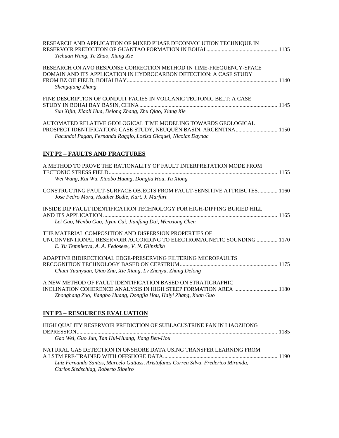| RESEARCH AND APPLICATION OF MIXED PHASE DECONVOLUTION TECHNIQUE IN<br>Yichuan Wang, Ye Zhao, Xiang Xie                                                                                                  |  |
|---------------------------------------------------------------------------------------------------------------------------------------------------------------------------------------------------------|--|
| RESEARCH ON AVO RESPONSE CORRECTION METHOD IN TIME-FREQUENCY-SPACE<br>DOMAIN AND ITS APPLICATION IN HYDROCARBON DETECTION: A CASE STUDY<br>Shengqiang Zhang                                             |  |
| FINE DESCRIPTION OF CONDUIT FACIES IN VOLCANIC TECTONIC BELT: A CASE<br>Sun Xijia, Xiaoli Hua, Delong Zhang, Zhu Qiao, Xiang Xie                                                                        |  |
| AUTOMATED RELATIVE GEOLOGICAL TIME MODELING TOWARDS GEOLOGICAL<br>PROSPECT IDENTIFICATION: CASE STUDY, NEUQUÉN BASIN, ARGENTINA 1150<br>Facundol Pagan, Fernanda Raggio, Loeiza Gicquel, Nicolas Daynac |  |
| <b>INT P2 - FAULTS AND FRACTURES</b>                                                                                                                                                                    |  |
| A METHOD TO PROVE THE RATIONALITY OF FAULT INTERPRETATION MODE FROM<br>Wei Wang, Kui Wu, Xiaobo Huang, Dongjia Hou, Yu Xiong                                                                            |  |
| CONSTRUCTING FAULT-SURFACE OBJECTS FROM FAULT-SENSITIVE ATTRIBUTES 1160<br>Jose Pedro Mora, Heather Bedle, Kurt. J. Marfurt                                                                             |  |
| INSIDE DIP FAULT IDENTIFICATION TECHNOLOGY FOR HIGH-DIPPING BURIED HILL<br>Lei Gao, Wenbo Gao, Jiyan Cai, Jianfang Dai, Wenxiong Chen                                                                   |  |
| THE MATERIAL COMPOSITION AND DISPERSION PROPERTIES OF<br>UNCONVENTIONAL RESERVOIR ACCORDING TO ELECTROMAGNETIC SOUNDING  1170<br>E. Yu Temnikova, A. A. Fedoseev, V. N. Glinskikh                       |  |
| ADAPTIVE BIDIRECTIONAL EDGE-PRESERVING FILTERING MICROFAULTS<br>Chuai Yuanyuan, Qiao Zhu, Xie Xiang, Lv Zhenyu, Zhang Delong                                                                            |  |
| A NEW METHOD OF FAULT IDENTIFICATION BASED ON STRATIGRAPHIC<br>INCLINATION COHERENCE ANALYSIS IN HIGH STEEP FORMATION AREA  1180<br>Zhonghang Zuo, Jiangbo Huang, Dongjia Hou, Haiyi Zhang, Xuan Guo    |  |
| <b>INT P3 - RESOURCES EVALUATION</b>                                                                                                                                                                    |  |
| HIGH QUALITY RESERVOIR PREDICTION OF SUBLACUSTRINE FAN IN LIAOZHONG<br>Gao Wei, Guo Jun, Tan Hui-Huang, Jiang Ben-Hou                                                                                   |  |
| NATURAL GAS DETECTION IN ONSHORE DATA USING TRANSFER LEARNING FROM                                                                                                                                      |  |
| Luiz Fernando Santos, Marcelo Gattass, Aristofanes Correa Silva, Frederico Miranda,                                                                                                                     |  |

*Carlos Siedschlag, Roberto Ribeiro*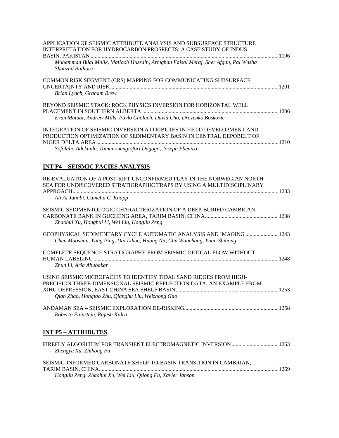| APPLICATION OF SEISMIC ATTRIBUTE ANALYSIS AND SUBSURFACE STRUCTURE<br><b>INTERPRETATION FOR HYDROCARBON PROSPECTS: A CASE STUDY OF INDUS</b>                                                    |  |
|-------------------------------------------------------------------------------------------------------------------------------------------------------------------------------------------------|--|
| Muhammad Bilal Malik, Matloob Hussain, Armghan Faisal Meraj, Sher Afgan, Pal Washa<br>Shahzad Rathore                                                                                           |  |
| COMMON RISK SEGMENT (CRS) MAPPING FOR COMMUNICATING SUBSURFACE<br>Brian Lynch, Graham Brew                                                                                                      |  |
| BEYOND SEISMIC STACK: ROCK PHYSICS INVERSION FOR HORIZONTAL WELL                                                                                                                                |  |
| Evan Mutual, Andrew Mills, Pavlo Cholach, David Cho, Drazenko Boskovic                                                                                                                          |  |
| <b>INTEGRATION OF SEISMIC INVERSION ATTRIBUTES IN FIELD DEVELOPMENT AND</b><br>PRODUCTION OPTIMIZATION OF SEDIMENTARY BASIN IN CENTRAL DEPOBELT OF                                              |  |
| Sofolabo Adekunle, Tamunonengiofori Dagogo, Joseph Ebeniro                                                                                                                                      |  |
| <b>INT P4 - SEISMIC FACIES ANALYSIS</b>                                                                                                                                                         |  |
| RE-EVALUATION OF A POST-RIFT UNCONFIRMED PLAY IN THE NORWEGIAN NORTH<br>SEA FOR UNDISCOVERED STRATIGRAPHIC TRAPS BY USING A MULTIDISCIPLINARY                                                   |  |
| Ali Al Janabi, Camelia C. Knapp                                                                                                                                                                 |  |
| SEISMIC SEDIMENTOLOGIC CHARACTERIZATION OF A DEEP-BURIED CAMBRIAN<br>Zhaohui Xu, Honghui Li, Wei Liu, Hongliu Zeng                                                                              |  |
| GEOPHYSICAL SEDIMENTARY CYCLE AUTOMATIC ANALYSIS AND IMAGING  1243<br>Chen Maoshan, Yang Ping, Dai Lihua, Huang Na, Chu Wanchang, Yuan Shihong                                                  |  |
| COMPLETE SEQUENCE STRATIGRAPHY FROM SEISMIC OPTICAL FLOW WITHOUT<br>Zhun Li, Aria Abubakar                                                                                                      |  |
| USING SEISMIC MICROFACIES TO IDENTIFY TIDAL SAND RIDGES FROM HIGH-<br>PRECISION THREE-DIMENSIONAL SEISMIC REFLECTION DATA: AN EXAMPLE FROM<br>Qian Zhao, Hongtao Zhu, Qianghu Liu, Weizhong Gao |  |
| Roberto Fainstein, Rajesh Kalra                                                                                                                                                                 |  |
| <u><b>INT P5 – ATTRIBUTES</b></u>                                                                                                                                                               |  |
| Zhengyu Xu, Zhihong Fu                                                                                                                                                                          |  |
| SEISMIC-INFORMED CARBONATE SHELF-TO-BASIN TRANSITION IN CAMBRIAN,                                                                                                                               |  |
| Hongliu Zeng, Zhaohui Xu, Wei Liu, Qilong Fu, Xavier Janson                                                                                                                                     |  |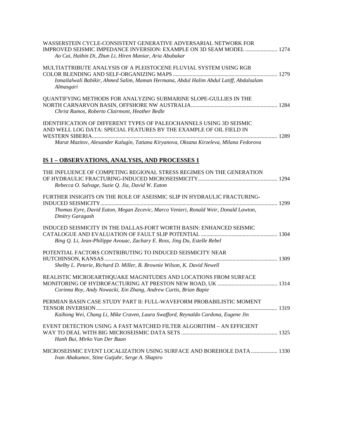| WASSERSTEIN CYCLE-CONSISTENT GENERATIVE ADVERSARIAL NETWORK FOR<br>IMPROVED SEISMIC IMPEDANCE INVERSION: EXAMPLE ON 3D SEAM MODEL  1274<br>Ao Cai, Haibin Di, Zhun Li, Hiren Maniar, Aria Abubakar                                         |  |
|--------------------------------------------------------------------------------------------------------------------------------------------------------------------------------------------------------------------------------------------|--|
| MULTIATTRIBUTE ANALYSIS OF A PLEISTOCENE FLUVIAL SYSTEM USING RGB<br>Ismailalwali Babikir, Ahmed Salim, Maman Hermana, Abdul Halim Abdul Latiff, Abdalsalam<br>Almasgari                                                                   |  |
| QUANTIFYING METHODS FOR ANALYZING SUBMARINE SLOPE-GULLIES IN THE<br>Christ Ramos, Roberto Clairmont, Heather Bedle                                                                                                                         |  |
| <b>IDENTIFICATION OF DIFFERENT TYPES OF PALEOCHANNELS USING 3D SEISMIC</b><br>AND WELL LOG DATA: SPECIAL FEATURES BY THE EXAMPLE OF OIL FIELD IN<br>Marat Mazitov, Alexander Kalugin, Tatiana Kiryanova, Oksana Kirzeleva, Milana Fedorova |  |
| IS 1 - OBSERVATIONS, ANALYSIS, AND PROCESSES 1                                                                                                                                                                                             |  |
| THE INFLUENCE OF COMPETING REGIONAL STRESS REGIMES ON THE GENERATION<br>Rebecca O. Salvage, Suzie Q. Jia, David W. Eaton                                                                                                                   |  |
| FURTHER INSIGHTS ON THE ROLE OF ASEISMIC SLIP IN HYDRAULIC FRACTURING-<br>Thomas Eyre, David Eaton, Megan Zecevic, Marco Venieri, Ronald Weir, Donald Lawton,<br><b>Dmitry Garagash</b>                                                    |  |
| INDUCED SEISMICITY IN THE DALLAS-FORT WORTH BASIN: ENHANCED SEISMIC<br>Bing Q. Li, Jean-Philippe Avouac, Zachary E. Ross, Jing Du, Estelle Rebel                                                                                           |  |
| POTENTIAL FACTORS CONTRIBUTING TO INDUCED SEISMICITY NEAR<br>Shelby L. Peterie, Richard D. Miller, B. Brownie Wilson, K. David Newell                                                                                                      |  |
| REALISTIC MICROEARTHQUAKE MAGNITUDES AND LOCATIONS FROM SURFACE<br>Corinna Roy, Andy Nowacki, Xin Zhang, Andrew Curtis, Brian Bapie                                                                                                        |  |
| PERMIAN BASIN CASE STUDY PART II: FULL-WAVEFORM PROBABILISTIC MOMENT<br>Kaihong Wei, Chang Li, Mike Craven, Laura Swafford, Reynaldo Cardona, Eugene Jin                                                                                   |  |
| EVENT DETECTION USING A FAST MATCHED FILTER ALGORITHM - AN EFFICIENT<br>Hanh Bui, Mirko Van Der Baan                                                                                                                                       |  |
| MICROSEISMIC EVENT LOCALIZATION USING SURFACE AND BOREHOLE DATA  1330<br>Ivan Abakumov, Stine Gutjahr, Serge A. Shapiro                                                                                                                    |  |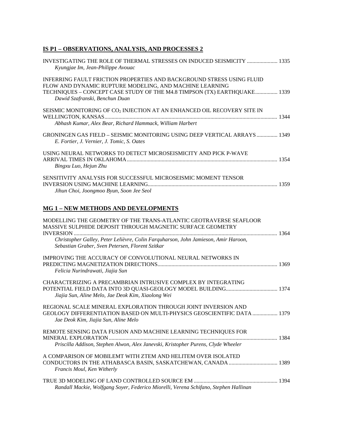### **IS P1 – OBSERVATIONS, ANALYSIS, AND PROCESSES 2**

| INVESTIGATING THE ROLE OF THERMAL STRESSES ON INDUCED SEISMICITY  1335<br>Kyungjae Im, Jean-Philippe Avouac                                                                                                                                                               |  |
|---------------------------------------------------------------------------------------------------------------------------------------------------------------------------------------------------------------------------------------------------------------------------|--|
| INFERRING FAULT FRICTION PROPERTIES AND BACKGROUND STRESS USING FLUID<br>FLOW AND DYNAMIC RUPTURE MODELING, AND MACHINE LEARNING<br>TECHNIQUES - CONCEPT CASE STUDY OF THE M4.8 TIMPSON (TX) EARTHQUAKE 1339<br>Dawid Szafranski, Benchun Duan                            |  |
| SEISMIC MONITORING OF CO <sub>2</sub> INJECTION AT AN ENHANCED OIL RECOVERY SITE IN<br>Abhash Kumar, Alex Bear, Richard Hammack, William Harbert                                                                                                                          |  |
| GRONINGEN GAS FIELD - SEISMIC MONITORING USING DEEP VERTICAL ARRAYS  1349<br>E. Fortier, J. Vernier, J. Tomic, S. Oates                                                                                                                                                   |  |
| USING NEURAL NETWORKS TO DETECT MICROSEISMICITY AND PICK P-WAVE<br>Bingxu Luo, Hejun Zhu                                                                                                                                                                                  |  |
| SENSITIVITY ANALYSIS FOR SUCCESSFUL MICROSEISMIC MOMENT TENSOR<br>Jihun Choi, Joongmoo Byun, Soon Jee Seol                                                                                                                                                                |  |
| <b>MG 1 - NEW METHODS AND DEVELOPMENTS</b>                                                                                                                                                                                                                                |  |
| MODELLING THE GEOMETRY OF THE TRANS-ATLANTIC GEOTRAVERSE SEAFLOOR<br>MASSIVE SULPHIDE DEPOSIT THROUGH MAGNETIC SURFACE GEOMETRY<br>Christopher Galley, Peter Lelièvre, Colin Farquharson, John Jamieson, Amir Haroon,<br>Sebastian Graber, Sven Petersen, Florent Szitkar |  |
| <b>IMPROVING THE ACCURACY OF CONVOLUTIONAL NEURAL NETWORKS IN</b><br>Felicia Nurindrawati, Jiajia Sun                                                                                                                                                                     |  |
| CHARACTERIZING A PRECAMBRIAN INTRUSIVE COMPLEX BY INTEGRATING<br>Jiajia Sun, Aline Melo, Jae Deok Kim, Xiaolong Wei                                                                                                                                                       |  |
| REGIONAL SCALE MINERAL EXPLORATION THROUGH JOINT INVERSION AND<br>GEOLOGY DIFFERENTIATION BASED ON MULTI-PHYSICS GEOSCIENTIFIC DATA  1379<br>Jae Deok Kim, Jiajia Sun, Aline Melo                                                                                         |  |
| REMOTE SENSING DATA FUSION AND MACHINE LEARNING TECHNIQUES FOR<br>Priscilla Addison, Stephen Alwon, Alex Janevski, Kristopher Purens, Clyde Wheeler                                                                                                                       |  |
| A COMPARISON OF MOBILEMT WITH ZTEM AND HELITEM OVER ISOLATED<br>CONDUCTORS IN THE ATHABASCA BASIN, SASKATCHEWAN, CANADA  1389<br>Francis Moul, Ken Witherly                                                                                                               |  |
| Randall Mackie, Wolfgang Soyer, Federico Miorelli, Verena Schifano, Stephen Hallinan                                                                                                                                                                                      |  |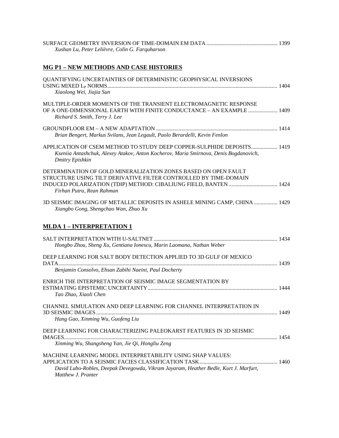| Xushan Lu, Peter Lelièvre, Colin G. Farquharson |  |
|-------------------------------------------------|--|

### **MG P1 – NEW METHODS AND CASE HISTORIES**

| QUANTIFYING UNCERTAINTIES OF DETERMINISTIC GEOPHYSICAL INVERSIONS<br>Xiaolong Wei, Jiajia Sun                                                                                      |  |
|------------------------------------------------------------------------------------------------------------------------------------------------------------------------------------|--|
| MULTIPLE-ORDER MOMENTS OF THE TRANSIENT ELECTROMAGNETIC RESPONSE<br>OF A ONE-DIMENSIONAL EARTH WITH FINITE CONDUCTANCE - AN EXAMPLE  1409<br>Richard S. Smith, Terry J. Lee        |  |
| Brian Bengert, Markus Svilans, Jean Legault, Paolo Berardelli, Kevin Fenlon                                                                                                        |  |
| APPLICATION OF CSEM METHOD TO STUDY DEEP COPPER-SULPHIDE DEPOSITS 1419<br>Kseniia Antashchuk, Alexey Atakov, Anton Kocherov, Maria Smirnova, Denis Bogdanovich,<br>Dmitry Epishkin |  |
| DETERMINATION OF GOLD MINERALIZATION ZONES BASED ON OPEN FAULT<br>STRUCTURE USING TILT DERIVATIVE FILTER CONTROLLED BY TIME-DOMAIN<br>Firhan Putra, Rean Rahman                    |  |
| 3D SEISMIC IMAGING OF METALLIC DEPOSITS IN ASHELE MINING CAMP, CHINA  1429<br>Xiangbo Gong, Shengchao Wan, Zhuo Xu                                                                 |  |
| <b>MLDA 1 - INTERPRETATION 1</b>                                                                                                                                                   |  |
| Hongbo Zhou, Sheng Xu, Gentiana Ionescu, Marin Laomana, Nathan Weber                                                                                                               |  |
| DEEP LEARNING FOR SALT BODY DETECTION APPLIED TO 3D GULF OF MEXICO<br>Benjamin Consolvo, Ehsan Zabihi Naeini, Paul Docherty                                                        |  |
| ENRICH THE INTERPRETATION OF SEISMIC IMAGE SEGMENTATION BY<br>Tao Zhao, Xiaoli Chen                                                                                                |  |
| CHANNEL SIMULATION AND DEEP LEARNING FOR CHANNEL INTERPRETATION IN<br>Hang Gao, Xinming Wu, Guofeng Liu                                                                            |  |
| DEEP LEARNING FOR CHARACTERIZING PALEOKARST FEATURES IN 3D SEISMIC<br>Xinming Wu, Shangsheng Yan, Jie Qi, Hongliu Zeng                                                             |  |
| MACHINE LEARNING MODEL INTERPRETABILITY USING SHAP VALUES:<br>David Lubo-Robles, Deepak Devegowda, Vikram Jayaram, Heather Bedle, Kurt J. Marfurt,<br>Matthew J. Pranter           |  |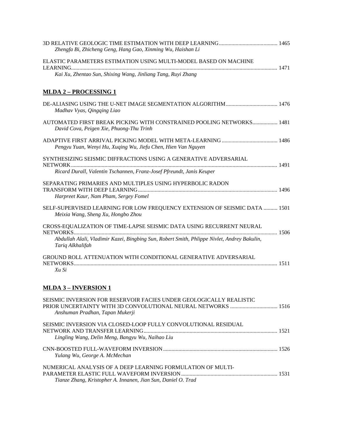| Zhengfa Bi, Zhicheng Geng, Hang Gao, Xinming Wu, Haishan Li                                                                                                             |  |
|-------------------------------------------------------------------------------------------------------------------------------------------------------------------------|--|
| ELASTIC PARAMETERS ESTIMATION USING MULTI-MODEL BASED ON MACHINE                                                                                                        |  |
| Kai Xu, Zhentao Sun, Shixing Wang, Jinliang Tang, Ruyi Zhang                                                                                                            |  |
| <u>MLDA 2 – PROCESSING 1</u>                                                                                                                                            |  |
| Madhav Vyas, Qingqing Liao                                                                                                                                              |  |
| AUTOMATED FIRST BREAK PICKING WITH CONSTRAINED POOLING NETWORKS 1481<br>David Cova, Peigen Xie, Phuong-Thu Trinh                                                        |  |
| Pengyu Yuan, Wenyi Hu, Xuqing Wu, Jiefu Chen, Hien Van Nguyen                                                                                                           |  |
| SYNTHESIZING SEISMIC DIFFRACTIONS USING A GENERATIVE ADVERSARIAL<br>Ricard Durall, Valentin Tschannen, Franz-Josef Pfreundt, Janis Keuper                               |  |
| SEPARATING PRIMARIES AND MULTIPLES USING HYPERBOLIC RADON<br>Harpreet Kaur, Nam Pham, Sergey Fomel                                                                      |  |
| SELF-SUPERVISED LEARNING FOR LOW FREQUENCY EXTENSION OF SEISMIC DATA  1501<br>Meixia Wang, Sheng Xu, Hongbo Zhou                                                        |  |
| CROSS-EQUALIZATION OF TIME-LAPSE SEISMIC DATA USING RECURRENT NEURAL                                                                                                    |  |
| Abdullah Alali, Vladimir Kazei, Bingbing Sun, Robert Smith, Phlippe Nivlet, Andrey Bakulin,<br>Tariq Alkhalifah                                                         |  |
| GROUND ROLL ATTENUATION WITH CONDITIONAL GENERATIVE ADVERSARIAL<br>Xu Si                                                                                                |  |
| <b>MLDA 3 - INVERSION 1</b>                                                                                                                                             |  |
| SEISMIC INVERSION FOR RESERVOIR FACIES UNDER GEOLOGICALLY REALISTIC<br>PRIOR UNCERTAINTY WITH 3D CONVOLUTIONAL NEURAL NETWORKS  1516<br>Anshuman Pradhan, Tapan Mukerji |  |
| SEISMIC INVERSION VIA CLOSED-LOOP FULLY CONVOLUTIONAL RESIDUAL<br>Lingling Wang, Delin Meng, Bangyu Wu, Naihao Liu                                                      |  |
| Yulang Wu, George A. McMechan                                                                                                                                           |  |
| NUMERICAL ANALYSIS OF A DEEP LEARNING FORMULATION OF MULTI-                                                                                                             |  |

PARAMETER ELASTIC FULL WAVEFORM INVERSION..................................................................... 1531

*Tianze Zhang, Kristopher A. Innanen, Jian Sun, Daniel O. Trad*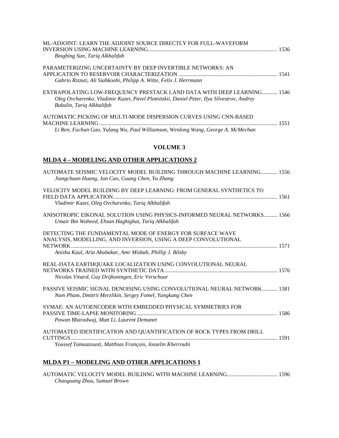| ML-ADJOINT: LEARN THE ADJOINT SOURCE DIRECTLY FOR FULL-WAVEFORM<br>Bingbing Sun, Tariq Alkhalifah                                                                                                |  |
|--------------------------------------------------------------------------------------------------------------------------------------------------------------------------------------------------|--|
| PARAMETERIZING UNCERTAINTY BY DEEP INVERTIBLE NETWORKS: AN<br>Gabrio Rizzuti, Ali Siahkoohi, Philipp A. Witte, Felix J. Herrmann                                                                 |  |
| EXTRAPOLATING LOW-FREQUENCY PRESTACK LAND DATA WITH DEEP LEARNING 1546<br>Oleg Ovcharenko, Vladimir Kazei, Pavel Plotnitskii, Daniel Peter, Ilya Silvestrov, Andrey<br>Bakulin, Tariq Alkhalifah |  |
| AUTOMATIC PICKING OF MULTI-MODE DISPERSION CURVES USING CNN-BASED<br>Li Ren, Fuchun Gao, Yulang Wu, Paul Williamson, Wenlong Wang, George A. McMechan                                            |  |

### **VOLUME 3**

### **MLDA 4 – MODELING AND OTHER APPLICATIONS 2**

| AUTOMATE SEISMIC VELOCITY MODEL BUILDING THROUGH MACHINE LEARNING 1556<br>Jiangchuan Huang, Jun Cao, Guang Chen, Yu Zhang            |  |
|--------------------------------------------------------------------------------------------------------------------------------------|--|
| VELOCITY MODEL BUILDING BY DEEP LEARNING: FROM GENERAL SYNTHETICS TO                                                                 |  |
| Vladimir Kazei, Oleg Ovcharenko, Tariq Alkhalifah                                                                                    |  |
| ANISOTROPIC EIKONAL SOLUTION USING PHYSICS-INFORMED NEURAL NETWORKS 1566<br>Umair Bin Waheed, Ehsan Haghighat, Tariq Alkhalifah      |  |
| DETECTING THE FUNDAMENTAL MODE OF ENERGY FOR SURFACE WAVE<br>ANALYSIS, MODELLING, AND INVERSION, USING A DEEP CONVOLUTIONAL          |  |
| Anisha Kaul, Aria Abubakar, Amr Misbah, Phillip J. Bilsby                                                                            |  |
| REAL-DATA EARTHQUAKE LOCALIZATION USING CONVOLUTIONAL NEURAL<br>Nicolas Vinard, Guy Drijkoningen, Eric Verschuur                     |  |
| PASSIVE SEISMIC SIGNAL DENOISING USING CONVOLUTIONAL NEURAL NETWORK 1581<br>Nam Pham, Dmitrii Merzlikin, Sergey Fomel, Yangkang Chen |  |
| SYMAE: AN AUTOENCODER WITH EMBEDDED PHYSICAL SYMMETRIES FOR<br>Pawan Bharadwaj, Matt Li, Laurent Demanet                             |  |
| AUTOMATED IDENTIFICATION AND QUANTIFICATION OF ROCK TYPES FROM DRILL<br>Youssef Tamaazousti, Matthias François, Josselin Kherroubi   |  |

### **MLDA P1 – MODELING AND OTHER APPLICATIONS 1**

AUTOMATIC VELOCITY MODEL BUILDING WITH MACHINE LEARNING.................................... 1596 *Chaoguang Zhou, Samuel Brown*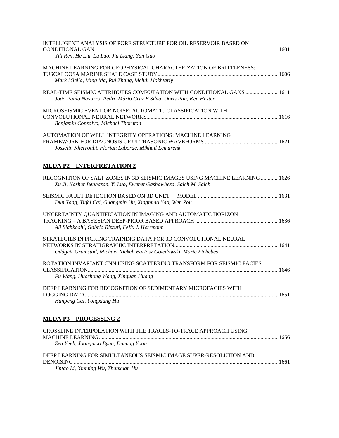| INTELLIGENT ANALYSIS OF PORE STRUCTURE FOR OIL RESERVOIR BASED ON<br>Yili Ren, He Liu, Lu Luo, Jia Liang, Yan Gao                               |  |
|-------------------------------------------------------------------------------------------------------------------------------------------------|--|
| MACHINE LEARNING FOR GEOPHYSICAL CHARACTERIZATION OF BRITTLENESS:<br>Mark Mlella, Ming Ma, Rui Zhang, Mehdi Mokhtariy                           |  |
| REAL-TIME SEISMIC ATTRIBUTES COMPUTATION WITH CONDITIONAL GANS  1611<br>João Paulo Navarro, Pedro Mário Cruz E Silva, Doris Pan, Ken Hester     |  |
| MICROSEISMIC EVENT OR NOISE: AUTOMATIC CLASSIFICATION WITH<br>Benjamin Consolvo, Michael Thornton                                               |  |
| AUTOMATION OF WELL INTEGRITY OPERATIONS: MACHINE LEARNING<br>Josselin Kherroubi, Florian Laborde, Mikhail Lemarenk                              |  |
| <b>MLDA P2 - INTERPRETATION 2</b>                                                                                                               |  |
| RECOGNITION OF SALT ZONES IN 3D SEISMIC IMAGES USING MACHINE LEARNING 1626<br>Xu Ji, Nasher Benhasan, Yi Luo, Ewenet Gashawbeza, Saleh M. Saleh |  |
| Dun Yang, Yufei Cai, Guangmin Hu, Xingmiao Yao, Wen Zou                                                                                         |  |
| UNCERTAINTY QUANTIFICATION IN IMAGING AND AUTOMATIC HORIZON<br>Ali Siahkoohi, Gabrio Rizzuti, Felix J. Herrmann                                 |  |
| STRATEGIES IN PICKING TRAINING DATA FOR 3D CONVOLUTIONAL NEURAL<br>Oddgeir Gramstad, Michael Nickel, Bartosz Goledowski, Marie Etchebes         |  |
| ROTATION INVARIANT CNN USING SCATTERING TRANSFORM FOR SEISMIC FACIES<br>Fu Wang, Huazhong Wang, Xinquan Huang                                   |  |
| DEEP LEARNING FOR RECOGNITION OF SEDIMENTARY MICROFACIES WITH<br>Hanpeng Cai, Yongxiang Hu                                                      |  |
| <u>MLDA P3 – PROCESSING 2</u>                                                                                                                   |  |
| CROSSLINE INTERPOLATION WITH THE TRACES-TO-TRACE APPROACH USING<br>Zeu Yeeh, Joongmoo Byun, Daeung Yoon                                         |  |
| DEEP LEARNING FOR SIMULTANEOUS SEISMIC IMAGE SUPER-RESOLUTION AND<br>Jintao Li, Xinming Wu, Zhanxuan Hu                                         |  |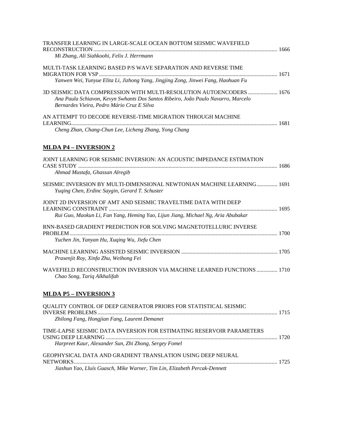| TRANSFER LEARNING IN LARGE-SCALE OCEAN BOTTOM SEISMIC WAVEFIELD                                                                                                                                         | 1666 |
|---------------------------------------------------------------------------------------------------------------------------------------------------------------------------------------------------------|------|
| Mi Zhang, Ali Siahkoohi, Felix J. Herrmann                                                                                                                                                              |      |
| MULTI-TASK LEARNING BASED P/S WAVE SEPARATION AND REVERSE TIME                                                                                                                                          |      |
| Yanwen Wei, Yunyue Elita Li, Jizhong Yang, Jingjing Zong, Jinwei Fang, Haohuan Fu                                                                                                                       |      |
| 3D SEISMIC DATA COMPRESSION WITH MULTI-RESOLUTION AUTOENCODERS  1676<br>Ana Paula Schiavon, Kevyn Swhants Dos Santos Ribeiro, João Paulo Navarro, Marcelo<br>Bernardes Vieira, Pedro Mário Cruz E Silva |      |
| AN ATTEMPT TO DECODE REVERSE-TIME MIGRATION THROUGH MACHINE<br>Cheng Zhan, Chang-Chun Lee, Licheng Zhang, Yong Chang                                                                                    |      |

# **MLDA P4 – INVERSION 2**

| JOINT LEARNING FOR SEISMIC INVERSION: AN ACOUSTIC IMPEDANCE ESTIMATION<br>Ahmad Mustafa, Ghassan Alregib                 |  |
|--------------------------------------------------------------------------------------------------------------------------|--|
| SEISMIC INVERSION BY MULTI-DIMENSIONAL NEWTONIAN MACHINE LEARNING 1691<br>Yuging Chen, Erdinc Saygin, Gerard T. Schuster |  |
| JOINT 2D INVERSION OF AMT AND SEISMIC TRAVELTIME DATA WITH DEEP                                                          |  |
| Rui Guo, Maokun Li, Fan Yang, Heming Yao, Lijun Jiang, Michael Ng, Aria Abubakar                                         |  |
| RNN-BASED GRADIENT PREDICTION FOR SOLVING MAGNETOTELLURIC INVERSE                                                        |  |
| Yuchen Jin, Yanyan Hu, Xuqing Wu, Jiefu Chen                                                                             |  |
| Prasenjit Roy, Xinfa Zhu, Weihong Fei                                                                                    |  |
| WAVEFIELD RECONSTRUCTION INVERSION VIA MACHINE LEARNED FUNCTIONS  1710<br>Chao Song, Tariq Alkhalifah                    |  |
| <b>MLDA P5 - INVERSION 3</b>                                                                                             |  |
| <b>QUALITY CONTROL OF DEEP GENERATOR PRIORS FOR STATISTICAL SEISMIC</b>                                                  |  |
| Zhilong Fang, Hongjian Fang, Laurent Demanet                                                                             |  |
| TIME-LAPSE SEISMIC DATA INVERSION FOR ESTIMATING RESERVOIR PARAMETERS                                                    |  |
| Harpreet Kaur, Alexander Sun, Zhi Zhong, Sergey Fomel                                                                    |  |
|                                                                                                                          |  |

| GEOPHYSICAL DATA AND GRADIENT TRANSLATION USING DEEP NEURAL               |  |
|---------------------------------------------------------------------------|--|
|                                                                           |  |
| Jiashun Yao, Lluís Guasch, Mike Warner, Tim Lin, Elizabeth Percak-Dennett |  |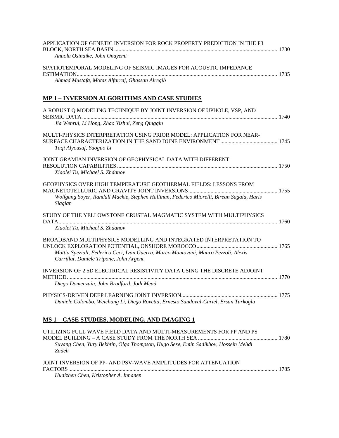| APPLICATION OF GENETIC INVERSION FOR ROCK PROPERTY PREDICTION IN THE F3                                                                                       |  |
|---------------------------------------------------------------------------------------------------------------------------------------------------------------|--|
| Anuola Osinaike, John Onayemi                                                                                                                                 |  |
| SPATIOTEMPORAL MODELING OF SEISMIC IMAGES FOR ACOUSTIC IMPEDANCE                                                                                              |  |
| Ahmad Mustafa, Motaz Alfarraj, Ghassan Alregib                                                                                                                |  |
| <b>MP 1 - INVERSION ALGORITHMS AND CASE STUDIES</b>                                                                                                           |  |
| A ROBUST Q MODELING TECHNIQUE BY JOINT INVERSION OF UPHOLE, VSP, AND                                                                                          |  |
| Jia Wenrui, Li Hong, Zhao Yishui, Zeng Qingqin                                                                                                                |  |
| MULTI-PHYSICS INTERPRETATION USING PRIOR MODEL: APPLICATION FOR NEAR-<br>Taqi Alyousuf, Yaoguo Li                                                             |  |
| JOINT GRAMIAN INVERSION OF GEOPHYSICAL DATA WITH DIFFERENT<br>Xiaolei Tu, Michael S. Zhdanov                                                                  |  |
|                                                                                                                                                               |  |
| GEOPHYSICS OVER HIGH TEMPERATURE GEOTHERMAL FIELDS: LESSONS FROM<br>Wolfgang Soyer, Randall Mackie, Stephen Hallinan, Federico Miorelli, Birean Sagala, Haris |  |
| Siagian                                                                                                                                                       |  |
| STUDY OF THE YELLOWSTONE CRUSTAL MAGMATIC SYSTEM WITH MULTIPHYSICS<br>Xiaolei Tu, Michael S. Zhdanov                                                          |  |
| BROADBAND MULTIPHYSICS MODELLING AND INTEGRATED INTERPRETATION TO                                                                                             |  |
| Mattia Speziali, Federico Ceci, Ivan Guerra, Marco Mantovani, Mauro Pezzoli, Alexis<br>Carrillat, Daniele Tripone, John Argent                                |  |
| INVERSION OF 2.5D ELECTRICAL RESISTIVITY DATA USING THE DISCRETE ADJOINT                                                                                      |  |
| Diego Domenzain, John Bradford, Jodi Mead                                                                                                                     |  |
| Daniele Colombo, Weichang Li, Diego Rovetta, Ernesto Sandoval-Curiel, Ersan Turkoglu                                                                          |  |
| MS 1 - CASE STUDIES, MODELING, AND IMAGING 1                                                                                                                  |  |
| UTILIZING FULL WAVE FIELD DATA AND MULTI-MEASUREMENTS FOR PP AND PS                                                                                           |  |
| Suyang Chen, Yury Bekhtin, Olga Thompson, Hugo Sese, Emin Sadikhov, Hossein Mehdi<br>Zadeh                                                                    |  |
| JOINT INVERSION OF PP- AND PSV-WAVE AMPLITUDES FOR ATTENUATION                                                                                                |  |

FACTORS...................................................................................................................................................... 1785

*Huaizhen Chen, Kristopher A. Innanen*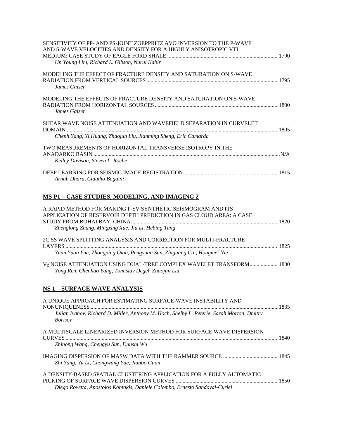| SENSITIVITY OF PP- AND PS-JOINT ZOEPPRITZ AVO INVERSION TO THE P-WAVE<br>AND S-WAVE VELOCITIES AND DENSITY FOR A HIGHLY ANISOTROPIC VTI<br>Un Young Lim, Richard L. Gibson, Nurul Kabir |  |
|-----------------------------------------------------------------------------------------------------------------------------------------------------------------------------------------|--|
| MODELING THE EFFECT OF FRACTURE DENSITY AND SATURATION ON S-WAVE<br>James Gaiser                                                                                                        |  |
| MODELING THE EFFECTS OF FRACTURE DENSITY AND SATURATION ON S-WAVE<br>James Gaiser                                                                                                       |  |
| SHEAR WAVE NOISE ATTENUATION AND WAVEFIELD SEPARATION IN CURVELET<br>Chenh Yang, Yi Huang, Zhaojun Liu, Jianming Sheng, Eric Camarda                                                    |  |
| TWO MEASUREMENTS OF HORIZONTAL TRANSVERSE ISOTROPY IN THE<br>Kelley Davison, Steven L. Roche                                                                                            |  |
| Arnab Dhara, Claudio Bagaini                                                                                                                                                            |  |

# **MS P1 – CASE STUDIES, MODELING, AND IMAGING 2**

| A RAPID METHOD FOR MAKING P-SV SYNTHETIC SEISMOGRAM AND ITS<br>APPLICATION OF RESERVOIR DEPTH PREDICTION IN GAS CLOUD AREA: A CASE                                                              | 1820 |
|-------------------------------------------------------------------------------------------------------------------------------------------------------------------------------------------------|------|
| Zhenglong Zhang, Mingxing Xue, Jiu Li, Hebing Tang<br>2C SS WAVE SPLITTING ANALYSIS AND CORRECTION FOR MULTI-FRACTURE<br>Yuan Yuan Yue, Zhongping Qian, Pengyuan Sun, Zhiguang Cai, Hongmei Nie |      |
| V <sub>Z</sub> NOISE ATTENUATION USING DUAL-TREE COMPLEX WAVELET TRANSFORM 1830<br>Yong Ren, Chenhao Yang, Tomislav Degel, Zhaojun Liu                                                          |      |
| <b>NS 1 - SURFACE WAVE ANALYSIS</b>                                                                                                                                                             |      |

| A UNIQUE APPROACH FOR ESTIMATING SURFACE-WAVE INSTABILITY AND<br>Julian Ivanov, Richard D. Miller, Anthony M. Hoch, Shelby L. Peterie, Sarah Morton, Dmitry<br><b>Borisov</b> |  |
|-------------------------------------------------------------------------------------------------------------------------------------------------------------------------------|--|
| A MULTISCALE LINEARIZED INVERSION METHOD FOR SURFACE WAVE DISPERSION                                                                                                          |  |
| Zhinong Wang, Chengyu Sun, Dunshi Wu                                                                                                                                          |  |
| Zhi Yang, Yu Li, Chongwang Yue, Jianbo Guan                                                                                                                                   |  |
| A DENSITY-BASED SPATIAL CLUSTERING APPLICATION FOR A FULLY AUTOMATIC<br>Diego Rovetta, Apostolos Kontakis, Daniele Colombo, Ernesto Sandoval-Curiel                           |  |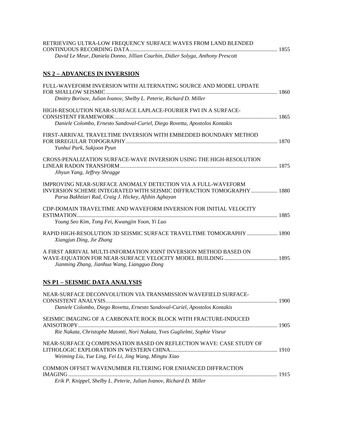| RETRIEVING ULTRA-LOW FREQUENCY SURFACE WAVES FROM LAND BLENDED                 |  |
|--------------------------------------------------------------------------------|--|
|                                                                                |  |
| David Le Meur, Daniela Donno, Jillian Courbin, Didier Solyga, Anthony Prescott |  |

### **NS 2 – ADVANCES IN INVERSION**

| FULL-WAVEFORM INVERSION WITH ALTERNATING SOURCE AND MODEL UPDATE                                                                                                                             |  |
|----------------------------------------------------------------------------------------------------------------------------------------------------------------------------------------------|--|
| Dmitry Borisov, Julian Ivanov, Shelby L. Peterie, Richard D. Miller                                                                                                                          |  |
| HIGH-RESOLUTION NEAR-SURFACE LAPLACE-FOURIER FWI IN A SURFACE-                                                                                                                               |  |
| Daniele Colombo, Ernesto Sandoval-Curiel, Diego Rovetta, Apostolos Kontakis                                                                                                                  |  |
| FIRST-ARRIVAL TRAVELTIME INVERSION WITH EMBEDDED BOUNDARY METHOD<br>Yunhui Park, Sukjoon Pyun                                                                                                |  |
| CROSS-PENALIZATION SURFACE-WAVE INVERSION USING THE HIGH-RESOLUTION<br>Jihyun Yang, Jeffrey Shragge                                                                                          |  |
| IMPROVING NEAR-SURFACE ANOMALY DETECTION VIA A FULL-WAVEFORM<br>INVERSION SCHEME INTEGRATED WITH SEISMIC DIFFRACTION TOMOGRAPHY 1880<br>Parsa Bakhtiari Rad, Craig J. Hickey, Afshin Aghayan |  |
| CDP-DOMAIN TRAVELTIME AND WAVEFORM INVERSION FOR INITIAL VELOCITY<br>Young Seo Kim, Tong Fei, Kwangjin Yoon, Yi Luo                                                                          |  |
| RAPID HIGH-RESOLUTION 3D SEISMIC SURFACE TRAVELTIME TOMOGRAPHY  1890<br>Xiangjun Ding, Jie Zhang                                                                                             |  |
| A FIRST ARRIVAL MULTI-INFORMATION JOINT INVERSION METHOD BASED ON<br>Jianming Zhang, Jianhua Wang, Liangguo Dong                                                                             |  |
| <b>NS P1 - SEISMIC DATA ANALYSIS</b>                                                                                                                                                         |  |
| NEAR-SURFACE DECONVOLUTION VIA TRANSMISSION WAVEFIELD SURFACE-<br>Daniele Colombo, Diego Rovetta, Ernesto Sandoval-Curiel, Apostolos Kontakis                                                |  |
| SEISMIC IMAGING OF A CARBONATE ROCK BLOCK WITH FRACTURE-INDUCED<br>Rie Nakata, Christophe Matonti, Nori Nakata, Yves Guglielmi, Sophie Viseur                                                |  |
| NEAR-SURFACE Q COMPENSATION BASED ON REFLECTION WAVE: CASE STUDY OF<br>Weiming Liu, Yue Ling, Fei Li, Jing Wang, Mingtu Xiao                                                                 |  |
| COMMON OFFSET WAVENUMBER FILTERING FOR ENHANCED DIFFRACTION<br>Erik P. Knippel, Shelby L. Peterie, Julian Ivanov, Richard D. Miller                                                          |  |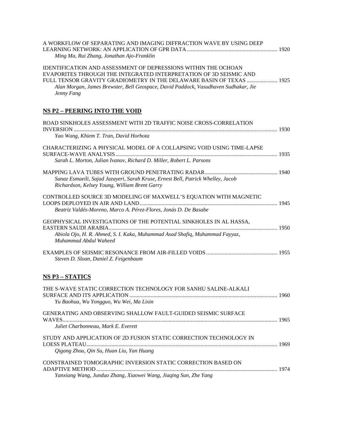| A WORKFLOW OF SEPARATING AND IMAGING DIFFRACTION WAVE BY USING DEEP<br>Ming Ma, Rui Zhang, Jonathan Ajo-Franklin                                                                                                                                                                                                         |  |
|--------------------------------------------------------------------------------------------------------------------------------------------------------------------------------------------------------------------------------------------------------------------------------------------------------------------------|--|
| <b>IDENTIFICATION AND ASSESSMENT OF DEPRESSIONS WITHIN THE OCHOAN</b><br>EVAPORITES THROUGH THE INTEGRATED INTERPRETATION OF 3D SEISMIC AND<br>FULL TENSOR GRAVITY GRADIOMETRY IN THE DELAWARE BASIN OF TEXAS  1925<br>Alan Morgan, James Brewster, Bell Geospace, David Paddock, Vasudhaven Sudhakar, Jie<br>Jenny Fang |  |
| <b>NS P2 - PEERING INTO THE VOID</b>                                                                                                                                                                                                                                                                                     |  |
| ROAD SINKHOLES ASSESSMENT WITH 2D TRAFFIC NOISE CROSS-CORRELATION<br>Yao Wang, Khiem T. Tran, David Horhota                                                                                                                                                                                                              |  |
| CHARACTERIZING A PHYSICAL MODEL OF A COLLAPSING VOID USING TIME-LAPSE<br>Sarah L. Morton, Julian Ivanov, Richard D. Miller, Robert L. Parsons                                                                                                                                                                            |  |
| Sanaz Esmaeili, Sajad Jazayeri, Sarah Kruse, Ernest Bell, Patrick Whelley, Jacob<br>Richardson, Kelsey Young, William Brent Garry                                                                                                                                                                                        |  |
| CONTROLLED SOURCE 3D MODELING OF MAXWELL'S EQUATION WITH MAGNETIC<br>Beatriz Valdés-Moreno, Marco A. Pérez-Flores, Jonás D. De Basabe                                                                                                                                                                                    |  |
| GEOPHYSICAL INVESTIGATIONS OF THE POTENTIAL SINKHOLES IN AL HASSA,<br>Abiola Ojo, H. R. Ahmed, S. I. Kaka, Muhammad Asad Shafiq, Muhammad Fayyaz,<br>Muhammad Abdul Waheed                                                                                                                                               |  |
| Steven D. Sloan, Daniel Z. Feigenbaum                                                                                                                                                                                                                                                                                    |  |
| <b>NS P3 – STATICS</b>                                                                                                                                                                                                                                                                                                   |  |
| THE S-WAVE STATIC CORRECTION TECHNOLOGY FOR SANHU SALINE-ALKALI<br>Yu Baohua, Wu Yongguo, Wu Wei, Ma Lixin                                                                                                                                                                                                               |  |
| <b>GENERATING AND OBSERVING SHALLOW FAULT-GUIDED SEISMIC SURFACE</b><br>Juliet Charbonneau, Mark E. Everett                                                                                                                                                                                                              |  |
| STUDY AND APPLICATION OF 2D FUSION STATIC CORRECTION TECHNOLOGY IN<br>Qigang Zhou, Qin Su, Huan Liu, Yan Huang                                                                                                                                                                                                           |  |
| CONSTRAINED TOMOGRAPHIC INVERSION STATIC CORRECTION BASED ON                                                                                                                                                                                                                                                             |  |
| Yanxiang Wang, Junduo Zhang, Xiaowei Wang, Jiaqing Sun, Zhe Yang                                                                                                                                                                                                                                                         |  |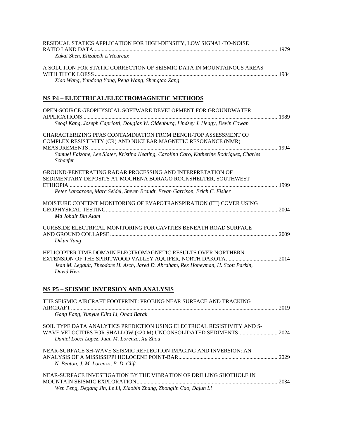| RESIDUAL STATICS APPLICATION FOR HIGH-DENSITY, LOW SIGNAL-TO-NOISE                                                              |  |
|---------------------------------------------------------------------------------------------------------------------------------|--|
| Xukai Shen, Elizabeth L'Heureux                                                                                                 |  |
| A SOLUTION FOR STATIC CORRECTION OF SEISMIC DATA IN MOUNTAINOUS AREAS                                                           |  |
| Xiao Wang, Yundong Yong, Peng Wang, Shengtao Zang                                                                               |  |
| NS P4 - ELECTRICAL/ELECTROMAGNETIC METHODS                                                                                      |  |
| OPEN-SOURCE GEOPHYSICAL SOFTWARE DEVELOPMENT FOR GROUNDWATER                                                                    |  |
| Seogi Kang, Joseph Capriotti, Douglas W. Oldenburg, Lindsey J. Heagy, Devin Cowan                                               |  |
| CHARACTERIZING PFAS CONTAMINATION FROM BENCH-TOP ASSESSMENT OF<br>COMPLEX RESISTIVITY (CR) AND NUCLEAR MAGNETIC RESONANCE (NMR) |  |
| Samuel Falzone, Lee Slater, Kristina Keating, Carolina Caro, Katherine Rodriguez, Charles<br>Schaefer                           |  |
| GROUND-PENETRATING RADAR PROCESSING AND INTERPRETATION OF<br>SEDIMENTARY DEPOSITS AT MOCHENA BORAGO ROCKSHELTER, SOUTHWEST      |  |
| Peter Lanzarone, Marc Seidel, Steven Brandt, Ervan Garrison, Erich C. Fisher                                                    |  |
| MOISTURE CONTENT MONITORING OF EVAPOTRANSPIRATION (ET) COVER USING<br>Md Jobair Bin Alam                                        |  |
| <b>CURBSIDE ELECTRICAL MONITORING FOR CAVITIES BENEATH ROAD SURFACE</b><br>Dikun Yang                                           |  |
| HELICOPTER TIME DOMAIN ELECTROMAGNETIC RESULTS OVER NORTHERN                                                                    |  |
| Jean M. Legault, Theodore H. Asch, Jared D. Abraham, Rex Honeyman, H. Scott Parkin,<br>David Hisz                               |  |
| NS P5 - SEISMIC INVERSION AND ANALYSIS                                                                                          |  |
| THE SEISMIC AIRCRAFT FOOTPRINT: PROBING NEAR SURFACE AND TRACKING                                                               |  |
| Gang Fang, Yunyue Elita Li, Ohad Barak                                                                                          |  |
| SOIL TYPE DATA ANALYTICS PREDICTION USING ELECTRICAL RESISTIVITY AND S-<br>Daniel Locci Lopez, Juan M. Lorenzo, Xu Zhou         |  |
| NEAR-SURFACE SH-WAVE SEISMIC REFLECTION IMAGING AND INVERSION: AN<br>N. Benton, J. M. Lorenzo, P. D. Clift                      |  |
| NEAD SUDEACE INVESTIGATION BY THE VIBD ATION OF DDH I ING SHOTHOLE IN                                                           |  |

| NEAR-SURFACE INVESTIGATION BY THE VIBRATION OF DRILLING SHOTHOLE IN . |  |
|-----------------------------------------------------------------------|--|
|                                                                       |  |
| Wen Peng, Degang Jin, Le Li, Xiaobin Zhang, Zhonglin Cao, Dajun Li    |  |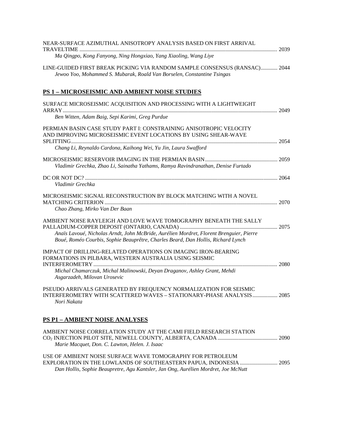| NEAR-SURFACE AZIMUTHAL ANISOTROPY ANALYSIS BASED ON FIRST ARRIVAL<br>Ma Qingpo, Kong Fanyong, Ning Hongxiao, Yang Xiaoling, Wang Liye                                       |  |
|-----------------------------------------------------------------------------------------------------------------------------------------------------------------------------|--|
| LINE-GUIDED FIRST BREAK PICKING VIA RANDOM SAMPLE CONSENSUS (RANSAC) 2044<br>Jewoo Yoo, Mohammed S. Mubarak, Roald Van Borselen, Constantine Tsingas                        |  |
| <b>PS 1 - MICROSEISMIC AND AMBIENT NOISE STUDIES</b>                                                                                                                        |  |
| SURFACE MICROSEISMIC ACQUISITION AND PROCESSING WITH A LIGHTWEIGHT                                                                                                          |  |
| Ben Witten, Adam Baig, Sepi Karimi, Greg Purdue                                                                                                                             |  |
| PERMIAN BASIN CASE STUDY PART I: CONSTRAINING ANISOTROPIC VELOCITY<br>AND IMPROVING MICROSEISMIC EVENT LOCATIONS BY USING SHEAR-WAVE                                        |  |
| Chang Li, Reynaldo Cardona, Kaihong Wei, Yu Jin, Laura Swafford                                                                                                             |  |
| Vladimir Grechka, Zhao Li, Sainatha Yathams, Ramya Ravindranathan, Denise Furtado                                                                                           |  |
| Vladimir Grechka                                                                                                                                                            |  |
| MICROSEISMIC SIGNAL RECONSTRUCTION BY BLOCK MATCHING WITH A NOVEL<br>Chao Zhang, Mirko Van Der Baan                                                                         |  |
|                                                                                                                                                                             |  |
| AMBIENT NOISE RAYLEIGH AND LOVE WAVE TOMOGRAPHY BENEATH THE SALLY                                                                                                           |  |
| Anaïs Lavoué, Nicholas Arndt, John McBride, Aurélien Mordret, Florent Brenguier, Pierre<br>Boué, Roméo Courbis, Sophie Beauprêtre, Charles Beard, Dan Hollis, Richard Lynch |  |
| IMPACT OF DRILLING-RELATED OPERATIONS ON IMAGING IRON-BEARING<br>FORMATIONS IN PILBARA, WESTERN AUSTRALIA USING SEISMIC                                                     |  |
| Michal Chamarczuk, Michal Malinowski, Deyan Draganov, Ashley Grant, Mehdi<br>Asgarzadeh, Milovan Urosevic                                                                   |  |
| PSEUDO ARRIVALS GENERATED BY FREQUENCY NORMALIZATION FOR SEISMIC<br>INTERFEROMETRY WITH SCATTERED WAVES - STATIONARY-PHASE ANALYSIS 2085<br>Nori Nakata                     |  |
| <b>PS P1 - AMBIENT NOISE ANALYSES</b>                                                                                                                                       |  |
| AMBIENT NOISE CORRELATION STUDY AT THE CAMI FIELD RESEARCH STATION<br>Marie Macquet, Don. C. Lawton, Helen. J. Isaac                                                        |  |

USE OF AMBIENT NOISE SURFACE WAVE TOMOGRAPHY FOR PETROLEUM EXPLORATION IN THE LOWLANDS OF SOUTHEASTERN PAPUA, INDONESIA ........................... 2095 *Dan Hollis, Sophie Beaupretre, Agu Kantsler, Jan Ong, Aurélien Mordret, Joe McNutt*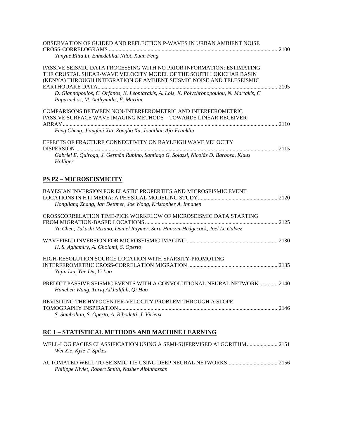| OBSERVATION OF GUIDED AND REFLECTION P-WAVES IN URBAN AMBIENT NOISE<br>Yunyue Elita Li, Enhedelihai Nilot, Xuan Feng                                                                                                                                                                                                                                      |  |
|-----------------------------------------------------------------------------------------------------------------------------------------------------------------------------------------------------------------------------------------------------------------------------------------------------------------------------------------------------------|--|
| PASSIVE SEISMIC DATA PROCESSING WITH NO PRIOR INFORMATION: ESTIMATING<br>THE CRUSTAL SHEAR-WAVE VELOCITY MODEL OF THE SOUTH LOKICHAR BASIN<br>(KENYA) THROUGH INTEGRATION OF AMBIENT SEISMIC NOISE AND TELESEISMIC<br>D. Giannopoulos, C. Orfanos, K. Leontarakis, A. Lois, K. Polychronopoulou, N. Martakis, C.<br>Papazachos, M. Anthymidis, F. Martini |  |
| COMPARISONS BETWEEN NON-INTERFEROMETRIC AND INTERFEROMETRIC<br>PASSIVE SURFACE WAVE IMAGING METHODS – TOWARDS LINEAR RECEIVER<br>Feng Cheng, Jianghai Xia, Zongbo Xu, Jonathan Ajo-Franklin                                                                                                                                                               |  |
| EFFECTS OF FRACTURE CONNECTIVITY ON RAYLEIGH WAVE VELOCITY<br>Gabriel E. Quiroga, J. Germán Rubino, Santiago G. Solazzi, Nicolás D. Barbosa, Klaus<br>Holliger                                                                                                                                                                                            |  |
| <b>PS P2 – MICROSEISMICITY</b>                                                                                                                                                                                                                                                                                                                            |  |
| BAYESIAN INVERSION FOR ELASTIC PROPERTIES AND MICROSEISMIC EVENT<br>Hongliang Zhang, Jan Dettmer, Joe Wong, Kristopher A. Innanen                                                                                                                                                                                                                         |  |
| CROSSCORRELATION TIME-PICK WORKFLOW OF MICROSEISMIC DATA STARTING<br>Yu Chen, Takashi Mizuno, Daniel Raymer, Sara Hanson-Hedgecock, Joël Le Calvez                                                                                                                                                                                                        |  |
| H. S. Aghamiry, A. Gholami, S. Operto                                                                                                                                                                                                                                                                                                                     |  |
| HIGH-RESOLUTION SOURCE LOCATION WITH SPARSITY-PROMOTING<br>Yujin Liu, Yue Du, Yi Luo                                                                                                                                                                                                                                                                      |  |
| PREDICT PASSIVE SEISMIC EVENTS WITH A CONVOLUTIONAL NEURAL NETWORK  2140<br>Hanchen Wang, Tariq Alkhalifah, Qi Hao                                                                                                                                                                                                                                        |  |
| REVISITING THE HYPOCENTER-VELOCITY PROBLEM THROUGH A SLOPE<br>S. Sambolian, S. Operto, A. Ribodetti, J. Virieux                                                                                                                                                                                                                                           |  |
| RC 1 - STATISTICAL METHODS AND MACHINE LEARNING                                                                                                                                                                                                                                                                                                           |  |

| Wei Xie, Kyle T. Spikes                           |  |
|---------------------------------------------------|--|
|                                                   |  |
|                                                   |  |
| Philippe Nivlet, Robert Smith, Nasher Albinhassan |  |
|                                                   |  |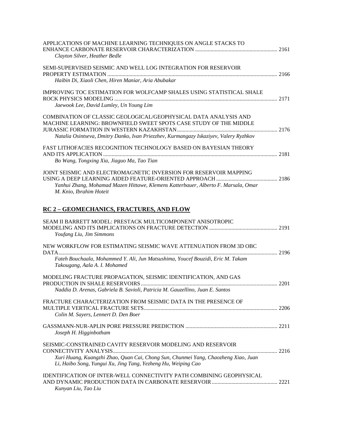| APPLICATIONS OF MACHINE LEARNING TECHNIQUES ON ANGLE STACKS TO                                                                                      |  |
|-----------------------------------------------------------------------------------------------------------------------------------------------------|--|
| Clayton Silver, Heather Bedle                                                                                                                       |  |
| SEMI-SUPERVISED SEISMIC AND WELL LOG INTEGRATION FOR RESERVOIR                                                                                      |  |
| Haibin Di, Xiaoli Chen, Hiren Maniar, Aria Abubakar                                                                                                 |  |
| <b>IMPROVING TOC ESTIMATION FOR WOLFCAMP SHALES USING STATISTICAL SHALE</b>                                                                         |  |
| Jaewook Lee, David Lumley, Un Young Lim                                                                                                             |  |
| COMBINATION OF CLASSIC GEOLOGICAL/GEOPHYSICAL DATA ANALYSIS AND<br>MACHINE LEARNING: BROWNFIELD SWEET SPOTS CASE STUDY OF THE MIDDLE                |  |
| Natalia Osintseva, Dmitry Danko, Ivan Priezzhev, Kurmangazy Iskaziyev, Valery Ryzhkov                                                               |  |
| FAST LITHOFACIES RECOGNITION TECHNOLOGY BASED ON BAYESIAN THEORY                                                                                    |  |
| Bo Wang, Tongxing Xia, Jiaguo Ma, Tao Tian                                                                                                          |  |
| JOINT SEISMIC AND ELECTROMAGNETIC INVERSION FOR RESERVOIR MAPPING                                                                                   |  |
| Yanhui Zhang, Mohamad Mazen Hittawe, Klemens Katterbauer, Alberto F. Marsala, Omar<br>M. Knio, Ibrahim Hoteit                                       |  |
| <b>RC 2 - GEOMECHANICS, FRACTURES, AND FLOW</b>                                                                                                     |  |
| SEAM II BARRETT MODEL: PRESTACK MULTICOMPONENT ANISOTROPIC<br>Youfang Liu, Jim Simmons                                                              |  |
| NEW WORKFLOW FOR ESTIMATING SEISMIC WAVE ATTENUATION FROM 3D OBC                                                                                    |  |
| Fateh Bouchaala, Mohammed Y. Ali, Jun Matsushima, Youcef Bouzidi, Eric M. Takam<br>Takougang, Aala A. I. Mohamed                                    |  |
| MODELING FRACTURE PROPAGATION, SEISMIC IDENTIFICATION, AND GAS                                                                                      |  |
| Naddia D. Arenas, Gabriela B. Savioli, Patricia M. Gauzellino, Juan E. Santos                                                                       |  |
| FRACTURE CHARACTERIZATION FROM SEISMIC DATA IN THE PRESENCE OF                                                                                      |  |
| Colin M. Sayers, Lennert D. Den Boer                                                                                                                |  |
| Joseph H. Higginbotham                                                                                                                              |  |
| SEISMIC-CONSTRAINED CAVITY RESERVOIR MODELING AND RESERVOIR                                                                                         |  |
| Xuri Huang, Kuangzhi Zhao, Quan Cai, Chong Sun, Chunmei Yang, Chaozheng Xiao, Juan<br>Li, Haibo Song, Yungui Xu, Jing Tang, Yezheng Hu, Weiping Cao |  |
| IDENTIFICATION OF INTER-WELL CONNECTIVITY PATH COMBINING GEOPHYSICAL<br>Kunyan Liu, Tao Liu                                                         |  |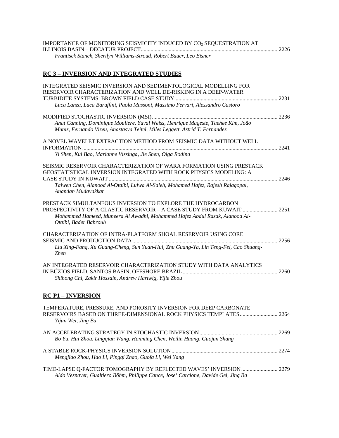| IMPORTANCE OF MONITORING SEISMICITY INDUCED BY CO <sub>2</sub> SEQUESTRATION AT |  |
|---------------------------------------------------------------------------------|--|
|                                                                                 |  |
| Frantisek Stanek, Sherilyn Williams-Stroud, Robert Bauer, Leo Eisner            |  |

### **RC 3 – INVERSION AND INTEGRATED STUDIES**

| INTEGRATED SEISMIC INVERSION AND SEDIMENTOLOGICAL MODELLING FOR<br>RESERVOIR CHARACTERIZATION AND WELL DE-RISKING IN A DEEP-WATER                                                                                                                                                                                |  |
|------------------------------------------------------------------------------------------------------------------------------------------------------------------------------------------------------------------------------------------------------------------------------------------------------------------|--|
| Luca Lanza, Luca Baruffini, Paola Mussoni, Massimo Fervari, Alessandro Castoro                                                                                                                                                                                                                                   |  |
| Anat Canning, Dominique Mouliere, Yuval Weiss, Henrique Mageste, Taehee Kim, João<br>Muniz, Fernando Vizeu, Anastasya Teitel, Miles Leggett, Astrid T. Fernandez                                                                                                                                                 |  |
| A NOVEL WAVELET EXTRACTION METHOD FROM SEISMIC DATA WITHOUT WELL                                                                                                                                                                                                                                                 |  |
| Yi Shen, Kui Bao, Marianne Vissinga, Jie Shen, Olga Rodina<br>SEISMIC RESERVOIR CHARACTERIZATION OF WARA FORMATION USING PRESTACK<br>GEOSTATISTICAL INVERSION INTEGRATED WITH ROCK PHYSICS MODELING: A<br>Taiwen Chen, Alanood Al-Otaibi, Lulwa Al-Saleh, Mohamed Hafez, Rajesh Rajagopal,<br>Anandan Mudavakkat |  |
| PRESTACK SIMULTANEOUS INVERSION TO EXPLORE THE HYDROCARBON<br>Mohammed Hameed, Muneera Al Awadhi, Mohammed Hafez Abdul Razak, Alanood Al-<br>Otaibi, Bader Bahrouh                                                                                                                                               |  |
| <b>CHARACTERIZATION OF INTRA-PLATFORM SHOAL RESERVOIR USING CORE</b><br>Liu Xing-Fang, Xu Guang-Cheng, Sun Yuan-Hui, Zhu Guang-Ya, Lin Teng-Fei, Cao Shuang-<br><b>Zhen</b>                                                                                                                                      |  |
| AN INTEGRATED RESERVOIR CHARACTERIZATION STUDY WITH DATA ANALYTICS<br>Shihong Chi, Zakir Hossain, Andrew Hartwig, Yijie Zhou                                                                                                                                                                                     |  |
| <b>RC P1 - INVERSION</b>                                                                                                                                                                                                                                                                                         |  |
| TEMPERATURE, PRESSURE, AND POROSITY INVERSION FOR DEEP CARBONATE<br>Yijun Wei, Jing Ba                                                                                                                                                                                                                           |  |
| Bo Yu, Hui Zhou, Lingqian Wang, Hanming Chen, Weilin Huang, Guojun Shang                                                                                                                                                                                                                                         |  |
| Mengjiao Zhou, Hao Li, Pingqi Zhao, Guofa Li, Wei Yang                                                                                                                                                                                                                                                           |  |
| TIME-LAPSE Q-FACTOR TOMOGRAPHY BY REFLECTED WAVES' INVERSION  2279<br>Aldo Vesnaver, Gualtiero Böhm, Philippe Cance, Jose' Carcione, Davide Gei, Jing Ba                                                                                                                                                         |  |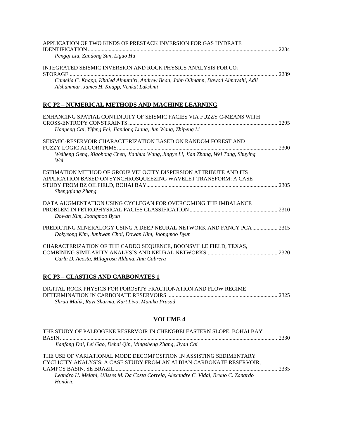| APPLICATION OF TWO KINDS OF PRESTACK INVERSION FOR GAS HYDRATE                                                                   |  |
|----------------------------------------------------------------------------------------------------------------------------------|--|
| Pengqi Liu, Zandong Sun, Liguo Hu                                                                                                |  |
| INTEGRATED SEISMIC INVERSION AND ROCK PHYSICS ANALYSIS FOR CO <sub>2</sub>                                                       |  |
| Camelia C. Knapp, Khaled Almutairi, Andrew Bean, John Ollmann, Dawod Almayahi, Adil<br>Alshammar, James H. Knapp, Venkat Lakshmi |  |
| RC P2 - NUMERICAL METHODS AND MACHINE LEARNING                                                                                   |  |
| ENHANCING SPATIAL CONTINUITY OF SEISMIC FACIES VIA FUZZY C-MEANS WITH                                                            |  |
| Hanpeng Cai, Yifeng Fei, Jiandong Liang, Jun Wang, Zhipeng Li                                                                    |  |
| SEISMIC-RESERVOIR CHARACTERIZATION BASED ON RANDOM FOREST AND                                                                    |  |
| Weiheng Geng, Xiaohong Chen, Jianhua Wang, Jingye Li, Jian Zhang, Wei Tang, Shuying<br>Wei                                       |  |
| ESTIMATION METHOD OF GROUP VELOCITY DISPERSION ATTRIBUTE AND ITS                                                                 |  |
| APPLICATION BASED ON SYNCHROSQUEEZING WAVELET TRANSFORM: A CASE<br><b>Shengqiang Zhang</b>                                       |  |
| DATA AUGMENTATION USING CYCLEGAN FOR OVERCOMING THE IMBALANCE                                                                    |  |
| Dowan Kim, Joongmoo Byun                                                                                                         |  |
| Dokyeong Kim, Junhwan Choi, Dowan Kim, Joongmoo Byun                                                                             |  |
| CHARACTERIZATION OF THE CADDO SEQUENCE, BOONSVILLE FIELD, TEXAS,                                                                 |  |
| Carla D. Acosta, Milagrosa Aldana, Ana Cabrera                                                                                   |  |

### **RC P3 – CLASTICS AND CARBONATES 1**

| DIGITAL ROCK PHYSICS FOR POROSITY FRACTIONATION AND FLOW REGIME |  |
|-----------------------------------------------------------------|--|
|                                                                 |  |
| Shruti Malik, Ravi Sharma, Kurt Livo, Manika Prasad             |  |

### **VOLUME 4**

| THE STUDY OF PALEOGENE RESERVOIR IN CHENGBEI EASTERN SLOPE, BOHAI BAY                                                                      |      |
|--------------------------------------------------------------------------------------------------------------------------------------------|------|
| Jianfang Dai, Lei Gao, Dehai Qin, Mingsheng Zhang, Jiyan Cai                                                                               |      |
| THE USE OF VARIATIONAL MODE DECOMPOSITION IN ASSISTING SEDIMENTARY<br>CYCLICITY ANALYSIS: A CASE STUDY FROM AN ALBIAN CARBONATE RESERVOIR. | 2335 |
| Leandro H. Melani, Ulisses M. Da Costa Correia, Alexandre C. Vidal, Bruno C. Zanardo                                                       |      |
| Honório                                                                                                                                    |      |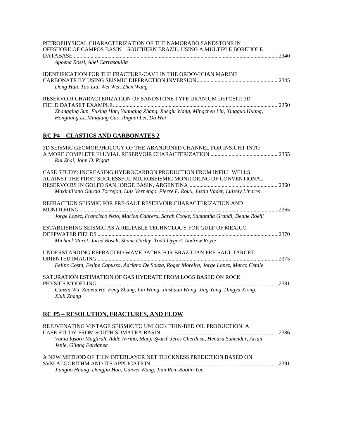| PETROPHYSICAL CHARACTERIZATION OF THE NAMORADO SANDSTONE IN<br>OFFSHORE OF CAMPOS BASIN - SOUTHERN BRAZIL, USING A MULTIPLE BOREHOLE<br>Apoena Rossi, Abel Carrasquilla                                                              |  |
|--------------------------------------------------------------------------------------------------------------------------------------------------------------------------------------------------------------------------------------|--|
| <b>IDENTIFICATION FOR THE FRACTURE-CAVE IN THE ORDOVICIAN MARINE</b><br>Dong Han, Tao Liu, Wei Wei, Zhen Wang                                                                                                                        |  |
| RESERVOIR CHARACTERIZATION OF SANDSTONE TYPE URANIUM DEPOSIT: 3D<br>Zhangqing Sun, Fuxing Han, Yuanqing Zhang, Xueqiu Wang, Mingchen Liu, Xingguo Huang,<br>Hongliang Li, Mingiang Cao, Anguai Lei, Da Wei                           |  |
| <b>RC P4 - CLASTICS AND CARBONATES 2</b>                                                                                                                                                                                             |  |
| 3D SEISMIC GEOMORPHOLOGY OF THE ABANDONED CHANNEL FOR INSIGHT INTO<br>Rui Zhai, John D. Pigott                                                                                                                                       |  |
| CASE STUDY: INCREASING HYDROCARBON PRODUCTION FROM INFILL WELLS<br>AGAINST THE FIRST SUCCESSFUL MICROSEISMIC MONITORING OF CONVENTIONAL<br>Maximiliano Garcia Torrejon, Luis Vernengo, Pierre F. Roux, Justin Vader, Luisely Linares |  |
| REFRACTION SEISMIC FOR PRE-SALT RESERVOIR CHARACTERIZATION AND                                                                                                                                                                       |  |
| Jorge Lopez, Francisco Neto, Marlon Cabrera, Sarah Cooke, Samantha Grandi, Deane Roehl                                                                                                                                               |  |
| ESTABLISHING SEISMIC AS A RELIABLE TECHNOLOGY FOR GULF OF MEXICO                                                                                                                                                                     |  |
| Michael Murat, Jared Bosch, Shane Carley, Todd Dygert, Andrew Royle                                                                                                                                                                  |  |
| UNDERSTANDING REFRACTED WAVE PATHS FOR BRAZILIAN PRE-SALT TARGET-                                                                                                                                                                    |  |
| Felipe Costa, Felipe Capuzzo, Adriano De Souza, Roger Moreira, Jorge Lopez, Marco Cetale                                                                                                                                             |  |
| SATURATION ESTIMATION OF GAS HYDRATE FROM LOGS BASED ON ROCK                                                                                                                                                                         |  |
| Cunzhi Wu, Zuoxiu He, Feng Zhang, Lin Wang, Jiushuan Wang, Jing Yang, Dingyu Xiong,<br>Xiuli Zhang                                                                                                                                   |  |
| <b>RC P5 - RESOLUTION, FRACTURES, AND FLOW</b>                                                                                                                                                                                       |  |
| REJUVENATING VINTAGE SEISMIC TO UNLOCK THIN-BED OIL PRODUCTION: A                                                                                                                                                                    |  |
| Vania Iqsora Magfirah, Adde Avrino, Munji Syarif, Jeres Cherdasa, Hendra Suhendar, Arian                                                                                                                                             |  |

| A NEW METHOD OF THIN INTERLAYER NET THICKNESS PREDICTION BASED ON |  |
|-------------------------------------------------------------------|--|
|                                                                   |  |
| Jiangbo Huang, Dongjia Hou, Gaiwei Wang, Jian Ren, Baolin Yue     |  |

*Jenie, Gilang Fardanea*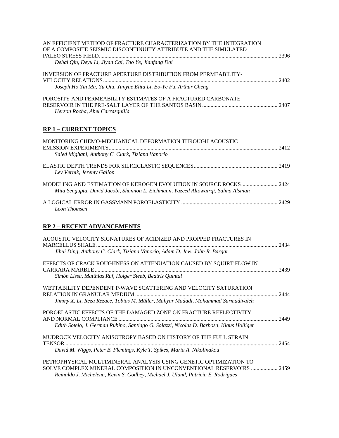| AN EFFICIENT METHOD OF FRACTURE CHARACTERIZATION BY THE INTEGRATION<br>OF A COMPOSITE SEISMIC DISCONTINUITY ATTRIBUTE AND THE SIMULATED                                                                              |  |
|----------------------------------------------------------------------------------------------------------------------------------------------------------------------------------------------------------------------|--|
| Dehai Qin, Deyu Li, Jiyan Cai, Tao Ye, Jianfang Dai                                                                                                                                                                  |  |
| <b>INVERSION OF FRACTURE APERTURE DISTRIBUTION FROM PERMEABILITY-</b>                                                                                                                                                |  |
| Joseph Ho Yin Ma, Yu Qiu, Yunyue Elita Li, Bo-Ye Fu, Arthur Cheng                                                                                                                                                    |  |
| POROSITY AND PERMEABILITY ESTIMATES OF A FRACTURED CARBONATE<br>Herson Rocha, Abel Carrasquilla                                                                                                                      |  |
| <b>RP 1 - CURRENT TOPICS</b>                                                                                                                                                                                         |  |
| MONITORING CHEMO-MECHANICAL DEFORMATION THROUGH ACOUSTIC<br>Saied Mighani, Anthony C. Clark, Tiziana Vanorio                                                                                                         |  |
| Lev Vernik, Jeremy Gallop                                                                                                                                                                                            |  |
| Mita Sengupta, David Jacobi, Shannon L. Eichmann, Yazeed Altowairqi, Salma Alsinan                                                                                                                                   |  |
| Leon Thomsen                                                                                                                                                                                                         |  |
| <b>RP 2 - RECENT ADVANCEMENTS</b>                                                                                                                                                                                    |  |
| ACOUSTIC VELOCITY SIGNATURES OF ACIDIZED AND PROPPED FRACTURES IN                                                                                                                                                    |  |
| Jihui Ding, Anthony C. Clark, Tiziana Vanorio, Adam D. Jew, John R. Bargar                                                                                                                                           |  |
| EFFECTS OF CRACK ROUGHNESS ON ATTENUATION CAUSED BY SQUIRT FLOW IN<br>Simón Lissa, Matthias Ruf, Holger Steeb, Beatriz Quintal                                                                                       |  |
| WETTABILITY DEPENDENT P-WAVE SCATTERING AND VELOCITY SATURATION<br>Jimmy X. Li, Reza Rezaee, Tobias M. Müller, Mahyar Madadi, Mohammad Sarmadivaleh                                                                  |  |
| POROELASTIC EFFECTS OF THE DAMAGED ZONE ON FRACTURE REFLECTIVITY<br>Edith Sotelo, J. German Rubino, Santiago G. Solazzi, Nicolas D. Barbosa, Klaus Holliger                                                          |  |
| MUDROCK VELOCITY ANISOTROPY BASED ON HISTORY OF THE FULL STRAIN                                                                                                                                                      |  |
| David M. Wiggs, Peter B. Flemings, Kyle T. Spikes, Maria A. Nikolinakou<br>PETROPHYSICAL MULTIMINERAL ANALYSIS USING GENETIC OPTIMIZATION TO<br>SOLVE COMPLEX MINERAL COMPOSITION IN UNCONVENTIONAL RESERVOIRS  2459 |  |
| Reinaldo J. Michelena, Kevin S. Godbey, Michael J. Uland, Patricia E. Rodrigues                                                                                                                                      |  |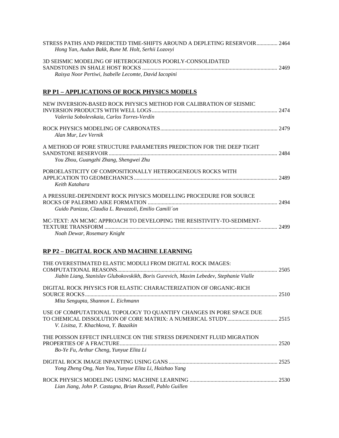| STRESS PATHS AND PREDICTED TIME-SHIFTS AROUND A DEPLETING RESERVOIR  2464<br>Hong Yan, Audun Bakk, Rune M. Holt, Serhii Lozovyi |  |
|---------------------------------------------------------------------------------------------------------------------------------|--|
| 3D SEISMIC MODELING OF HETEROGENEOUS POORLY-CONSOLIDATED<br>Raisya Noor Pertiwi, Isabelle Lecomte, David Iacopini               |  |
| <b>RP P1 - APPLICATIONS OF ROCK PHYSICS MODELS</b>                                                                              |  |
| NEW INVERSION-BASED ROCK PHYSICS METHOD FOR CALIBRATION OF SEISMIC<br>Valeriia Sobolevskaia, Carlos Torres-Verdín               |  |
| Alan Mur, Lev Vernik                                                                                                            |  |
| A METHOD OF PORE STRUCTURE PARAMETERS PREDICTION FOR THE DEEP TIGHT<br>You Zhou, Guangzhi Zhang, Shengwei Zhu                   |  |
| POROELASTICITY OF COMPOSITIONALLY HETEROGENEOUS ROCKS WITH<br>Keith Katahara                                                    |  |
| A PRESSURE-DEPENDENT ROCK PHYSICS MODELLING PROCEDURE FOR SOURCE<br>Guido Panizza, Claudia L. Ravazzoli, Emilio Camili'on       |  |
| MC-TEXT: AN MCMC APPROACH TO DEVELOPING THE RESISTIVITY-TO-SEDIMENT-<br>Noah Dewar, Rosemary Knight                             |  |

### **RP P2 – DIGITAL ROCK AND MACHINE LEARNING**

| THE OVERESTIMATED ELASTIC MODULI FROM DIGITAL ROCK IMAGES:<br>Jiabin Liang, Stanislav Glubokovskikh, Boris Gurevich, Maxim Lebedev, Stephanie Vialle |      |
|------------------------------------------------------------------------------------------------------------------------------------------------------|------|
| DIGITAL ROCK PHYSICS FOR ELASTIC CHARACTERIZATION OF ORGANIC-RICH<br>Mita Sengupta, Shannon L. Eichmann                                              |      |
| USE OF COMPUTATIONAL TOPOLOGY TO QUANTIFY CHANGES IN PORE SPACE DUE<br>V. Lisitsa, T. Khachkova, Y. Bazaikin                                         |      |
| THE POISSON EFFECT INFLUENCE ON THE STRESS DEPENDENT FLUID MIGRATION<br>Bo-Ye Fu, Arthur Cheng, Yunyue Elita Li                                      | 2520 |
| Yong Zheng Ong, Nan You, Yunyue Elita Li, Haizhao Yang                                                                                               |      |
| Lian Jiang, John P. Castagna, Brian Russell, Pablo Guillen                                                                                           |      |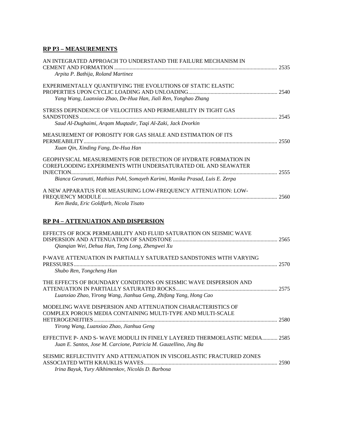### **RP P3 – MEASUREMENTS**

| AN INTEGRATED APPROACH TO UNDERSTAND THE FAILURE MECHANISM IN                                                                                 |      |
|-----------------------------------------------------------------------------------------------------------------------------------------------|------|
| Arpita P. Bathija, Roland Martinez                                                                                                            |      |
| EXPERIMENTALLY QUANTIFYING THE EVOLUTIONS OF STATIC ELASTIC                                                                                   |      |
| Yang Wang, Luanxiao Zhao, De-Hua Han, Jiali Ren, Yonghao Zhang                                                                                |      |
| STRESS DEPENDENCE OF VELOCITIES AND PERMEABILITY IN TIGHT GAS                                                                                 |      |
| Saud Al-Dughaimi, Argam Muqtadir, Taqi Al-Zaki, Jack Dvorkin                                                                                  |      |
| MEASUREMENT OF POROSITY FOR GAS SHALE AND ESTIMATION OF ITS                                                                                   |      |
| Xuan Qin, Xinding Fang, De-Hua Han                                                                                                            |      |
| GEOPHYSICAL MEASUREMENTS FOR DETECTION OF HYDRATE FORMATION IN<br>COREFLOODING EXPERIMENTS WITH UNDERSATURATED OIL AND SEAWATER<br>INJECTION. | 2555 |
| Bianca Geranutti, Mathias Pohl, Somayeh Karimi, Manika Prasad, Luis E. Zerpa                                                                  |      |
| A NEW APPARATUS FOR MEASURING LOW-FREQUENCY ATTENUATION: LOW-                                                                                 |      |
| Ken Ikeda, Eric Goldfarb, Nicola Tisato                                                                                                       |      |
|                                                                                                                                               |      |

### **RP P4 – ATTENUATION AND DISPERSION**

| EFFECTS OF ROCK PERMEABILITY AND FLUID SATURATION ON SEISMIC WAVE                                                                                                                                |      |
|--------------------------------------------------------------------------------------------------------------------------------------------------------------------------------------------------|------|
| Qianqian Wei, Dehua Han, Teng Long, Zhengwei Xu<br>P-WAVE ATTENUATION IN PARTIALLY SATURATED SANDSTONES WITH VARYING                                                                             |      |
| <b>PRESSURES</b><br>Shubo Ren, Tongcheng Han                                                                                                                                                     | 2570 |
| THE EFFECTS OF BOUNDARY CONDITIONS ON SEISMIC WAVE DISPERSION AND<br>ATTENUATION IN PARTIALLY SATURATED ROCKS<br>Luanxiao Zhao, Yirong Wang, Jianhua Geng, Zhifang Yang, Hong Cao                |      |
| MODELING WAVE DISPERSION AND ATTENUATION CHARACTERISTICS OF<br>COMPLEX POROUS MEDIA CONTAINING MULTI-TYPE AND MULTI-SCALE<br><b>HETEROGENEITIES.</b><br>Yirong Wang, Luanxiao Zhao, Jianhua Geng | 2580 |
| EFFECTIVE P- AND S-WAVE MODULI IN FINELY LAYERED THERMOELASTIC MEDIA 2585<br>Juan E. Santos, Jose M. Carcione, Patricia M. Gauzellino, Jing Ba                                                   |      |
| SEISMIC REFLECTIVITY AND ATTENUATION IN VISCOELASTIC FRACTURED ZONES<br>Irina Bayuk, Yury Alkhimenkov, Nicolás D. Barbosa                                                                        |      |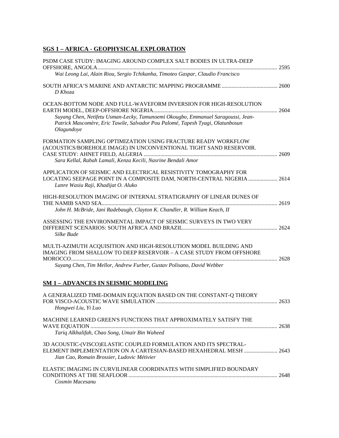### **SGS 1 – AFRICA - GEOPHYSICAL EXPLORATION**

| PSDM CASE STUDY: IMAGING AROUND COMPLEX SALT BODIES IN ULTRA-DEEP                                                                                                                    |  |
|--------------------------------------------------------------------------------------------------------------------------------------------------------------------------------------|--|
| Wai Leong Lai, Alain Riou, Sergio Tchikanha, Timoteo Gaspar, Claudio Francisco                                                                                                       |  |
| D Khoza                                                                                                                                                                              |  |
| OCEAN-BOTTOM NODE AND FULL-WAVEFORM INVERSION FOR HIGH-RESOLUTION                                                                                                                    |  |
| Suyang Chen, Netifetu Usman-Lecky, Tamunoemi Okougbo, Emmanuel Saragoussi, Jean-<br>Patrick Mascomère, Eric Tawile, Salvador Pou Palomé, Tapesh Tyagi, Olatunbosun<br>Olagundoye     |  |
| FORMATION SAMPLING OPTIMIZATION USING FRACTURE READY WORKFLOW<br>(ACOUSTICS/BOREHOLE IMAGE) IN UNCONVENTIONAL TIGHT SAND RESERVOIR.                                                  |  |
| Sara Kellal, Rabah Lamali, Kenza Kecili, Nasrine Bendali Amor                                                                                                                        |  |
| APPLICATION OF SEISMIC AND ELECTRICAL RESISTIVITY TOMOGRAPHY FOR<br>LOCATING SEEPAGE POINT IN A COMPOSITE DAM, NORTH-CENTRAL NIGERIA  2614<br>Lanre Wasiu Raji, Khadijat O. Aluko    |  |
| HIGH-RESOLUTION IMAGING OF INTERNAL STRATIGRAPHY OF LINEAR DUNES OF                                                                                                                  |  |
| John H. McBride, Jani Radebaugh, Clayton K. Chandler, R. William Keach, II                                                                                                           |  |
| ASSESSING THE ENVIRONMENTAL IMPACT OF SEISMIC SURVEYS IN TWO VERY<br>Silke Bude                                                                                                      |  |
| MULTI-AZIMUTH ACQUISITION AND HIGH-RESOLUTION MODEL BUILDING AND<br>IMAGING FROM SHALLOW TO DEEP RESERVOIR - A CASE STUDY FROM OFFSHORE                                              |  |
| Suyang Chen, Tim Mellor, Andrew Furber, Gustav Polisano, David Webber                                                                                                                |  |
| <b>SM 1-ADVANCES IN SEISMIC MODELING</b>                                                                                                                                             |  |
| A GENERALIZED TIME-DOMAIN EQUATION BASED ON THE CONSTANT-Q THEORY<br>Hongwei Liu, Yi Luo                                                                                             |  |
| MACHINE LEARNED GREEN'S FUNCTIONS THAT APPROXIMATELY SATISFY THE                                                                                                                     |  |
| Tariq Alkhalifah, Chao Song, Umair Bin Waheed                                                                                                                                        |  |
| 3D ACOUSTIC-(VISCO)ELASTIC COUPLED FORMULATION AND ITS SPECTRAL-<br>ELEMENT IMPLEMENTATION ON A CARTESIAN-BASED HEXAHEDRAL MESH  2643<br>Jian Cao, Romain Brossier, Ludovic Métivier |  |
| ELASTIC IMAGING IN CURVILINEAR COORDINATES WITH SIMPLIFIED BOUNDARY<br>Cosmin Macesanu                                                                                               |  |
|                                                                                                                                                                                      |  |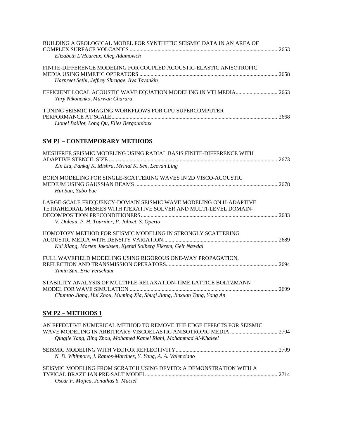| BUILDING A GEOLOGICAL MODEL FOR SYNTHETIC SEISMIC DATA IN AN AREA OF<br>Elizabeth L'Heureux, Oleg Adamovich           | 2653 |
|-----------------------------------------------------------------------------------------------------------------------|------|
| FINITE-DIFFERENCE MODELING FOR COUPLED ACOUSTIC-ELASTIC ANISOTROPIC<br>Harpreet Sethi, Jeffrey Shragge, Ilya Tsvankin |      |
| Yury Nikonenko, Marwan Charara                                                                                        |      |
| TUNING SEISMIC IMAGING WORKFLOWS FOR GPU SUPERCOMPUTER<br>Lionel Boillot, Long Qu, Elies Bergounioux                  | 2668 |

### **SM P1 – CONTEMPORARY METHODS**

| MESHFREE SEISMIC MODELING USING RADIAL BASIS FINITE-DIFFERENCE WITH                                                                                                                      |  |
|------------------------------------------------------------------------------------------------------------------------------------------------------------------------------------------|--|
| Xin Liu, Pankaj K. Mishra, Mrinal K. Sen, Leevan Ling                                                                                                                                    |  |
| BORN MODELING FOR SINGLE-SCATTERING WAVES IN 2D VISCO-ACOUSTIC<br>Hui Sun, Yubo Yue                                                                                                      |  |
| LARGE-SCALE FREQUENCY-DOMAIN SEISMIC WAVE MODELING ON H-ADAPTIVE<br>TETRAHEDRAL MESHES WITH ITERATIVE SOLVER AND MULTI-LEVEL DOMAIN-<br>V. Dolean, P. H. Tournier, P. Jolivet, S. Operto |  |
| HOMOTOPY METHOD FOR SEISMIC MODELING IN STRONGLY SCATTERING<br>Kui Xiang, Morten Jakobsen, Kjersti Solberg Eikrem, Geir Nævdal                                                           |  |
| FULL WAVEFIELD MODELING USING RIGOROUS ONE-WAY PROPAGATION,<br>Yimin Sun, Eric Verschuur                                                                                                 |  |
| STABILITY ANALYSIS OF MULTIPLE-RELAXATION-TIME LATTICE BOLTZMANN<br>Chuntao Jiang, Hui Zhou, Muming Xia, Shuqi Jiang, Jinxuan Tang, Yong An                                              |  |
| <b>SM P2 - METHODS 1</b>                                                                                                                                                                 |  |
| AN EFFECTIVE NUMERICAL METHOD TO REMOVE THE EDGE EFFECTS FOR SEISMIC<br>Qingjie Yang, Bing Zhou, Mohamed Kamel Riahi, Mohammad Al-Khaleel                                                |  |
| N. D. Whitmore, J. Ramos-Martinez, Y. Yang, A. A. Valenciano                                                                                                                             |  |
| SEISMIC MODELING FROM SCRATCH USING DEVITO: A DEMONSTRATION WITH A<br>Oscar F. Mojica, Jonathas S. Maciel                                                                                |  |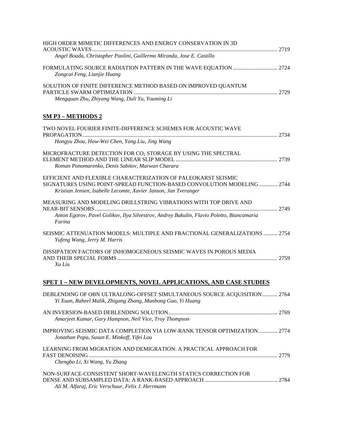| HIGH ORDER MIMETIC DIFFERENCES AND ENERGY CONSERVATION IN 3D                                                                                                                                                |  |
|-------------------------------------------------------------------------------------------------------------------------------------------------------------------------------------------------------------|--|
| Angel Boada, Christopher Paolini, Guillermo Miranda, Jose E. Castillo                                                                                                                                       |  |
| Zongcai Feng, Lianjie Huang                                                                                                                                                                                 |  |
| SOLUTION OF FINITE DIFFERENCE METHOD BASED ON IMPROVED QUANTUM<br>Mengquan Zhu, Zhiyang Wang, Duli Yu, Youming Li                                                                                           |  |
| <b>SM P3 - METHODS 2</b>                                                                                                                                                                                    |  |
| TWO NOVEL FOURIER FINITE-DIFFERENCE SCHEMES FOR ACOUSTIC WAVE<br>Hongyu Zhou, How-Wei Chen, Yang Liu, Jing Wang                                                                                             |  |
| MICROFRACTURE DETECTION FOR CO2 STORAGE BY USING THE SPECTRAL<br>Roman Ponomarenko, Denis Sabitov, Marwan Charara                                                                                           |  |
| EFFICIENT AND FLEXIBLE CHARACTERIZATION OF PALEOKARST SEISMIC<br>SIGNATURES USING POINT-SPREAD FUNCTION-BASED CONVOLUTION MODELING  2744<br>Kristian Jensen, Isabelle Lecomte, Xavier Janson, Jan Tveranger |  |
| MEASURING AND MODELING DRILLSTRING VIBRATIONS WITH TOP DRIVE AND<br>Anton Egorov, Pavel Golikov, Ilya Silvestrov, Andrey Bakulin, Flavio Poletto, Biancamaria<br>Farina                                     |  |
| SEISMIC ATTENUATION MODELS: MULTIPLE AND FRACTIONAL GENERALIZATIONS  2754<br>Yufeng Wang, Jerry M. Harris                                                                                                   |  |
| DISSIPATION FACTORS OF INHOMOGENEOUS SEISMIC WAVES IN POROUS MEDIA<br>Xu Liu                                                                                                                                |  |
| <b>SPET 1 - NEW DEVELOPMENTS, NOVEL APPLICATIONS, AND CASE STUDIES</b>                                                                                                                                      |  |
| DEBLENDING OF OBN ULTRALONG-OFFSET SIMULTANEOUS SOURCE ACQUISITION 2764<br>Yi Xuan, Raheel Malik, Zhigang Zhang, Manhong Guo, Yi Huang                                                                      |  |

| Amarjeet Kumar, Gary Hampson, Neil Vice, Troy Thompson                                                              |  |
|---------------------------------------------------------------------------------------------------------------------|--|
| Jonathan Popa, Susan E. Minkoff, Yifei Lou                                                                          |  |
| LEARNING FROM MIGRATION AND DEMIGRATION: A PRACTICAL APPROACH FOR<br>Chengbo Li, Xi Wang, Yu Zhang                  |  |
| NON-SURFACE-CONSISTENT SHORT-WAVELENGTH STATICS CORRECTION FOR<br>Ali M. Alfaraj, Eric Verschuur, Felix J. Herrmann |  |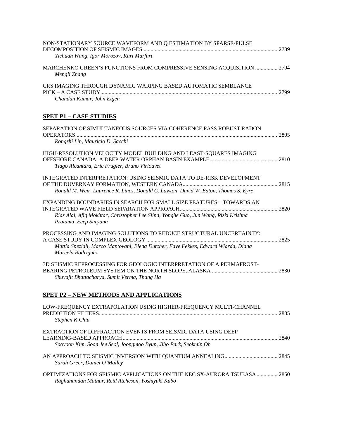| NON-STATIONARY SOURCE WAVEFORM AND Q ESTIMATION BY SPARSE-PULSE                                                                                                                     |  |
|-------------------------------------------------------------------------------------------------------------------------------------------------------------------------------------|--|
| Yichuan Wang, Igor Morozov, Kurt Marfurt                                                                                                                                            |  |
| MARCHENKO GREEN'S FUNCTIONS FROM COMPRESSIVE SENSING ACQUISITION  2794<br>Mengli Zhang                                                                                              |  |
| CRS IMAGING THROUGH DYNAMIC WARPING BASED AUTOMATIC SEMBLANCE                                                                                                                       |  |
| Chandan Kumar, John Etgen                                                                                                                                                           |  |
| <b>SPET P1 - CASE STUDIES</b>                                                                                                                                                       |  |
| SEPARATION OF SIMULTANEOUS SOURCES VIA COHERENCE PASS ROBUST RADON                                                                                                                  |  |
| Rongzhi Lin, Mauricio D. Sacchi                                                                                                                                                     |  |
| HIGH-RESOLUTION VELOCITY MODEL BUILDING AND LEAST-SQUARES IMAGING<br>Tiago Alcantara, Eric Frugier, Bruno Virlouvet                                                                 |  |
| INTEGRATED INTERPRETATION: USING SEISMIC DATA TO DE-RISK DEVELOPMENT                                                                                                                |  |
| Ronald M. Weir, Laurence R. Lines, Donald C. Lawton, David W. Eaton, Thomas S. Eyre                                                                                                 |  |
| EXPANDING BOUNDARIES IN SEARCH FOR SMALL SIZE FEATURES - TOWARDS AN<br>Riaz Alai, Afiq Mokhtar, Christopher Lee Slind, Yonghe Guo, Jun Wang, Rizki Krishna<br>Pratama, Ecep Suryana |  |
| PROCESSING AND IMAGING SOLUTIONS TO REDUCE STRUCTURAL UNCERTAINTY:                                                                                                                  |  |
| Mattia Speziali, Marco Mantovani, Elena Dutcher, Faye Fekkes, Edward Wiarda, Diana<br>Marcela Rodriguez                                                                             |  |
| 3D SEISMIC REPROCESSING FOR GEOLOGIC INTERPRETATION OF A PERMAFROST-                                                                                                                |  |
| Shuvajit Bhattacharya, Sumit Verma, Thang Ha                                                                                                                                        |  |
| <b>SPET P2 - NEW METHODS AND APPLICATIONS</b>                                                                                                                                       |  |
| LOW-FREQUENCY EXTRAPOLATION USING HIGHER-FREQUENCY MULTI-CHANNEL<br>Stephen K Chiu                                                                                                  |  |
| EXTRACTION OF DIFFRACTION EVENTS FROM SEISMIC DATA USING DEEP                                                                                                                       |  |
| Sooyoon Kim, Soon Jee Seol, Joongmoo Byun, Jiho Park, Seokmin Oh                                                                                                                    |  |
| Sarah Greer, Daniel O'Malley                                                                                                                                                        |  |
| <b>OPTIMIZATIONS FOR SEISMIC APPLICATIONS ON THE NEC SX-AURORA TSUBASA 2850</b><br>Raghunandan Mathur, Reid Atcheson, Yoshiyuki Kubo                                                |  |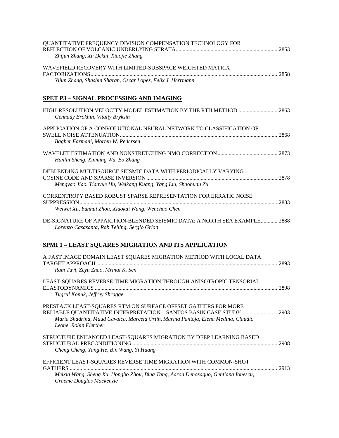| QUANTITATIVE FREQUENCY DIVISION COMPENSATION TECHNOLOGY FOR<br>Zhijun Zhang, Xu Dekui, Xiaojie Zhang                                                                                                                                                 |  |
|------------------------------------------------------------------------------------------------------------------------------------------------------------------------------------------------------------------------------------------------------|--|
| WAVEFIELD RECOVERY WITH LIMITED-SUBSPACE WEIGHTED MATRIX                                                                                                                                                                                             |  |
| Yijun Zhang, Shashin Sharan, Oscar Lopez, Felix J. Herrmann                                                                                                                                                                                          |  |
| SPET P3 - SIGNAL PROCESSING AND IMAGING                                                                                                                                                                                                              |  |
| HIGH-RESOLUTION VELOCITY MODEL ESTIMATION BY THE RTH METHOD  2863<br>Gennady Erokhin, Vitaliy Bryksin                                                                                                                                                |  |
| APPLICATION OF A CONVOLUTIONAL NEURAL NETWORK TO CLASSIFICATION OF<br>Bagher Farmani, Morten W. Pedersen                                                                                                                                             |  |
| Hanlin Sheng, Xinming Wu, Bo Zhang                                                                                                                                                                                                                   |  |
| DEBLENDING MULTISOURCE SEISMIC DATA WITH PERIODICALLY VARYING                                                                                                                                                                                        |  |
| Mengyao Jiao, Tianyue Hu, Weikang Kuang, Yang Liu, Shaohuan Zu                                                                                                                                                                                       |  |
| CORRENTROPY BASED ROBUST SPARSE REPRESENTATION FOR ERRATIC NOISE<br>Weiwei Xu, Yanhui Zhou, Xiaokai Wang, Wenchao Chen                                                                                                                               |  |
| DE-SIGNATURE OF APPARITION-BLENDED SEISMIC DATA: A NORTH SEA EXAMPLE 2888<br>Lorenzo Casasanta, Rob Telling, Sergio Grion                                                                                                                            |  |
| <b>SPMI 1 - LEAST SQUARES MIGRATION AND ITS APPLICATION</b>                                                                                                                                                                                          |  |
| A FAST IMAGE DOMAIN LEAST SQUARES MIGRATION METHOD WITH LOCAL DATA<br>Ram Tuvi, Zeyu Zhao, Mrinal K. Sen                                                                                                                                             |  |
| LEAST-SQUARES REVERSE TIME MIGRATION THROUGH ANISOTROPIC TENSORIAL                                                                                                                                                                                   |  |
| Tugrul Konuk, Jeffrey Shragge                                                                                                                                                                                                                        |  |
| PRESTACK LEAST-SQUARES RTM ON SURFACE OFFSET GATHERS FOR MORE<br>RELIABLE QUANTITATIVE INTERPRETATION - SANTOS BASIN CASE STUDY  2903<br>Maria Shadrina, Maud Cavalca, Marcela Ortin, Marina Pantoja, Elena Medina, Claudio<br>Leone, Robin Fletcher |  |
| STRUCTURE ENHANCED LEAST-SQUARES MIGRATION BY DEEP LEARNING BASED<br>Cheng Cheng, Yang He, Bin Wang, Yi Huang                                                                                                                                        |  |
| EFFICIENT LEAST-SQUARES REVERSE TIME MIGRATION WITH COMMON-SHOT                                                                                                                                                                                      |  |
| Meixia Wang, Sheng Xu, Hongbo Zhou, Bing Tang, Aaron Denosaquo, Gentiana Ionescu,<br>Graeme Douglas Mackenzie                                                                                                                                        |  |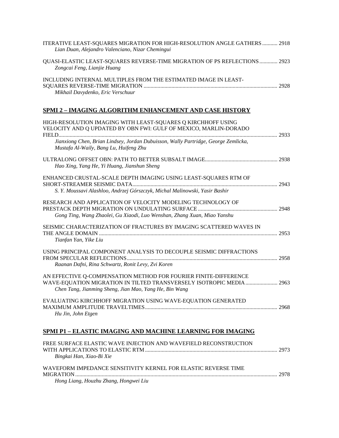| ITERATIVE LEAST-SQUARES MIGRATION FOR HIGH-RESOLUTION ANGLE GATHERS  2918<br>Lian Duan, Alejandro Valenciano, Nizar Chemingui                                                                                                                                    |  |
|------------------------------------------------------------------------------------------------------------------------------------------------------------------------------------------------------------------------------------------------------------------|--|
| QUASI-ELASTIC LEAST-SQUARES REVERSE-TIME MIGRATION OF PS REFLECTIONS  2923<br>Zongcai Feng, Lianjie Huang                                                                                                                                                        |  |
| INCLUDING INTERNAL MULTIPLES FROM THE ESTIMATED IMAGE IN LEAST-<br>Mikhail Davydenko, Eric Verschuur                                                                                                                                                             |  |
| <u>SPMI 2 - IMAGING ALGORITHM ENHANCEMENT AND CASE HISTORY</u>                                                                                                                                                                                                   |  |
| HIGH-RESOLUTION IMAGING WITH LEAST-SQUARES Q KIRCHHOFF USING<br>VELOCITY AND Q UPDATED BY OBN FWI: GULF OF MEXICO, MARLIN-DORADO<br>Jianxiong Chen, Brian Lindsey, Jordan Dubuisson, Wally Partridge, George Zemlicka,<br>Mustafa Al-Waily, Bang Lu, Huifeng Zhu |  |
| Hao Xing, Yang He, Yi Huang, Jianshun Sheng                                                                                                                                                                                                                      |  |
| ENHANCED CRUSTAL-SCALE DEPTH IMAGING USING LEAST-SQUARES RTM OF<br>S. Y. Moussavi Alashloo, Andrzej Górszczyk, Michal Malinowski, Yasir Bashir                                                                                                                   |  |
| RESEARCH AND APPLICATION OF VELOCITY MODELING TECHNOLOGY OF<br>Gong Ting, Wang Zhaolei, Gu Xiaodi, Luo Wenshan, Zhang Xuan, Miao Yanshu                                                                                                                          |  |
| SEISMIC CHARACTERIZATION OF FRACTURES BY IMAGING SCATTERED WAVES IN<br>Tianfan Yan, Yike Liu                                                                                                                                                                     |  |
| USING PRINCIPAL COMPONENT ANALYSIS TO DECOUPLE SEISMIC DIFFRACTIONS<br>Raanan Dafni, Rina Schwartz, Ronit Levy, Zvi Koren                                                                                                                                        |  |
| AN EFFECTIVE Q-COMPENSATION METHOD FOR FOURIER FINITE-DIFFERENCE<br>WAVE-EQUATION MIGRATION IN TILTED TRANSVERSELY ISOTROPIC MEDIA  2963<br>Chen Tang, Jianming Sheng, Jian Mao, Yang He, Bin Wang                                                               |  |
| EVALUATING KIRCHHOFF MIGRATION USING WAVE-EQUATION GENERATED<br>Hu Jin, John Etgen                                                                                                                                                                               |  |
| <u>SPMI P1 – ELASTIC IMAGING AND MACHINE LEARNING FOR IMAGING</u>                                                                                                                                                                                                |  |
| FREE SURFACE ELASTIC WAVE INJECTION AND WAVEFIELD RECONSTRUCTION<br>Bingkai Han, Xiao-Bi Xie                                                                                                                                                                     |  |
| WAVEFORM IMPEDANCE SENSITIVITY KERNEL FOR ELASTIC REVERSE TIME<br>Hong Liang, Houzhu Zhang, Hongwei Liu                                                                                                                                                          |  |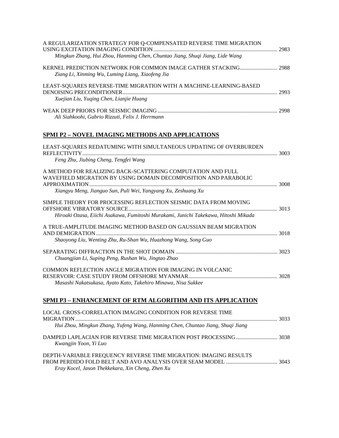| A REGULARIZATION STRATEGY FOR Q-COMPENSATED REVERSE TIME MIGRATION                                                                                                                                                                                                                                                                 |  |
|------------------------------------------------------------------------------------------------------------------------------------------------------------------------------------------------------------------------------------------------------------------------------------------------------------------------------------|--|
| Mingkun Zhang, Hui Zhou, Hanming Chen, Chuntao Jiang, Shuqi Jiang, Lide Wang                                                                                                                                                                                                                                                       |  |
| KERNEL PREDICTION NETWORK FOR COMMON IMAGE GATHER STACKING 2988<br>Ziang Li, Xinming Wu, Luming Liang, Xiaofeng Jia                                                                                                                                                                                                                |  |
| LEAST-SQUARES REVERSE-TIME MIGRATION WITH A MACHINE-LEARNING-BASED<br>Xuejian Liu, Yuqing Chen, Lianjie Huang                                                                                                                                                                                                                      |  |
| Ali Siahkoohi, Gabrio Rizzuti, Felix J. Herrmann                                                                                                                                                                                                                                                                                   |  |
| SPMI P2 - NOVEL IMAGING METHODS AND APPLICATIONS                                                                                                                                                                                                                                                                                   |  |
| LEAST-SQUARES REDATUMING WITH SIMULTANEOUS UPDATING OF OVERBURDEN<br>Feng Zhu, Jiubing Cheng, Tengfei Wang                                                                                                                                                                                                                         |  |
| A METHOD FOR REALIZING BACK-SCATTERING COMPUTATION AND FULL<br>WAVEFIELD MIGRATION BY USING DOMAIN DECOMPOSITION AND PARABOLIC                                                                                                                                                                                                     |  |
| Xiangyu Meng, Jianguo Sun, Puli Wei, Yangyang Xu, Zeshuang Xu                                                                                                                                                                                                                                                                      |  |
| SIMPLE THEORY FOR PROCESSING REFLECTION SEISMIC DATA FROM MOVING                                                                                                                                                                                                                                                                   |  |
| Hiroaki Ozasa, Eiichi Asakawa, Fumitoshi Murakami, Junichi Takekawa, Hitoshi Mikada                                                                                                                                                                                                                                                |  |
| A TRUE-AMPLITUDE IMAGING METHOD BASED ON GAUSSIAN BEAM MIGRATION<br>Shaoyong Liu, Wenting Zhu, Ru-Shan Wu, Huazhong Wang, Song Guo                                                                                                                                                                                                 |  |
| Chuangjian Li, Suping Peng, Rushan Wu, Jingtao Zhao                                                                                                                                                                                                                                                                                |  |
| COMMON REFLECTION ANGLE MIGRATION FOR IMAGING IN VOLCANIC<br>Masashi Nakatsukasa, Ayato Kato, Takehiro Minawa, Nisa Sukkee                                                                                                                                                                                                         |  |
| <b>SPMI P3 - ENHANCEMENT OF RTM ALGORITHM AND ITS APPLICATION</b>                                                                                                                                                                                                                                                                  |  |
| $\overline{1}$ measure $\overline{1}$ and $\overline{2}$ and $\overline{3}$ and $\overline{1}$ and $\overline{1}$ and $\overline{2}$ and $\overline{3}$ and $\overline{1}$ and $\overline{2}$ and $\overline{3}$ and $\overline{4}$ and $\overline{4}$ and $\overline{4}$ and $\overline{4}$ and $\overline{4}$ and $\overline{4}$ |  |

| LOCAL CROSS-CORRELATION IMAGING CONDITION FOR REVERSE TIME<br><b>MIGRATION</b>                                       | 3033 |
|----------------------------------------------------------------------------------------------------------------------|------|
| Hui Zhou, Mingkun Zhang, Yufeng Wang, Hanming Chen, Chuntao Jiang, Shuqi Jiang                                       |      |
| Kwangjin Yoon, Yi Luo                                                                                                |      |
| DEPTH-VARIABLE FREQUENCY REVERSE TIME MIGRATION: IMAGING RESULTS<br>Eray Kocel, Jason Thekkekara, Xin Cheng, Zhen Xu |      |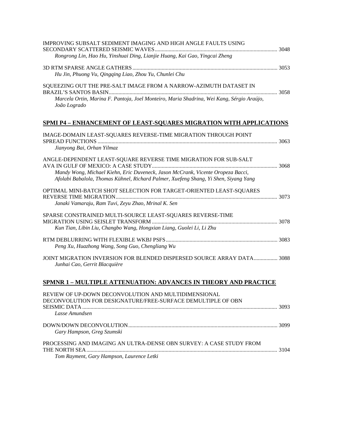| IMPROVING SUBSALT SEDIMENT IMAGING AND HIGH ANGLE FAULTS USING                                                                                                          |  |
|-------------------------------------------------------------------------------------------------------------------------------------------------------------------------|--|
| Rongrong Lin, Hao Hu, Yinshuai Ding, Lianjie Huang, Kai Gao, Yingcai Zheng                                                                                              |  |
| Hu Jin, Phuong Vu, Qingqing Liao, Zhou Yu, Chunlei Chu                                                                                                                  |  |
| SQUEEZING OUT THE PRE-SALT IMAGE FROM A NARROW-AZIMUTH DATASET IN<br>Marcela Ortin, Marina F. Pantoja, Joel Monteiro, Maria Shadrina, Wei Kang, Sérgio Araújo,          |  |
| João Logrado                                                                                                                                                            |  |
| <b>SPMI P4 – ENHANCEMENT OF LEAST-SQUARES MIGRATION WITH APPLICATIONS</b>                                                                                               |  |
| IMAGE-DOMAIN LEAST-SQUARES REVERSE-TIME MIGRATION THROUGH POINT                                                                                                         |  |
| Jianyong Bai, Orhan Yilmaz                                                                                                                                              |  |
| ANGLE-DEPENDENT LEAST-SQUARE REVERSE TIME MIGRATION FOR SUB-SALT                                                                                                        |  |
| Mandy Wong, Michael Kiehn, Eric Duveneck, Jason McCrank, Vicente Oropeza Bacci,<br>Afolabi Babalola, Thomas Kühnel, Richard Palmer, Xuefeng Shang, Yi Shen, Siyang Yang |  |
| OPTIMAL MINI-BATCH SHOT SELECTION FOR TARGET-ORIENTED LEAST-SQUARES                                                                                                     |  |
| Janaki Vamaraju, Ram Tuvi, Zeyu Zhao, Mrinal K. Sen                                                                                                                     |  |
| SPARSE CONSTRAINED MULTI-SOURCE LEAST-SQUARES REVERSE-TIME                                                                                                              |  |
| Kun Tian, Libin Liu, Changbo Wang, Hongxian Liang, Guolei Li, Li Zhu                                                                                                    |  |
| Peng Xu, Huazhong Wang, Song Guo, Chengliang Wu                                                                                                                         |  |
| JOINT MIGRATION INVERSION FOR BLENDED DISPERSED SOURCE ARRAY DATA 3088<br>Junhai Cao, Gerrit Blacquière                                                                 |  |
| <b>SPMNR 1 – MULTIPLE ATTENUATION: ADVANCES IN THEORY AND PRACTICE</b>                                                                                                  |  |
| REVIEW OF UP-DOWN DECONVOLUTION AND MULTIDIMENSIONAL                                                                                                                    |  |
| DECONVOLUTION FOR DESIGNATURE/FREE-SURFACE DEMULTIPLE OF OBN<br>Lasse Amundsen                                                                                          |  |
|                                                                                                                                                                         |  |
| Gary Hampson, Greg Szumski                                                                                                                                              |  |
| PROCESSING AND IMAGING AN ULTRA-DENSE OBN SURVEY: A CASE STUDY FROM                                                                                                     |  |
|                                                                                                                                                                         |  |

*Tom Rayment, Gary Hampson, Laurence Letki*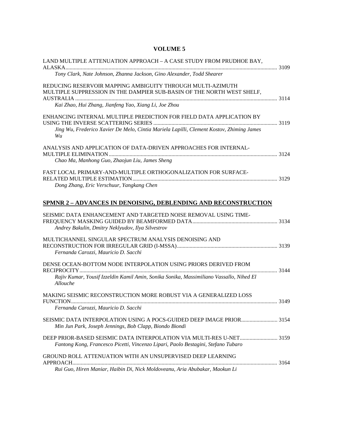### **VOLUME 5**

| LAND MULTIPLE ATTENUATION APPROACH - A CASE STUDY FROM PRUDHOE BAY,                            |  |
|------------------------------------------------------------------------------------------------|--|
| Tony Clark, Nate Johnson, Zhanna Jackson, Gino Alexander, Todd Shearer                         |  |
|                                                                                                |  |
| REDUCING RESERVOIR MAPPING AMBIGUITY THROUGH MULTI-AZIMUTH                                     |  |
| MULTIPLE SUPPRESSION IN THE DAMPIER SUB-BASIN OF THE NORTH WEST SHELF,                         |  |
|                                                                                                |  |
| Kai Zhao, Hui Zhang, Jianfeng Yao, Xiang Li, Joe Zhou                                          |  |
| ENHANCING INTERNAL MULTIPLE PREDICTION FOR FIELD DATA APPLICATION BY                           |  |
|                                                                                                |  |
| Jing Wu, Frederico Xavier De Melo, Cintia Mariela Lapilli, Clement Kostov, Zhiming James<br>Wu |  |
| ANALYSIS AND APPLICATION OF DATA-DRIVEN APPROACHES FOR INTERNAL-                               |  |
|                                                                                                |  |
| Chao Ma, Manhong Guo, Zhaojun Liu, James Sheng                                                 |  |
| FAST LOCAL PRIMARY-AND-MULTIPLE ORTHOGONALIZATION FOR SURFACE-                                 |  |
|                                                                                                |  |
| Dong Zhang, Eric Verschuur, Yangkang Chen                                                      |  |
|                                                                                                |  |
| SPMNR 2 - ADVANCES IN DENOISING, DEBLENDING AND RECONSTRUCTION                                 |  |
| SEISMIC DATA ENHANCEMENT AND TARGETED NOISE REMOVAL USING TIME-                                |  |
|                                                                                                |  |
| Andrey Bakulin, Dmitry Neklyudov, Ilya Silvestrov                                              |  |
| MULTICHANNEL SINGULAR SPECTRUM ANALYSIS DENOISING AND                                          |  |
|                                                                                                |  |
| Fernanda Carozzi, Mauricio D. Sacchi                                                           |  |
| DENSE OCEAN-BOTTOM NODE INTERPOLATION USING PRIORS DERIVED FROM                                |  |
|                                                                                                |  |
| Rajiv Kumar, Yousif Izzeldin Kamil Amin, Sonika Sonika, Massimiliano Vassallo, Nihed El        |  |
| Allouche                                                                                       |  |
| MAKING SEISMIC RECONSTRUCTION MORE ROBUST VIA A GENERALIZED LOSS                               |  |
|                                                                                                |  |
| Fernanda Carozzi, Mauricio D. Sacchi                                                           |  |
|                                                                                                |  |
| Min Jun Park, Joseph Jennings, Bob Clapp, Biondo Biondi                                        |  |
|                                                                                                |  |
|                                                                                                |  |
| Fantong Kong, Francesco Picetti, Vincenzo Lipari, Paolo Bestagini, Stefano Tubaro              |  |
| GROUND ROLL ATTENUATION WITH AN UNSUPERVISED DEEP LEARNING                                     |  |
|                                                                                                |  |
| Rui Guo, Hiren Maniar, Haibin Di, Nick Moldoveanu, Aria Abubakar, Maokun Li                    |  |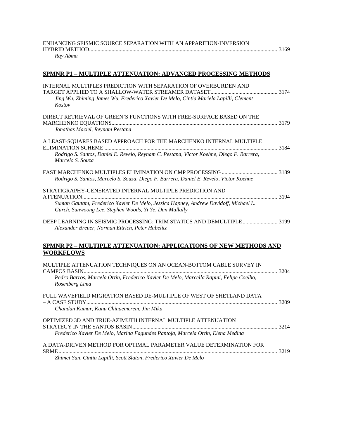| ENHANCING SEISMIC SOURCE SEPARATION WITH AN APPARITION-INVERSION |  |
|------------------------------------------------------------------|--|
|                                                                  |  |
| Ray Abma                                                         |  |

### **SPMNR P1 – MULTIPLE ATTENUATION: ADVANCED PROCESSING METHODS**

| INTERNAL MULTIPLES PREDICTION WITH SEPARATION OF OVERBURDEN AND<br>Jing Wu, Zhiming James Wu, Frederico Xavier De Melo, Cintia Mariela Lapilli, Clement<br>Kostov                                         |  |
|-----------------------------------------------------------------------------------------------------------------------------------------------------------------------------------------------------------|--|
| DIRECT RETRIEVAL OF GREEN'S FUNCTIONS WITH FREE-SURFACE BASED ON THE<br>Jonathas Maciel, Reynam Pestana                                                                                                   |  |
| A LEAST-SQUARES BASED APPROACH FOR THE MARCHENKO INTERNAL MULTIPLE<br>Rodrigo S. Santos, Daniel E. Revelo, Reynam C. Pestana, Victor Koehne, Diego F. Barrera,<br>Marcelo S. Souza                        |  |
| Rodrigo S. Santos, Marcelo S. Souza, Diego F. Barrera, Daniel E. Revelo, Victor Koehne                                                                                                                    |  |
| STRATIGRAPHY-GENERATED INTERNAL MULTIPLE PREDICTION AND<br>Suman Gautam, Frederico Xavier De Melo, Jessica Hapney, Andrew Davidoff, Michael L.<br>Gurch, Sunwoong Lee, Stephen Woods, Yi Ye, Dan Mullally |  |
| DEEP LEARNING IN SEISMIC PROCESSING: TRIM STATICS AND DEMULTIPLE 3199<br>Alexander Breuer, Norman Ettrich, Peter Habelitz                                                                                 |  |
| <u>SPMNR P2 – MULTIPLE ATTENUATION: APPLICATIONS OF NEW METHODS AND</u><br><b>WORKFLOWS</b>                                                                                                               |  |
| MULTIPLE ATTENUATION TECHNIQUES ON AN OCEAN-BOTTOM CABLE SURVEY IN<br>Pedro Barros, Marcela Ortin, Frederico Xavier De Melo, Marcella Rapini, Felipe Coelho,<br>Rosenberg Lima                            |  |
| FULL WAVEFIELD MIGRATION BASED DE-MULTIPLE OF WEST OF SHETLAND DATA<br>Chandan Kumar, Kanu Chinaemerem, Jim Mika                                                                                          |  |
| OPTIMIZED 3D AND TRUE-AZIMUTH INTERNAL MULTIPLE ATTENUATION<br>Frederico Xavier De Melo, Marina Fagundes Pantoja, Marcela Ortin, Elena Medina                                                             |  |

A DATA-DRIVEN METHOD FOR OPTIMAL PARAMETER VALUE DETERMINATION FOR SRME............................................................................................................................................................. 3219

*Zhimei Yan, Cintia Lapilli, Scott Slaton, Frederico Xavier De Melo*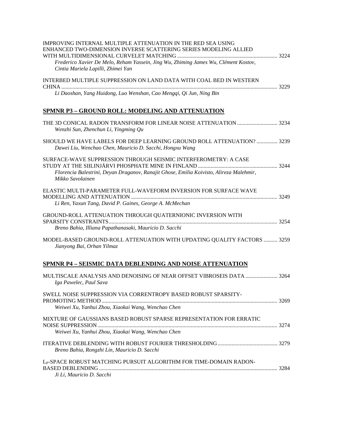| IMPROVING INTERNAL MULTIPLE ATTENUATION IN THE RED SEA USING<br>ENHANCED TWO-DIMENSION INVERSE SCATTERING SERIES MODELING ALLIED<br>Frederico Xavier De Melo, Reham Yassein, Jing Wu, Zhiming James Wu, Clément Kostov,<br>Cintia Mariela Lapilli, Zhimei Yan |  |
|---------------------------------------------------------------------------------------------------------------------------------------------------------------------------------------------------------------------------------------------------------------|--|
| INTERBED MULTIPLE SUPPRESSION ON LAND DATA WITH COAL BED IN WESTERN<br>Li Daoshan, Yang Huidong, Luo Wenshan, Cao Mengqi, Qi Jun, Ning Bin                                                                                                                    |  |
| <u>SPMNR P3 - GROUND ROLL: MODELING AND ATTENUATION</u>                                                                                                                                                                                                       |  |
| Wenzhi Sun, Zhenchun Li, Yingming Qu                                                                                                                                                                                                                          |  |
| SHOULD WE HAVE LABELS FOR DEEP LEARNING GROUND ROLL ATTENUATION?  3239<br>Dawei Liu, Wenchao Chen, Mauricio D. Sacchi, Hongxu Wang                                                                                                                            |  |
| SURFACE-WAVE SUPPRESSION THROUGH SEISMIC INTERFEROMETRY: A CASE<br>Florencia Balestrini, Deyan Draganov, Ranajit Ghose, Emilia Koivisto, Alireza Malehmir,<br>Mikko Savolainen                                                                                |  |
| ELASTIC MULTI-PARAMETER FULL-WAVEFORM INVERSION FOR SURFACE WAVE<br>Li Ren, Yaxun Tang, David P. Gaines, George A. McMechan                                                                                                                                   |  |
| GROUND-ROLL ATTENUATION THROUGH QUATERNIONIC INVERSION WITH<br>Breno Bahia, Illiana Papathanasaki, Mauricio D. Sacchi                                                                                                                                         |  |
| MODEL-BASED GROUND-ROLL ATTENUATION WITH UPDATING QUALITY FACTORS  3259<br>Jianyong Bai, Orhan Yilmaz                                                                                                                                                         |  |
| SPMNR P4 - SEISMIC DATA DEBLENDING AND NOISE ATTENUATION                                                                                                                                                                                                      |  |
| MULTISCALE ANALYSIS AND DENOISING OF NEAR OFFSET VIBROSEIS DATA  3264<br>Iga Pawelec, Paul Sava                                                                                                                                                               |  |
| SWELL NOISE SUPPRESSION VIA CORRENTROPY BASED ROBUST SPARSITY-<br>Weiwei Xu, Yanhui Zhou, Xiaokai Wang, Wenchao Chen                                                                                                                                          |  |
| MIXTURE OF GAUSSIANS BASED ROBUST SPARSE REPRESENTATION FOR ERRATIC<br>Weiwei Xu, Yanhui Zhou, Xiaokai Wang, Wenchao Chen                                                                                                                                     |  |
| Breno Bahia, Rongzhi Lin, Mauricio D. Sacchi                                                                                                                                                                                                                  |  |

| L <sub>P</sub> -SPACE ROBUST MATCHING PURSUIT ALGORITHM FOR TIME-DOMAIN RADON- |  |
|--------------------------------------------------------------------------------|--|
|                                                                                |  |
| Ji Li, Mauricio D. Sacchi                                                      |  |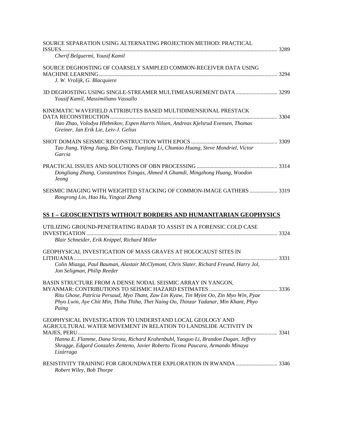| SOURCE SEPARATION USING ALTERNATING PROJECTION METHOD: PRACTICAL                                                                                                                         |  |
|------------------------------------------------------------------------------------------------------------------------------------------------------------------------------------------|--|
| Cherif Belguermi, Yousif Kamil                                                                                                                                                           |  |
| SOURCE DEGHOSTING OF COARSELY SAMPLED COMMON-RECEIVER DATA USING                                                                                                                         |  |
| J. W. Vrolijk, G. Blacquiere                                                                                                                                                             |  |
| Yousif Kamil, Massimiliano Vassallo                                                                                                                                                      |  |
| KINEMATIC WAVEFIELD ATTRIBUTES BASED MULTIDIMENSIONAL PRESTACK                                                                                                                           |  |
| Hao Zhao, Volodya Hlebnikov, Espen Harris Nilsen, Andreas Kjelsrud Evensen, Thomas<br>Greiner, Jan Erik Lie, Leiv-J. Gelius                                                              |  |
| Tao Jiang, Yifeng Jiang, Bin Gong, Tianjiang Li, Chuntao Huang, Steve Mondriel, Victor<br>Garcia                                                                                         |  |
|                                                                                                                                                                                          |  |
| Dongliang Zhang, Constantinos Tsingas, Ahmed A Ghamdi, Mingzhong Huang, Woodon<br><b>Jeong</b>                                                                                           |  |
| SEISMIC IMAGING WITH WEIGHTED STACKING OF COMMON-IMAGE GATHERS  3319<br>Rongrong Lin, Hao Hu, Yingcai Zheng                                                                              |  |
| SS 1 - GEOSCIENTISTS WITHOUT BORDERS AND HUMANITARIAN GEOPHYSICS                                                                                                                         |  |
| UTILIZING GROUND-PENETRATING RADAR TO ASSIST IN A FORENSIC COLD CASE                                                                                                                     |  |
| Blair Schneider, Erik Knippel, Richard Miller                                                                                                                                            |  |
| GEOPHYSICAL INVESTIGATION OF MASS GRAVES AT HOLOCAUST SITES IN                                                                                                                           |  |
| Colin Miazga, Paul Bauman, Alastair McClymont, Chris Slater, Richard Freund, Harry Jol,<br>Jon Seligman, Philip Reeder                                                                   |  |
| BASIN STRUCTURE FROM A DENSE NODAL SEISMIC ARRAY IN YANGON,                                                                                                                              |  |
| Ritu Ghose, Patricia Persaud, Myo Thant, Zaw Lin Kyaw, Tin Myint Oo, Zin Myo Win, Pyae<br>Phyo Lwin, Aye Chit Min, Thiha Thiha, Thet Naing Oo, Thinzar Yadanar, Min Khant, Phyo<br>Paing |  |
| GEOPHYSICAL INVESTIGATION TO UNDERSTAND LOCAL GEOLOGY AND<br>AGRICULTURAL WATER MOVEMENT IN RELATION TO LANDSLIDE ACTIVITY IN                                                            |  |
| Hanna E. Flamme, Dana Sirota, Richard Krahenbuhl, Yaoguo Li, Brandon Dugan, Jeffrey<br>Shragge, Edgard Gonzales Zenteno, Javier Roberto Ticona Paucara, Armando Minaya<br>Lizárraga      |  |
| RESISTIVITY TRAINING FOR GROUNDWATER EXPLORATION IN RWANDA  3346<br>Robert Wiley, Bob Thorpe                                                                                             |  |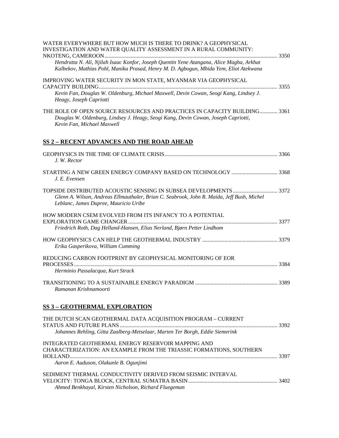| WATER EVERYWHERE BUT HOW MUCH IS THERE TO DRINK? A GEOPHYSICAL<br>INVESTIGATION AND WATER QUALITY ASSESSMENT IN A RURAL COMMUNITY:                                                            |  |
|-----------------------------------------------------------------------------------------------------------------------------------------------------------------------------------------------|--|
| Hendratta N. Ali, Njilah Isaac Konfor, Joseph Quentin Yene Atangana, Alice Magha, Arkhat<br>Kalbekov, Mathias Pohl, Manika Prasad, Henry M. D. Agbogun, Mbida Yem, Eliot Atekwana             |  |
| IMPROVING WATER SECURITY IN MON STATE, MYANMAR VIA GEOPHYSICAL                                                                                                                                |  |
| Kevin Fan, Douglas W. Oldenburg, Michael Maxwell, Devin Cowan, Seogi Kang, Lindsey J.<br>Heagy, Joseph Capriotti                                                                              |  |
| THE ROLE OF OPEN SOURCE RESOURCES AND PRACTICES IN CAPACITY BUILDING 3361<br>Douglas W. Oldenburg, Lindsey J. Heagy, Seogi Kang, Devin Cowan, Joseph Capriotti,<br>Kevin Fan, Michael Maxwell |  |
| <b>SS 2 - RECENT ADVANCES AND THE ROAD AHEAD</b>                                                                                                                                              |  |
| J. W. Rector                                                                                                                                                                                  |  |
| STARTING A NEW GREEN ENERGY COMPANY BASED ON TECHNOLOGY  3368<br>J. E. Evensen                                                                                                                |  |
| Glenn A. Wilson, Andreas Ellmauthaler, Brian C. Seabrook, John R. Maida, Jeff Bush, Michel<br>Leblanc, James Dupree, Mauricio Uribe                                                           |  |
| HOW MODERN CSEM EVOLVED FROM ITS INFANCY TO A POTENTIAL                                                                                                                                       |  |
| Friedrich Roth, Dag Helland-Hansen, Elias Nerland, Bjørn Petter Lindhom                                                                                                                       |  |
| Erika Gasperikova, William Cumming                                                                                                                                                            |  |
| REDUCING CARBON FOOTPRINT BY GEOPHYSICAL MONITORING OF EOR                                                                                                                                    |  |
| Herminio Passalacqua, Kurt Strack                                                                                                                                                             |  |
| Ramanan Krishnamoorti                                                                                                                                                                         |  |
| SS 3 - GEOTHERMAL EXPLORATION                                                                                                                                                                 |  |
| THE DUTCH SCAN GEOTHERMAL DATA ACQUISITION PROGRAM - CURRENT                                                                                                                                  |  |
| Johannes Rehling, Gitta Zaalberg-Metselaar, Marten Ter Borgh, Eddie Siemerink                                                                                                                 |  |
| <b>INTEGRATED GEOTHERMAL ENERGY RESERVOIR MAPPING AND</b><br>CHARACTERIZATION: AN EXAMPLE FROM THE TRIASSIC FORMATIONS, SOUTHERN                                                              |  |
| Aaron E. Auduson, Olakunle B. Ogunjimi                                                                                                                                                        |  |
| SEDIMENT THERMAL CONDUCTIVITY DERIVED FROM SEISMIC INTERVAL                                                                                                                                   |  |
| Ahmed Benkhayal, Kirsten Nicholson, Richard Fluegeman                                                                                                                                         |  |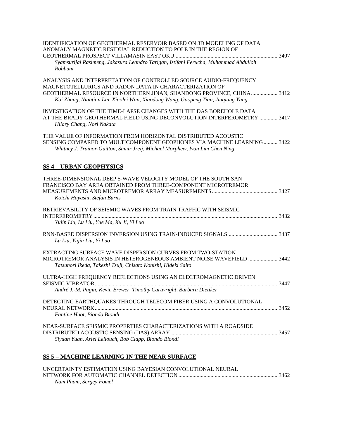| <b>IDENTIFICATION OF GEOTHERMAL RESERVOIR BASED ON 3D MODELING OF DATA</b><br>ANOMALY MAGNETIC RESIDUAL REDUCTION TO POLE IN THE REGION OF<br>Syamsurijal Rasimeng, Jakasura Leandro Tarigan, Istifani Ferucha, Muhammad Abdulloh<br>Robbani                                           |
|----------------------------------------------------------------------------------------------------------------------------------------------------------------------------------------------------------------------------------------------------------------------------------------|
| ANALYSIS AND INTERPRETATION OF CONTROLLED SOURCE AUDIO-FREQUENCY<br>MAGNETOTELLURICS AND RADON DATA IN CHARACTERIZATION OF<br>GEOTHERMAL RESOURCE IN NORTHERN JINAN, SHANDONG PROVINCE, CHINA 3412<br>Kai Zhang, Niantian Lin, Xiaolei Wan, Xiaodong Wang, Gaopeng Tian, Jiuqiang Yang |
| INVESTIGATION OF THE TIME-LAPSE CHANGES WITH THE DAS BOREHOLE DATA<br>AT THE BRADY GEOTHERMAL FIELD USING DECONVOLUTION INTERFEROMETRY  3417<br>Hilary Chang, Nori Nakata                                                                                                              |
| THE VALUE OF INFORMATION FROM HORIZONTAL DISTRIBUTED ACOUSTIC<br>SENSING COMPARED TO MULTICOMPONENT GEOPHONES VIA MACHINE LEARNING 3422<br>Whitney J. Trainor-Guitton, Samir Jreij, Michael Morphew, Ivan Lim Chen Ning                                                                |
| <b>SS 4 - URBAN GEOPHYSICS</b>                                                                                                                                                                                                                                                         |
| THREE-DIMENSIONAL DEEP S-WAVE VELOCITY MODEL OF THE SOUTH SAN<br>FRANCISCO BAY AREA OBTAINED FROM THREE-COMPONENT MICROTREMOR<br>Koichi Hayashi, Stefan Burns                                                                                                                          |
| RETRIEVABILITY OF SEISMIC WAVES FROM TRAIN TRAFFIC WITH SEISMIC<br>Yujin Liu, Lu Liu, Yue Ma, Xu Ji, Yi Luo                                                                                                                                                                            |
| Lu Liu, Yujin Liu, Yi Luo                                                                                                                                                                                                                                                              |
| EXTRACTING SURFACE WAVE DISPERSION CURVES FROM TWO-STATION<br>MICROTREMOR ANALYSIS IN HETEROGENEOUS AMBIENT NOISE WAVEFIELD  3442<br>Tatsunori Ikeda, Takeshi Tsuji, Chisato Konishi, Hideki Saito                                                                                     |
| ULTRA-HIGH FREQUENCY REFLECTIONS USING AN ELECTROMAGNETIC DRIVEN<br>André J.-M. Pugin, Kevin Brewer, Timothy Cartwright, Barbara Dietiker                                                                                                                                              |
| DETECTING EARTHQUAKES THROUGH TELECOM FIBER USING A CONVOLUTIONAL<br>Fantine Huot, Biondo Biondi                                                                                                                                                                                       |
| NEAR-SURFACE SEISMIC PROPERTIES CHARACTERIZATIONS WITH A ROADSIDE<br>Siyuan Yuan, Ariel Lellouch, Bob Clapp, Biondo Biondi                                                                                                                                                             |

# **SS 5 – MACHINE LEARNING IN THE NEAR SURFACE**

| UNCERTAINTY ESTIMATION USING BAYESIAN CONVOLUTIONAL NEURAL |  |
|------------------------------------------------------------|--|
|                                                            |  |
| Nam Pham, Sergey Fomel                                     |  |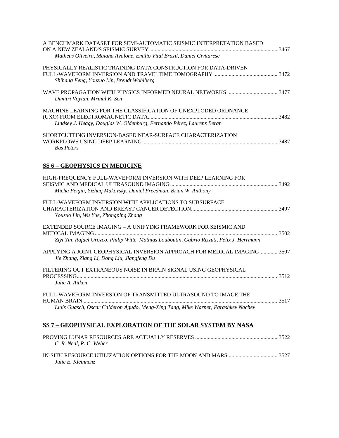| A BENCHMARK DATASET FOR SEMI-AUTOMATIC SEISMIC INTERPRETATION BASED<br>Matheus Oliveira, Maiana Avalone, Emilio Vital Brazil, Daniel Civitarese               |  |
|---------------------------------------------------------------------------------------------------------------------------------------------------------------|--|
| PHYSICALLY REALISTIC TRAINING DATA CONSTRUCTION FOR DATA-DRIVEN<br>Shihang Feng, Youzuo Lin, Brendt Wohlberg                                                  |  |
| Dimitri Voytan, Mrinal K. Sen                                                                                                                                 |  |
| MACHINE LEARNING FOR THE CLASSIFICATION OF UNEXPLODED ORDNANCE<br>Lindsey J. Heagy, Douglas W. Oldenburg, Fernando Pérez, Laurens Beran                       |  |
| SHORTCUTTING INVERSION-BASED NEAR-SURFACE CHARACTERIZATION<br><b>Bas Peters</b>                                                                               |  |
| <b>SS 6 - GEOPHYSICS IN MEDICINE</b>                                                                                                                          |  |
| HIGH-FREQUENCY FULL-WAVEFORM INVERSION WITH DEEP LEARNING FOR<br>Micha Feigin, Yizhaq Makovsky, Daniel Freedman, Brian W. Anthony                             |  |
| FULL-WAVEFORM INVERSION WITH APPLICATIONS TO SUBSURFACE<br>Youzuo Lin, Wu Yue, Zhongping Zhang                                                                |  |
| EXTENDED SOURCE IMAGING - A UNIFYING FRAMEWORK FOR SEISMIC AND<br>Ziyi Yin, Rafael Orozco, Philip Witte, Mathias Louboutin, Gabrio Rizzuti, Felix J. Herrmann |  |
| APPLYING A JOINT GEOPHYSICAL INVERSION APPROACH FOR MEDICAL IMAGING 3507<br>Jie Zhang, Ziang Li, Dong Liu, Jiangfeng Du                                       |  |
| FILTERING OUT EXTRANEOUS NOISE IN BRAIN SIGNAL USING GEOPHYSICAL<br>Julie A. Aitken                                                                           |  |
| FULL-WAVEFORM INVERSION OF TRANSMITTED ULTRASOUND TO IMAGE THE                                                                                                |  |
| Lluís Guasch, Oscar Calderon Agudo, Meng-Xing Tang, Mike Warner, Parashkev Nachev                                                                             |  |
| <u>SS 7 – GEOPHYSICAL EXPLORATION OF THE SOLAR SYSTEM BY NASA</u>                                                                                             |  |
| C. R. Neal, R. C. Weber                                                                                                                                       |  |
| Julie E. Kleinhenz                                                                                                                                            |  |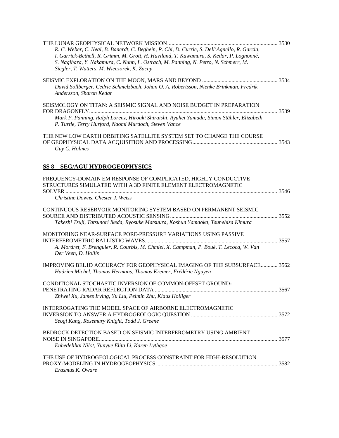| R. C. Weber, C. Neal, B. Banerdt, C. Beghein, P. Chi, D. Currie, S. Dell'Agnello, R. Garcia,<br>I. Garrick-Bethell, R. Grimm, M. Grott, H. Haviland, T. Kawamura, S. Kedar, P. Lognonné,<br>S. Nagihara, Y. Nakamura, C. Nunn, L. Ostrach, M. Panning, N. Petro, N. Schmerr, M.<br>Siegler, T. Watters, M. Wieczorek, K. Zacny |  |
|--------------------------------------------------------------------------------------------------------------------------------------------------------------------------------------------------------------------------------------------------------------------------------------------------------------------------------|--|
| David Sollberger, Cedric Schmelzbach, Johan O. A. Robertsson, Nienke Brinkman, Fredrik<br>Andersson, Sharon Kedar                                                                                                                                                                                                              |  |
| SEISMOLOGY ON TITAN: A SEISMIC SIGNAL AND NOISE BUDGET IN PREPARATION<br>Mark P. Panning, Ralph Lorenz, Hiroaki Shiraishi, Ryuhei Yamada, Simon Stähler, Elizabeth<br>P. Turtle, Terry Hurford, Naomi Murdoch, Steven Vance                                                                                                    |  |
| THE NEW LOW EARTH ORBITING SATELLITE SYSTEM SET TO CHANGE THE COURSE<br>Guy C. Holmes                                                                                                                                                                                                                                          |  |
| <b>SS 8 - SEG/AGU HYDROGEOPHYSICS</b>                                                                                                                                                                                                                                                                                          |  |
| FREQUENCY-DOMAIN EM RESPONSE OF COMPLICATED, HIGHLY CONDUCTIVE<br>STRUCTURES SIMULATED WITH A 3D FINITE ELEMENT ELECTROMAGNETIC<br>Christine Downs, Chester J. Weiss                                                                                                                                                           |  |
| CONTINUOUS RESERVOIR MONITORING SYSTEM BASED ON PERMANENT SEISMIC<br>Takeshi Tsuji, Tatsunori Ikeda, Ryosuke Matsuura, Koshun Yamaoka, Tsunehisa Kimura                                                                                                                                                                        |  |
| MONITORING NEAR-SURFACE PORE-PRESSURE VARIATIONS USING PASSIVE<br>A. Mordret, F. Brenguier, R. Courbis, M. Chmiel, X. Campman, P. Boué, T. Lecocq, W. Van<br>Der Veen, D. Hollis                                                                                                                                               |  |
| IMPROVING BELID ACCURACY FOR GEOPHYSICAL IMAGING OF THE SUBSURFACE 3562<br>Hadrien Michel, Thomas Hermans, Thomas Kremer, Frédéric Nguyen                                                                                                                                                                                      |  |
| CONDITIONAL STOCHASTIC INVERSION OF COMMON-OFFSET GROUND-<br>Zhiwei Xu, James Irving, Yu Liu, Peimin Zhu, Klaus Holliger                                                                                                                                                                                                       |  |
| INTERROGATING THE MODEL SPACE OF AIRBORNE ELECTROMAGNETIC<br>Seogi Kang, Rosemary Knight, Todd J. Greene                                                                                                                                                                                                                       |  |
| BEDROCK DETECTION BASED ON SEISMIC INTERFEROMETRY USING AMBIENT<br>Enhedelihai Nilot, Yunyue Elita Li, Karen Lythgoe                                                                                                                                                                                                           |  |
| THE USE OF HYDROGEOLOGICAL PROCESS CONSTRAINT FOR HIGH-RESOLUTION<br>Erasmus K. Oware                                                                                                                                                                                                                                          |  |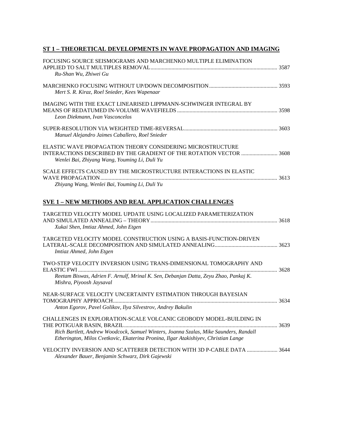### **ST 1 – THEORETICAL DEVELOPMENTS IN WAVE PROPAGATION AND IMAGING**

| FOCUSING SOURCE SEISMOGRAMS AND MARCHENKO MULTIPLE ELIMINATION<br>Ru-Shan Wu, Zhiwei Gu                                                                                                                                                            |  |
|----------------------------------------------------------------------------------------------------------------------------------------------------------------------------------------------------------------------------------------------------|--|
| Mert S. R. Kiraz, Roel Snieder, Kees Wapenaar                                                                                                                                                                                                      |  |
| IMAGING WITH THE EXACT LINEARISED LIPPMANN-SCHWINGER INTEGRAL BY<br>Leon Diekmann, Ivan Vasconcelos                                                                                                                                                |  |
| Manuel Alejandro Jaimes Caballero, Roel Snieder                                                                                                                                                                                                    |  |
| ELASTIC WAVE PROPAGATION THEORY CONSIDERING MICROSTRUCTURE<br>INTERACTIONS DESCRIBED BY THE GRADIENT OF THE ROTATION VECTOR  3608<br>Wenlei Bai, Zhiyang Wang, Youming Li, Duli Yu                                                                 |  |
| SCALE EFFECTS CAUSED BY THE MICROSTRUCTURE INTERACTIONS IN ELASTIC<br>Zhiyang Wang, Wenlei Bai, Youming Li, Duli Yu                                                                                                                                |  |
| <b>SVE 1 - NEW METHODS AND REAL APPLICATION CHALLENGES</b>                                                                                                                                                                                         |  |
| TARGETED VELOCITY MODEL UPDATE USING LOCALIZED PARAMETERIZATION<br>Xukai Shen, Imtiaz Ahmed, John Etgen                                                                                                                                            |  |
| TARGETED VELOCITY MODEL CONSTRUCTION USING A BASIS-FUNCTION-DRIVEN<br>Imtiaz Ahmed, John Etgen                                                                                                                                                     |  |
| TWO-STEP VELOCITY INVERSION USING TRANS-DIMENSIONAL TOMOGRAPHY AND<br>Reetam Biswas, Adrien F. Arnulf, Mrinal K. Sen, Debanjan Datta, Zeyu Zhao, Pankaj K.<br>Mishra, Piyoosh Jaysaval                                                             |  |
| NEAR-SURFACE VELOCITY UNCERTAINTY ESTIMATION THROUGH BAYESIAN<br>Anton Egorov, Pavel Golikov, Ilya Silvestrov, Andrey Bakulin                                                                                                                      |  |
| CHALLENGES IN EXPLORATION-SCALE VOLCANIC GEOBODY MODEL-BUILDING IN<br>Rich Bartlett, Andrew Woodcock, Samuel Winters, Joanna Szalas, Mike Saunders, Randall<br>Etherington, Milos Cvetkovic, Ekaterina Pronina, Ilgar Atakishiyev, Christian Lange |  |
| VELOCITY INVERSION AND SCATTERER DETECTION WITH 3D P-CABLE DATA  3644<br>Alexander Bauer, Benjamin Schwarz, Dirk Gajewski                                                                                                                          |  |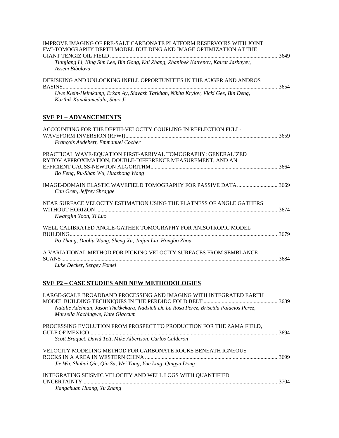| <b>IMPROVE IMAGING OF PRE-SALT CARBONATE PLATFORM RESERVOIRS WITH JOINT</b>                                                 |  |
|-----------------------------------------------------------------------------------------------------------------------------|--|
| FWI-TOMOGRAPHY DEPTH MODEL BUILDING AND IMAGE OPTIMIZATION AT THE                                                           |  |
| Tianjiang Li, King Sim Lee, Bin Gong, Kai Zhang, Zhanibek Katrenov, Kairat Jazbayev,<br>Assem Bibolova                      |  |
| DERISKING AND UNLOCKING INFILL OPPORTUNITIES IN THE AUGER AND ANDROS                                                        |  |
| Uwe Klein-Helmkamp, Erkan Ay, Siavash Tarkhan, Nikita Krylov, Vicki Gee, Bin Deng,<br>Karthik Kanakamedala, Shuo Ji         |  |
| <b>SVE P1 - ADVANCEMENTS</b>                                                                                                |  |
| ACCOUNTING FOR THE DEPTH-VELOCITY COUPLING IN REFLECTION FULL-                                                              |  |
| François Audebert, Emmanuel Cocher                                                                                          |  |
| PRACTICAL WAVE-EQUATION FIRST-ARRIVAL TOMOGRAPHY: GENERALIZED<br>RYTOV APPROXIMATION, DOUBLE-DIFFERENCE MEASUREMENT, AND AN |  |
| Bo Feng, Ru-Shan Wu, Huazhong Wang                                                                                          |  |
| IMAGE-DOMAIN ELASTIC WAVEFIELD TOMOGRAPHY FOR PASSIVE DATA 3669<br>Can Oren, Jeffrey Shragge                                |  |
| NEAR SURFACE VELOCITY ESTIMATION USING THE FLATNESS OF ANGLE GATHERS<br>Kwangjin Yoon, Yi Luo                               |  |
| WELL CALIBRATED ANGLE-GATHER TOMOGRAPHY FOR ANISOTROPIC MODEL                                                               |  |
| Po Zhang, Daoliu Wang, Sheng Xu, Jinjun Liu, Hongbo Zhou                                                                    |  |
| A VARIATIONAL METHOD FOR PICKING VELOCITY SURFACES FROM SEMBLANCE                                                           |  |
| Luke Decker, Sergey Fomel                                                                                                   |  |
| <b>SVE P2 - CASE STUDIES AND NEW METHODOLOGIES</b>                                                                          |  |
|                                                                                                                             |  |

| LARGE-SCALE BROADBAND PROCESSING AND IMAGING WITH INTEGRATED EARTH<br>Natalie Adelman, Jason Thekkekara, Nadxieli De La Rosa Perez, Briseida Palacios Perez,<br>Marsella Kachingwe, Kate Glaccum |  |
|--------------------------------------------------------------------------------------------------------------------------------------------------------------------------------------------------|--|
| PROCESSING EVOLUTION FROM PROSPECT TO PRODUCTION FOR THE ZAMA FIELD.<br>Scott Braquet, David Tett, Mike Albertson, Carlos Calderón                                                               |  |
| VELOCITY MODELING METHOD FOR CARBONATE ROCKS BENEATH IGNEOUS<br>Jie Wu, Shuhai Qie, Qin Su, Wei Yang, Yue Ling, Qingyu Dong                                                                      |  |
| INTEGRATING SEISMIC VELOCITY AND WELL LOGS WITH QUANTIFIED<br><b>UNCERTAINTY</b><br>Jiangchuan Huang, Yu Zhang                                                                                   |  |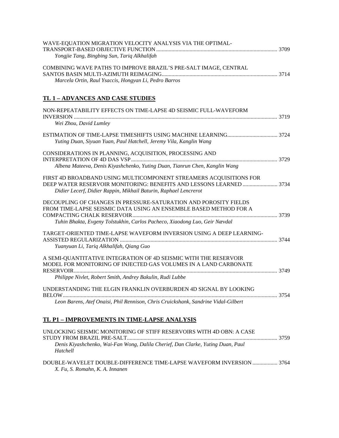| WAVE-EQUATION MIGRATION VELOCITY ANALYSIS VIA THE OPTIMAL-                         |  |
|------------------------------------------------------------------------------------|--|
| Yongjie Tang, Bingbing Sun, Tariq Alkhalifah                                       |  |
| COMBINING WAVE PATHS TO IMPROVE BRAZIL'S PRE-SALT IMAGE, CENTRAL                   |  |
| Marcela Ortin, Raul Ysaccis, Hongyan Li, Pedro Barros                              |  |
| <u>TL 1 – ADVANCES AND CASE STUDIES</u>                                            |  |
| NON-REPEATABILITY EFFECTS ON TIME-LAPSE 4D SEISMIC FULL-WAVEFORM                   |  |
| Wei Zhou, David Lumley                                                             |  |
|                                                                                    |  |
| Yuting Duan, Siyuan Yuan, Paul Hatchell, Jeremy Vila, Kanglin Wang                 |  |
| CONSIDERATIONS IN PLANNING, ACQUISITION, PROCESSING AND                            |  |
|                                                                                    |  |
| Albena Mateeva, Denis Kiyashchenko, Yuting Duan, Tianrun Chen, Kanglin Wang        |  |
| FIRST 4D BROADBAND USING MULTICOMPONENT STREAMERS ACQUISITIONS FOR                 |  |
|                                                                                    |  |
| Didier Lecerf, Didier Rappin, Mikhail Baturin, Raphael Lencrerot                   |  |
| DECOUPLING OF CHANGES IN PRESSURE-SATURATION AND POROSITY FIELDS                   |  |
| FROM TIME-LAPSE SEISMIC DATA USING AN ENSEMBLE BASED METHOD FOR A                  |  |
| Tuhin Bhakta, Evgeny Tolstukhin, Carlos Pacheco, Xiaodong Luo, Geir Nævdal         |  |
| TARGET-ORIENTED TIME-LAPSE WAVEFORM INVERSION USING A DEEP LEARNING-               |  |
|                                                                                    |  |
| Yuanyuan Li, Tariq Alkhalifah, Qiang Guo                                           |  |
| A SEMI-QUANTITATIVE INTEGRATION OF 4D SEISMIC WITH THE RESERVOIR                   |  |
| MODEL FOR MONITORING OF INJECTED GAS VOLUMES IN A LAND CARBONATE                   |  |
| Philippe Nivlet, Robert Smith, Andrey Bakulin, Rudi Lubbe                          |  |
|                                                                                    |  |
| UNDERSTANDING THE ELGIN FRANKLIN OVERBURDEN 4D SIGNAL BY LOOKING                   |  |
| Leon Barens, Atef Onaisi, Phil Rennison, Chris Cruickshank, Sandrine Vidal-Gilbert |  |
|                                                                                    |  |
| TL P1 - IMPROVEMENTS IN TIME-LAPSE ANALYSIS                                        |  |
| UNLOCKING SEISMIC MONITORING OF STIFF RESERVOIRS WITH 4D OBN: A CASE               |  |
|                                                                                    |  |

*Denis Kiyashchenko, Wai-Fan Wong, Dalila Cherief, Dan Clarke, Yuting Duan, Paul Hatchell*

DOUBLE-WAVELET DOUBLE-DIFFERENCE TIME-LAPSE WAVEFORM INVERSION .................. 3764 *X. Fu, S. Romahn, K. A. Innanen*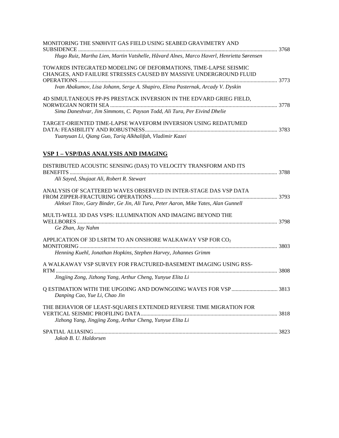| MONITORING THE SNØHVIT GAS FIELD USING SEABED GRAVIMETRY AND                             | 3768 |
|------------------------------------------------------------------------------------------|------|
| Hugo Ruiz, Martha Lien, Martin Vatshelle, Håvard Alnes, Marco Haverl, Henrietta Sørensen |      |
| TOWARDS INTEGRATED MODELING OF DEFORMATIONS. TIME-LAPSE SEISMIC                          |      |
| CHANGES, AND FAILURE STRESSES CAUSED BY MASSIVE UNDERGROUND FLUID                        |      |
|                                                                                          |      |
| Ivan Abakumov, Lisa Johann, Serge A. Shapiro, Elena Pasternak, Arcady V. Dyskin          |      |
| 4D SIMULTANEOUS PP-PS PRESTACK INVERSION IN THE EDVARD GRIEG FIELD,                      |      |
|                                                                                          |      |
| Sima Daneshvar, Jim Simmons, C. Payson Todd, Ali Tura, Per Eivind Dhelie                 |      |
| TARGET-ORIENTED TIME-LAPSE WAVEFORM INVERSION USING REDATUMED                            |      |
|                                                                                          |      |

# **VSP 1 – VSP/DAS ANALYSIS AND IMAGING**

*Yuanyuan Li, Qiang Guo, Tariq Alkhalifah, Vladimir Kazei*

| DISTRIBUTED ACOUSTIC SENSING (DAS) TO VELOCITY TRANSFORM AND ITS                                                                |  |
|---------------------------------------------------------------------------------------------------------------------------------|--|
| Ali Sayed, Shujaat Ali, Robert R. Stewart                                                                                       |  |
| ANALYSIS OF SCATTERED WAVES OBSERVED IN INTER-STAGE DAS VSP DATA                                                                |  |
| Aleksei Titov, Gary Binder, Ge Jin, Ali Tura, Peter Aaron, Mike Yates, Alan Gunnell                                             |  |
| MULTI-WELL 3D DAS VSPS: ILLUMINATION AND IMAGING BEYOND THE<br>Ge Zhan, Jay Nahm                                                |  |
| APPLICATION OF 3D LSRTM TO AN ONSHORE WALKAWAY VSP FOR CO2<br>Henning Kuehl, Jonathan Hopkins, Stephen Harvey, Johannes Grimm   |  |
| A WALKAWAY VSP SURVEY FOR FRACTURED-BASEMENT IMAGING USING RSS-                                                                 |  |
| Jingjing Zong, Jizhong Yang, Arthur Cheng, Yunyue Elita Li                                                                      |  |
| Danping Cao, Yue Li, Chao Jin                                                                                                   |  |
| THE BEHAVIOR OF LEAST-SQUARES EXTENDED REVERSE TIME MIGRATION FOR<br>Jizhong Yang, Jingjing Zong, Arthur Cheng, Yunyue Elita Li |  |
| Jakob B. U. Haldorsen                                                                                                           |  |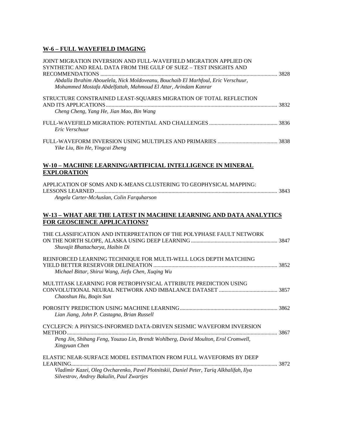### **W-6 – FULL WAVEFIELD IMAGING**

| JOINT MIGRATION INVERSION AND FULL-WAVEFIELD MIGRATION APPLIED ON<br>SYNTHETIC AND REAL DATA FROM THE GULF OF SUEZ - TEST INSIGHTS AND<br>Abdalla Ibrahim Abouelela, Nick Moldoveanu, Bouchaib El Marhfoul, Eric Verschuur,<br>Mohammed Mostafa Abdelfattah, Mahmoud El Attar, Arindam Kanrar |  |
|-----------------------------------------------------------------------------------------------------------------------------------------------------------------------------------------------------------------------------------------------------------------------------------------------|--|
| STRUCTURE CONSTRAINED LEAST-SQUARES MIGRATION OF TOTAL REFLECTION<br>Cheng Cheng, Yang He, Jian Mao, Bin Wang                                                                                                                                                                                 |  |
| Eric Verschuur                                                                                                                                                                                                                                                                                |  |
| Yike Liu, Bin He, Yingcai Zheng                                                                                                                                                                                                                                                               |  |
| W-10 – MACHINE LEARNING/ARTIFICIAL INTELLIGENCE IN MINERAL<br><b>EXPLORATION</b>                                                                                                                                                                                                              |  |
| APPLICATION OF SOMS AND K-MEANS CLUSTERING TO GEOPHYSICAL MAPPING:<br>Angela Carter-McAuslan, Colin Farquharson                                                                                                                                                                               |  |
| W-13 – WHAT ARE THE LATEST IN MACHINE LEARNING AND DATA ANALYTICS<br><b>FOR GEOSCIENCE APPLICATIONS?</b>                                                                                                                                                                                      |  |
| THE CLASSIFICATION AND INTERPRETATION OF THE POLYPHASE FAULT NETWORK<br>Shuvajit Bhattacharya, Haibin Di                                                                                                                                                                                      |  |
| REINFORCED LEARNING TECHNIQUE FOR MULTI-WELL LOGS DEPTH MATCHING<br>Michael Bittar, Shirui Wang, Jiefu Chen, Xuqing Wu                                                                                                                                                                        |  |
| MULTITASK LEARNING FOR PETROPHYSICAL ATTRIBUTE PREDICTION USING<br>Chaoshun Hu, Bogin Sun                                                                                                                                                                                                     |  |
| Lian Jiang, John P. Castagna, Brian Russell                                                                                                                                                                                                                                                   |  |
| CYCLEFCN: A PHYSICS-INFORMED DATA-DRIVEN SEISMIC WAVEFORM INVERSION<br>Peng Jin, Shihang Feng, Youzuo Lin, Brendt Wohlberg, David Moulton, Erol Cromwell,<br>Xingyuan Chen                                                                                                                    |  |
| ELASTIC NEAR-SURFACE MODEL ESTIMATION FROM FULL WAVEFORMS BY DEEP<br>Vladimir Kazei, Oleg Ovcharenko, Pavel Plotnitskii, Daniel Peter, Tariq Alkhalifah, Ilya<br>Silvestrov, Andrey Bakulin, Paul Zwartjes                                                                                    |  |